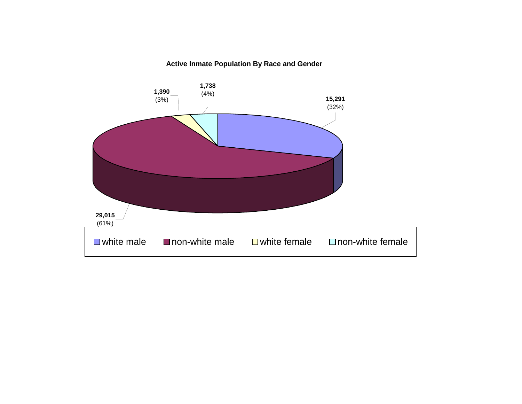### **Active Inmate Population By Race and Gender**

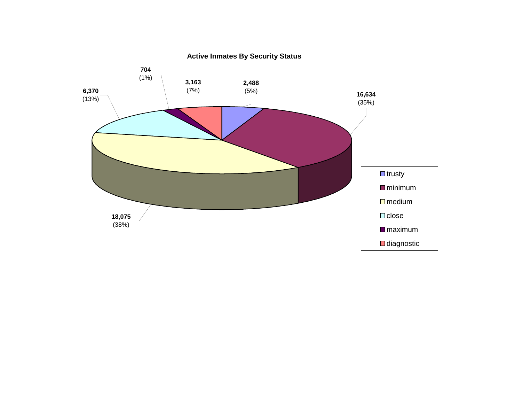

**Active Inmates By Security Status**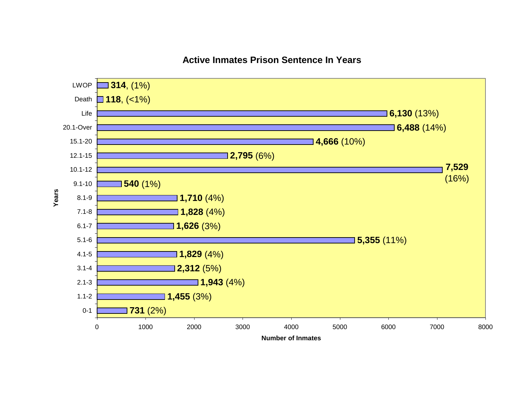### **Active Inmates Prison Sentence In Years**

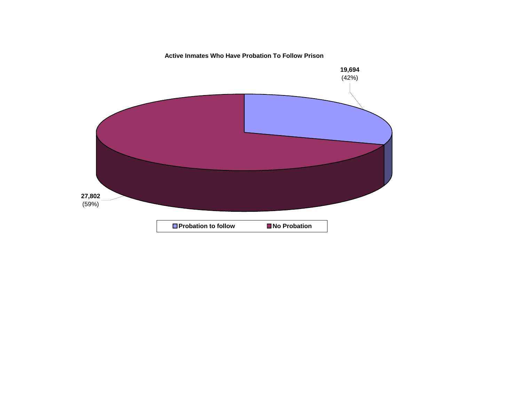**Active Inmates Who Have Probation To Follow Prison**

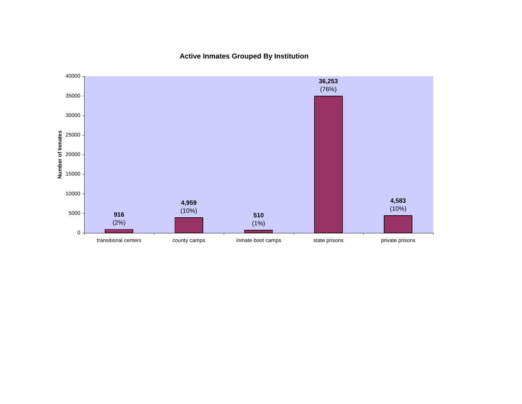**Active Inmates Grouped By Institution**

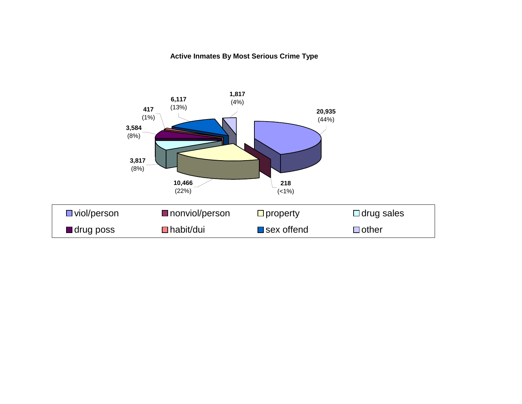### **Active Inmates By Most Serious Crime Type**

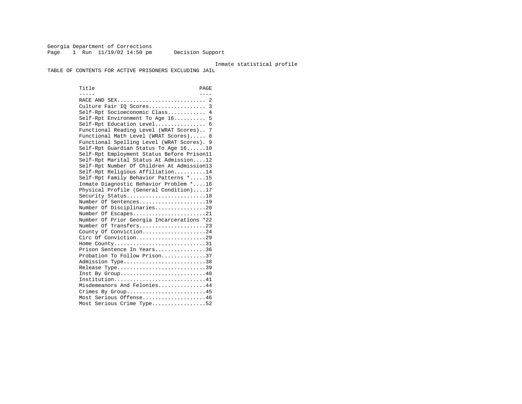Georgia Department of Corrections Page 1 Run 11/19/02 14:50 pm Decision Support

#### Inmate statistical profile

TABLE OF CONTENTS FOR ACTIVE PRISONERS EXCLUDING JAIL

Title PAGE ----- ---- RACE AND SEX............................ 2 Culture Fair IQ Scores.................. 3 Self-Rpt Socioeconomic Class............ 4 Self-Rpt Environment To Age 16.......... 5 Self-Rpt Education Level................ 6 Functional Reading Level (WRAT Scores).. 7 Functional Math Level (WRAT Scores)..... 8 Functional Spelling Level (WRAT Scores). 9 Self-Rpt Guardian Status To Age 16......10 Self-Rpt Employment Status Before Prison11 Self-Rpt Marital Status At Admission....12 Self-Rpt Number Of Children At Admission13 Self-Rpt Religious Affiliation..........14 Self-Rpt Family Behavior Patterns \*.....15 Inmate Diagnostic Behavior Problem \*....16 Physical Profile (General Condition)....17 Security Status...........................18 Number Of Sentences.....................19 Number Of Disciplinaries................20 Number Of Escapes........................21 Number Of Prior Georgia Incarcerations \*22 Number Of Transfers.....................23 County Of Conviction....................24 Circ Of Conviction......................29 Home County................................31 Prison Sentence In Years................36 Probation To Follow Prison..............37Admission Type.............................38 Release Type...............................39 Inst By Group.............................40 Institution...............................41 Misdemeanors And Felonies...............44 Crimes By Group...........................45 Most Serious Offense....................46 Most Serious Crime Type.................52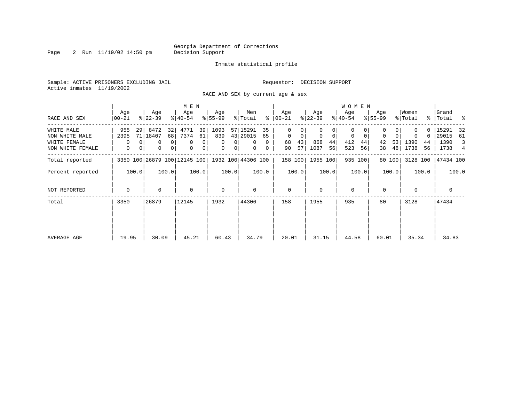Page 2 Run 11/19/02 14:50 pm

### Inmate statistical profile

Sample: ACTIVE PRISONERS EXCLUDING JAIL **Requestor: DECISION SUPPORT** Active inmates 11/19/2002

RACE AND SEX by current age & sex

|                  |                  |                                                 | M E N                         |                      |                      |                  |                     | W O M E N        |                  |                                   |                  |
|------------------|------------------|-------------------------------------------------|-------------------------------|----------------------|----------------------|------------------|---------------------|------------------|------------------|-----------------------------------|------------------|
| RACE AND SEX     | Age<br>$00 - 21$ | Age<br>$ 22-39 $                                | Age<br>$ 40-54 $              | Age<br>$ 55-99 $     | Men<br>ွေ<br>% Total | Age<br>$00 - 21$ | Age<br>$ 22-39 $    | Age<br>$ 40-54 $ | Age<br>$ 55-99 $ | Women<br>% Total<br>$\frac{8}{3}$ | Grand<br>Total % |
| WHITE MALE       | 955<br>29        | 8472<br>32                                      | 4771<br>39                    | 1093                 | 57 15291<br>35       | 0                |                     | 0                |                  |                                   | 15291<br>32      |
| NON WHITE MALE   | 2395             | 71   18407<br>68                                | 7374<br>61                    | 839                  | 43 29015<br>65       | 0<br>0           | $\overline{0}$<br>0 | 0<br>0           | $\mathbf 0$      | 0<br>0                            | 29015<br>61      |
| WHITE FEMALE     | $\Omega$         | $\Omega$<br>$\overline{0}$                      | $\mathbf 0$<br>$\overline{0}$ | $\Omega$<br>$\Omega$ | $\Omega$<br>$\Omega$ | 43<br>68         | 868<br>44           | 412<br>44        | 53<br>42         | 1390<br>44                        | 1390<br>3        |
| NON WHITE FEMALE | $\mathbf{0}$     | 0 <br>0<br>$\mathbf{0}$                         | $\mathbf 0$<br>$\overline{0}$ | 0<br>0 <sup>1</sup>  | $\mathbf{0}$<br>0    | 57<br>90         | 1087<br>56          | 523<br>56        | 48<br>38         | 1738<br>56                        | 1738 4           |
| Total reported   |                  | 3350 100 26879 100 12145 100 1932 100 44306 100 |                               |                      |                      | 158 100          | 1955 100            | 935 100          | 80 100           | 3128 100                          | 47434 100        |
| Percent reported | 100.0            | 100.0                                           | 100.0                         | 100.0                | 100.0                | 100.0            | 100.0               | 100.0            | 100.0            | 100.0                             | 100.0            |
| NOT REPORTED     | 0                | 0                                               | $\mathbf 0$                   | $\mathbf 0$          | 0                    | $\mathbf{0}$     | $\Omega$            | $\mathbf 0$      | 0                | $\mathbf 0$                       | $\mathbf{0}$     |
| Total            | 3350             | 26879                                           | 12145                         | 1932                 | 44306                | 158              | 1955                | 935              | 80               | 3128                              | 47434            |
|                  |                  |                                                 |                               |                      |                      |                  |                     |                  |                  |                                   |                  |
| AVERAGE AGE      | 19.95            | 30.09                                           | 45.21                         | 60.43                | 34.79                | 20.01            | 31.15               | 44.58            | 60.01            | 35.34                             | 34.83            |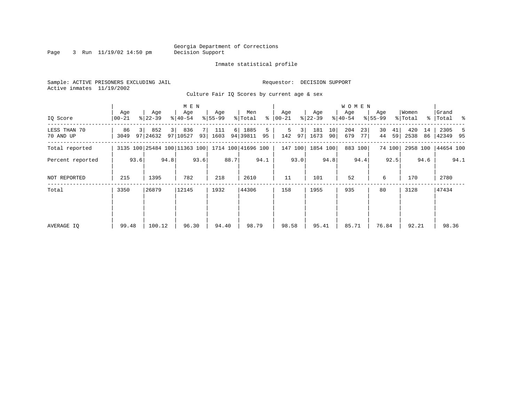Page 3 Run 11/19/02 14:50 pm

### Inmate statistical profile

Sample: ACTIVE PRISONERS EXCLUDING JAIL **Requestor: DECISION SUPPORT** Active inmates 11/19/2002

Culture Fair IQ Scores by current age & sex

|                           |                |      |                  |      | M E N                        |      |                  |      |                     |      |                  |         |                  |          | W O M E N        |            |                  |          |                  |          |                      |      |
|---------------------------|----------------|------|------------------|------|------------------------------|------|------------------|------|---------------------|------|------------------|---------|------------------|----------|------------------|------------|------------------|----------|------------------|----------|----------------------|------|
| IQ Score                  | Age<br>  00-21 |      | Age<br>$ 22-39 $ |      | Age<br>$ 40-54 $             |      | Age<br>$8 55-99$ |      | Men<br>% Total      | ႜ    | Age<br>$ 00-21 $ |         | Age<br>$ 22-39 $ |          | Age<br>$ 40-54 $ |            | Age<br>$ 55-99 $ |          | Women<br>% Total |          | Grand<br>%   Total % |      |
| LESS THAN 70<br>70 AND UP | 86<br>3049     |      | 852<br>97 24632  | 3    | 836<br>97 10527              | 93   | 111<br>1603      | 6    | 1885<br>94 39811 95 | 5    | 5<br>142         | 3<br>97 | 181<br>1673      | 10<br>90 | 204<br>679       | 23<br>77 I | 30<br>44         | 41<br>59 | 420<br>2538      | 14<br>86 | 2305<br>42349 95     | 5    |
| Total reported            |                |      |                  |      | 3135 100 25484 100 11363 100 |      |                  |      | 1714 100 41696 100  |      |                  | 147 100 | 1854 100         |          |                  | 883 100    |                  | 74 100   | 2958 100         |          | 44654 100            |      |
| Percent reported          |                | 93.6 |                  | 94.8 |                              | 93.6 |                  | 88.7 |                     | 94.1 |                  | 93.0    |                  | 94.8     |                  | 94.4       |                  | 92.5     |                  | 94.6     |                      | 94.1 |
| NOT REPORTED              | 215            |      | 1395             |      | 782                          |      | 218              |      | 2610                |      | 11               |         | 101              |          | 52               |            | 6                |          | 170              |          | 2780                 |      |
| Total                     | 3350           |      | 26879            |      | 12145                        |      | 1932             |      | 44306               |      | 158              |         | 1955             |          | 935              |            | 80               |          | 3128             |          | 47434                |      |
|                           |                |      |                  |      |                              |      |                  |      |                     |      |                  |         |                  |          |                  |            |                  |          |                  |          |                      |      |
|                           |                |      |                  |      |                              |      |                  |      |                     |      |                  |         |                  |          |                  |            |                  |          |                  |          |                      |      |
| AVERAGE IQ                | 99.48          |      | 100.12           |      | 96.30                        |      | 94.40            |      | 98.79               |      | 98.58            |         | 95.41            |          | 85.71            |            | 76.84            |          | 92.21            |          | 98.36                |      |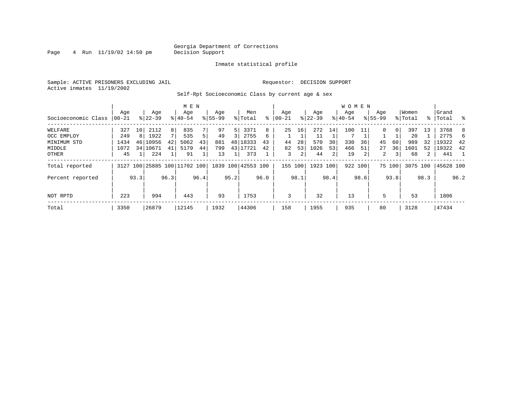Page  $4$  Run  $11/19/02$  14:50 pm

### Inmate statistical profile

Sample: ACTIVE PRISONERS EXCLUDING JAIL **Requestor: DECISION SUPPORT** Active inmates 11/19/2002

Self-Rpt Socioeconomic Class by current age & sex

|                     |          |      | M E N                        |      |           |      |             |      |                    |      | <b>WOMEN</b> |               |           |      |           |      |             |                |          |      |           |      |
|---------------------|----------|------|------------------------------|------|-----------|------|-------------|------|--------------------|------|--------------|---------------|-----------|------|-----------|------|-------------|----------------|----------|------|-----------|------|
|                     | Age      |      | Age                          |      | Age       |      | Age         |      | Men                |      | Age          |               | Age       |      | Age       |      | Age         |                | Women    |      | Grand     |      |
| Socioeconomic Class | $ 00-21$ |      | $8 22-39$                    |      | $8 40-54$ |      | $8155 - 99$ |      | % Total            | ៖    | $ 00 - 21$   | $\frac{1}{6}$ | $22 - 39$ |      | $8 40-54$ |      | $8155 - 99$ |                | % Total  |      | %   Total | ႜ    |
| WELFARE             | 327      | 10   | 2112                         | 8    | 835       |      | 97          | 5    | 3371               | 8    | 25           | 16            | 272       | 14   | 100       |      | 0           | 0 <sup>1</sup> | 397      | 13   | 3768      | 8    |
| OCC EMPLOY          | 249      | 8    | 1922                         | 7    | 535       | 5    | 49          | 3    | 2755               | 6    |              |               | 11        |      |           |      |             |                | 20       |      | 2775      | h    |
| MINIMUM STD         | 1434     | 46   | 10956                        | 42   | 5062      | 43   | 881         | 48   | 18333              | 43   | 44           | 28            | 570       | 30   | 330       | 36   | 45          | 60             | 989      | 32   | 19322     | -42  |
| MIDDLE              | 1072     |      | 34 10671                     | 41   | 5179      | 44   | 799         |      | 43 17721           | 42   | 82           | 53            | 1026      | 53   | 466       | 51   | 27          | 36             | 1601     | 52   | 19322     | -42  |
| OTHER               | 45       |      | 224                          |      | 91        |      | 13          |      | 373                |      | 3            | 2             | 44        | 2    | 19        |      | 2           | 3 <sup>1</sup> | 68       | 2    | 441       |      |
| Total reported      |          |      | 3127 100 25885 100 11702 100 |      |           |      |             |      | 1839 100 42553 100 |      | 155 100      |               | 1923 100  |      | 922 100   |      |             | 75 100         | 3075 100 |      | 45628 100 |      |
| Percent reported    |          | 93.3 |                              | 96.3 |           | 96.4 |             | 95.2 |                    | 96.0 |              | 98.1          |           | 98.4 |           | 98.6 |             | 93.8           |          | 98.3 |           | 96.2 |
| NOT RPTD            | 223      |      | 994                          |      | 443       |      | 93          |      | 1753               |      | 3            |               | 32        |      | 13        |      | 5           |                | 53       |      | 1806      |      |
| Total               | 3350     |      | 26879                        |      | 12145     |      | 1932        |      | 44306              |      | 158          |               | 1955      |      | 935       |      | 80          |                | 3128     |      | 47434     |      |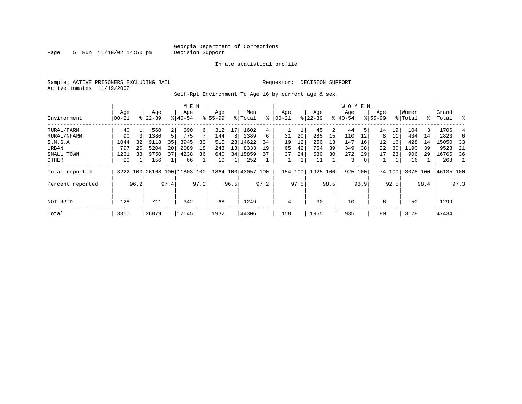Page 5 Run 11/19/02 14:50 pm

### Inmate statistical profile

Sample: ACTIVE PRISONERS EXCLUDING JAIL **Requestor: DECISION SUPPORT** Active inmates 11/19/2002

Self-Rpt Environment To Age 16 by current age & sex

|                  |                 |      |                  |                | M E N                        |      |                    |                 |                    |      |                  |      |                  |      | <b>WOMEN</b>     |      |                    |        |                  |      |                 |      |
|------------------|-----------------|------|------------------|----------------|------------------------------|------|--------------------|-----------------|--------------------|------|------------------|------|------------------|------|------------------|------|--------------------|--------|------------------|------|-----------------|------|
| Environment      | Age<br>$ 00-21$ |      | Age<br>$ 22-39 $ |                | Age<br>$8140 - 54$           |      | Age<br>$8155 - 99$ |                 | Men<br>% Total     | ႜ    | Aqe<br>$00 - 21$ |      | Age<br>$ 22-39 $ |      | Aqe<br>$8 40-54$ |      | Age<br>$8155 - 99$ |        | Women<br>% Total | ႜ    | Grand<br> Total | ွေ   |
| RURAL/FARM       | 40              |      | 560              | 2 <sup>1</sup> | 690                          | 6    | 312                | 17              | 1602               | 4    |                  |      | 45               | 2    | 44               | 51   | 14                 | 19     | 104              | 3    | 1706            |      |
| RURAL/NFARM      | 90              |      | 1380             | 5              | 775                          |      | 144                | 8               | 2389               | 6    | 31               | 20   | 285              | 15   | 110              | 12   | 8                  | 11     | 434              | 14   | 2823            |      |
| S.M.S.A          | 1044            | 32   | 9118             | 35             | 3945                         | 33   | 515                |                 | 28 14622           | 34   | 19               | 12   | 250              | 13   | 147              | 16   | 12                 | 16     | 428              | 14   | 15050           | - 33 |
| URBAN            | 797             | 25   | 5204             | 20             | 2089                         | 18   | 243                | 13 <sup>1</sup> | 8333               | 19   | 65               | 42   | 754              | 39   | 349              | 38   | 22                 | 30     | 1190             | 39   | 9523            | -21  |
| SMALL TOWN       | 1231            | 38   | 9750             | 37             | 4238                         | 36   | 640                |                 | 34 15859           | 37   | 37               | 24   | 580              | 30   | 272              | 29   | 17                 | 23     | 906              | 29   | 16765           | - 36 |
| OTHER            | 20              |      | 156              |                | 66                           |      | 10                 |                 | 252                |      |                  |      | 11               |      | 3                |      |                    |        | 16               |      | 268             |      |
| Total reported   |                 |      |                  |                | 3222 100 26168 100 11803 100 |      |                    |                 | 1864 100 43057 100 |      | 154 100          |      | 1925 100         |      | 925 100          |      |                    | 74 100 | 3078 100         |      | 46135 100       |      |
| Percent reported |                 | 96.2 |                  | 97.4           |                              | 97.2 |                    | 96.5            |                    | 97.2 |                  | 97.5 |                  | 98.5 |                  | 98.9 |                    | 92.5   |                  | 98.4 |                 | 97.3 |
| NOT RPTD         | 128             |      | 711              |                | 342                          |      | 68                 |                 | 1249               |      | 4                |      | 30               |      | 10               |      | 6                  |        | 50               |      | 1299            |      |
| Total            | 3350            |      | 26879            |                | 12145                        |      | 1932               |                 | 44306              |      | 158              |      | 1955             |      | 935              |      | 80                 |        | 3128             |      | 47434           |      |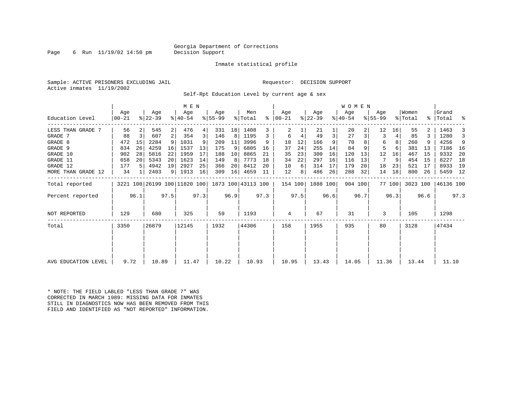### Georgia Department of Corrections<br>Decision Support

Page 6 Run  $11/19/02$  14:50 pm

### Inmate statistical profile

Sample: ACTIVE PRISONERS EXCLUDING JAIL Requestor: DECISION SUPPORT Active inmates 11/19/2002

Self-Rpt Education Level by current age & sex

|                     | M E N            |      |                              |                 |                    |      |                 |      |                    |      |                 |      |                  |      | WOMEN            |      |                    |        |                  |      |                    |      |
|---------------------|------------------|------|------------------------------|-----------------|--------------------|------|-----------------|------|--------------------|------|-----------------|------|------------------|------|------------------|------|--------------------|--------|------------------|------|--------------------|------|
| Education Level     | Age<br>$00 - 21$ |      | Age<br>$ 22-39 $             |                 | Age<br>$8140 - 54$ |      | Age<br>$ 55-99$ |      | Men<br>% Total     | ႜ    | Age<br>$ 00-21$ |      | Age<br>$ 22-39 $ |      | Age<br>$ 40-54 $ |      | Age<br>$8155 - 99$ |        | Women<br>% Total |      | Grand<br>%   Total | ್ಠಿ  |
| LESS THAN GRADE 7   | 56               |      | 545                          | $\overline{2}$  | 476                | 4    | 331             | 18   | 1408               | 3    | 2               |      | 21               |      | 20               |      | 12                 | 16     | 55               |      | 1463               |      |
| GRADE 7             | 88               | 3    | 607                          | 2               | 354                | 3    | 146             | 8    | 1195               | 3    | 6               | 4    | 49               | 3    | 27               | 3    | 3                  | 4      | 85               |      | 1280               | 3    |
| GRADE 8             | 472              | 15   | 2284                         | 9               | 1031               |      | 209             | 11   | 3996               | 9    | 18              | 12   | 166              |      | 70               |      | 6                  | 8      | 260              |      | 4256               | 9    |
| GRADE 9             | 834              | 26   | 4259                         | 16              | 1537               | 13   | 175             | 9    | 6805               | 16   | 37              | 24   | 255              | 14   | 84               |      | 5                  |        | 381              | 13   | 7186               | - 16 |
| GRADE 10            | 902              | 28   | 5816                         | 22              | 1959               | 17   | 188             | 10   | 8865               | 21   | 35              | 23   | 300              | 16   | 120              | 13   | 12                 | 16     | 467              | 15   | 9332               | -20  |
| GRADE 11            | 658              | 20   | 5343                         | 20 <sup>1</sup> | 1623               | 14   | 149             | 8    | 7773               | 18   | 34              | 22   | 297              | 16   | 116              | 13   |                    | 9      | 454              | 15   | 8227               | 18   |
| GRADE 12            | 177              | .5   | 4942                         | 19              | 2927               | 25   | 366             | 20   | 8412               | 20   | 10              | 6    | 314              | 17   | 179              | 20   | 18                 | 23     | 521              | 17   | 8933               | 19   |
| MORE THAN GRADE 12  | 34               |      | 2403                         |                 | 9   1913           | 16   | 309             | 16   | 4659               | 11   | 12              | 8    | 486              | 26   | 288              | 32   | 14                 | 18     | 800              | 26   | 5459               | 12   |
| Total reported      |                  |      | 3221 100 26199 100 11820 100 |                 |                    |      |                 |      | 1873 100 43113 100 |      | 154 100         |      | 1888 100         |      | 904 100          |      |                    | 77 100 | 3023 100         |      | 46136 100          |      |
| Percent reported    |                  | 96.1 |                              | 97.5            |                    | 97.3 |                 | 96.9 |                    | 97.3 |                 | 97.5 |                  | 96.6 |                  | 96.7 |                    | 96.3   |                  | 96.6 |                    | 97.3 |
| NOT REPORTED        | 129              |      | 680                          |                 | 325                |      | 59              |      | 1193               |      | 4               |      | 67               |      | 31               |      | 3                  |        | 105              |      | 1298               |      |
| Total               | 3350             |      | 26879                        |                 | 12145              |      | 1932            |      | 44306              |      | 158             |      | 1955             |      | 935              |      | 80                 |        | 3128             |      | 47434              |      |
|                     |                  |      |                              |                 |                    |      |                 |      |                    |      |                 |      |                  |      |                  |      |                    |        |                  |      |                    |      |
| AVG EDUCATION LEVEL | 9.72             |      | 10.89                        |                 | 11.47              |      | 10.22           |      | 10.93              |      | 10.95           |      | 13.43            |      | 14.05            |      | 11.36              |        | 13.44            |      | 11.10              |      |

\* NOTE: THE FIELD LABLED "LESS THAN GRADE 7" WAS CORRECTED IN MARCH 1989: MISSING DATA FOR INMATES STILL IN DIAGNOSTICS NOW HAS BEEN REMOVED FROM THIS FIELD AND IDENTIFIED AS "NOT REPORTED" INFORMATION.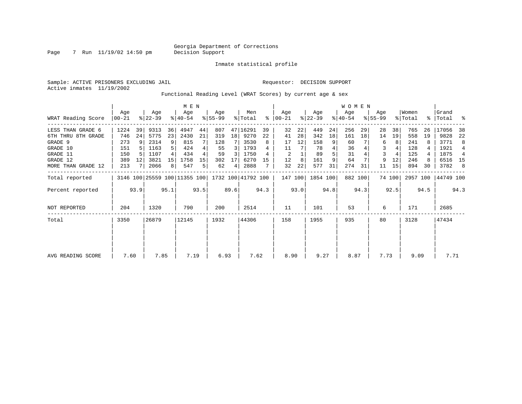Page 7 Run 11/19/02 14:50 pm

Inmate statistical profile

Sample: ACTIVE PRISONERS EXCLUDING JAIL Requestor: DECISION SUPPORT Active inmates 11/19/2002

Functional Reading Level (WRAT Scores) by current age & sex

|                    | M E N            |       |                  |                |                              |                |                 |                 |                    |      |                  |      |                  |      | W O M E N        |         |                    |        |                  |      |                 |      |
|--------------------|------------------|-------|------------------|----------------|------------------------------|----------------|-----------------|-----------------|--------------------|------|------------------|------|------------------|------|------------------|---------|--------------------|--------|------------------|------|-----------------|------|
| WRAT Reading Score | Age<br>$ 00-21 $ |       | Age<br>$ 22-39 $ |                | Age<br>$ 40-54 $             |                | Aqe<br>$ 55-99$ |                 | Men<br>% Total     | ႜ    | Age<br>$00 - 21$ |      | Age<br>$ 22-39 $ |      | Age<br>$ 40-54 $ |         | Aqe<br>$8155 - 99$ |        | Women<br>% Total | န္က  | Grand<br> Total | ႜ    |
| LESS THAN GRADE 6  | 1224             | 39    | 9313             | 36             | 4947                         | 44             | 807             |                 | 47 16291           | 39   | 32               | 22   | 449              | 24   | 256              | 29      | 28                 | 38     | 765              | 26   | 17056           | 38   |
| 6TH THRU 8TH GRADE | 746              | 24    | 5775             | 23             | 2430                         | 21             | 319             | 18 <sup>1</sup> | 9270               | 22   | 41               | 28   | 342              | 18   | 161              | 18      | 14                 | 19     | 558              | 19   | 9828            | 22   |
| GRADE 9            | 273              | 9     | 2314             | 9              | 815                          |                | 128             |                 | 3530               | 8    | 17               | 12   | 158              | 9    | 60               |         | 6                  | 8      | 241              |      | 3771            | 8    |
| GRADE 10           | 151              |       | 1163             | 5 <sup>1</sup> | 424                          |                | 55              | 3               | 1793               |      | 11               |      | 78               |      | 36               |         | 3                  |        | 128              |      | 1921            | 4    |
| GRADE 11           | 150              |       | 1107             |                | 434                          |                | 59              | 3               | 1750               |      | 2                |      | 89               |      | 31               |         | 3                  |        | 125              |      | 1875            | 4    |
| GRADE 12           | 389              | 12    | 3821             | 15             | 1758                         | 15             | 302             |                 | 6270               | 15   | 12               | 8    | 161              | 9    | 64               |         | 9                  | 12     | 246              |      | 6516            | 15   |
| MORE THAN GRADE 12 | 213              |       | 2066             | 8              | 547                          | 5 <sub>1</sub> | 62              | 4               | 2888               |      | 32               | 22   | 577              | 31   | 274              | 31      | 11                 | 15     | 894              | 30   | 3782            | -8   |
| Total reported     |                  |       |                  |                | 3146 100 25559 100 11355 100 |                |                 |                 | 1732 100 41792 100 |      | 147 100          |      | 1854 100         |      |                  | 882 100 |                    | 74 100 | 2957 100         |      | 44749 100       |      |
| Percent reported   |                  | 93.9  |                  | 95.1           |                              | 93.5           |                 | 89.6            |                    | 94.3 |                  | 93.0 |                  | 94.8 |                  | 94.3    |                    | 92.5   |                  | 94.5 |                 | 94.3 |
| NOT REPORTED       | 204              |       | 1320             |                | 790                          |                | 200             |                 | 2514               |      | 11               |      | 101              |      | 53               |         | 6                  |        | 171              |      | 2685            |      |
| Total              | 3350             | 26879 |                  |                | 12145                        |                | 1932            |                 | 44306              |      | 158              |      | 1955             |      | 935              |         | 80                 |        | 3128             |      | 47434           |      |
|                    |                  |       |                  |                |                              |                |                 |                 |                    |      |                  |      |                  |      |                  |         |                    |        |                  |      |                 |      |
|                    |                  |       |                  |                |                              |                |                 |                 |                    |      |                  |      |                  |      |                  |         |                    |        |                  |      |                 |      |
| AVG READING SCORE  | 7.60             |       | 7.85             |                | 7.19                         |                | 6.93            |                 | 7.62               |      | 8.90             |      | 9.27             |      | 8.87             |         | 7.73               |        | 9.09             |      | 7.71            |      |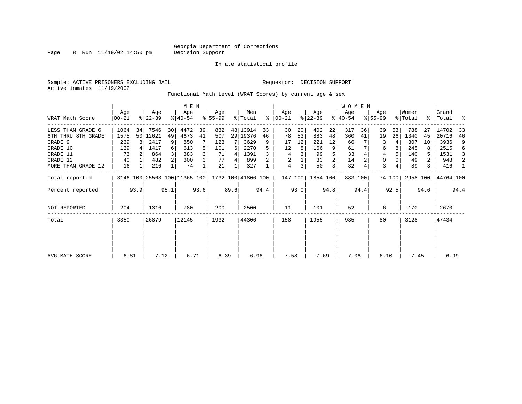Page 8 Run 11/19/02 14:50 pm

Inmate statistical profile

Sample: ACTIVE PRISONERS EXCLUDING JAIL **Requestor: DECISION SUPPORT** Active inmates 11/19/2002

Functional Math Level (WRAT Scores) by current age & sex

|                    |                   |      |                  |      | M E N                        |      |                    |      |                |      |                  |      |                  |                | <b>WOMEN</b>     |         |                    |        |                  |      |                    |      |
|--------------------|-------------------|------|------------------|------|------------------------------|------|--------------------|------|----------------|------|------------------|------|------------------|----------------|------------------|---------|--------------------|--------|------------------|------|--------------------|------|
| WRAT Math Score    | Age<br>$ 00 - 21$ |      | Age<br>$ 22-39 $ |      | Age<br>$ 40-54 $             |      | Aqe<br>$ 55-99 $   |      | Men<br>% Total | ႜ    | Age<br>$00 - 21$ |      | Age<br>$ 22-39 $ |                | Age<br>$ 40-54 $ |         | Age<br>$8155 - 99$ |        | Women<br>% Total |      | Grand<br>%   Total | ႜ    |
| LESS THAN GRADE 6  | 1064              | 34   | 7546             | 30   | 4472                         | 39   | 832                |      | 48 13914       | 33   | 30               | 20   | 402              | 22             | 317              | 36      | 39                 | 53     | 788              | 27   | 14702              | 33   |
| 6TH THRU 8TH GRADE | 1575              |      | 50 12621         | 49   | 4673                         | 41   | 507                |      | 29 19376       | 46   | 78               | 53   | 883              | 48             | 360              | 41      | 19                 | 26     | 1340             | 45   | 20716              | 46   |
| GRADE 9            | 239               | R I  | 2417             | 9    | 850                          |      | 123                |      | 3629           | 9    | 17               | 12   | 221              | 12             | 66               |         | 3                  |        | 307              | 10   | 3936               | 9    |
| GRADE 10           | 139               |      | 1417             | 6    | 613                          |      | 101                | 6    | 2270           |      | 12               | 8    | 166              | 9              | 61               |         | 6                  | 8      | 245              |      | 2515               | 6    |
| GRADE 11           | 73                |      | 864              |      | 383                          |      | 71                 | 4    | 1391           |      | 4                |      | 99               |                | 33               |         | 4                  |        | 140              | 5    | 1531               | 3    |
| GRADE 12           | 40                |      | 482              |      | 300                          |      | 77                 | 4    | 899            |      | 2                |      | 33               | 2              | 14               |         | 0                  |        | 49               | 2    | 948                | 2    |
| MORE THAN GRADE 12 | 16                |      | 216              |      | 74                           |      | 21                 |      | 327            |      | 4                | 3    | 50               | 3 <sub>1</sub> | 32               |         | 3                  |        | 89               | 3    | 416                | -1   |
| Total reported     |                   |      |                  |      | 3146 100 25563 100 11365 100 |      | 1732 100 41806 100 |      |                |      | 147 100          |      | 1854 100         |                |                  | 883 100 |                    | 74 100 | 2958 100         |      | 44764 100          |      |
| Percent reported   |                   | 93.9 |                  | 95.1 |                              | 93.6 |                    | 89.6 |                | 94.4 |                  | 93.0 |                  | 94.8           |                  | 94.4    |                    | 92.5   |                  | 94.6 |                    | 94.4 |
| NOT REPORTED       | 204               |      | 1316             |      | 780                          |      | 200                |      | 2500           |      | 11               |      | 101              |                | 52               |         | 6                  |        | 170              |      | 2670               |      |
| Total              | 3350              |      | 26879            |      | 12145                        |      | 1932               |      | 44306          |      | 158              |      | 1955             |                | 935              |         | 80                 |        | 3128             |      | 47434              |      |
|                    |                   |      |                  |      |                              |      |                    |      |                |      |                  |      |                  |                |                  |         |                    |        |                  |      |                    |      |
| AVG MATH SCORE     | 6.81              |      | 7.12             |      | 6.71                         |      | 6.39               |      | 6.96           |      | 7.58             |      | 7.69             |                | 7.06             |         | 6.10               |        | 7.45             |      | 6.99               |      |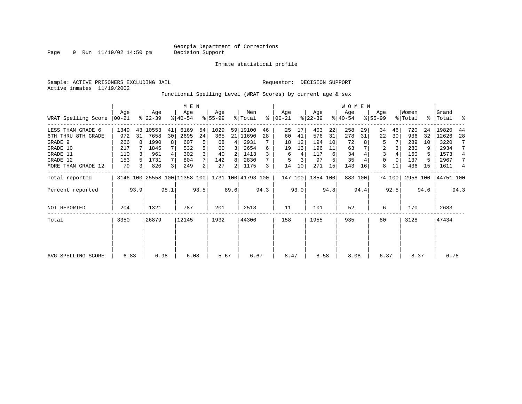Page 9 Run 11/19/02 14:50 pm

Inmate statistical profile

Active inmates 11/19/2002

Sample: ACTIVE PRISONERS EXCLUDING JAIL **Requestor: DECISION SUPPORT** 

Functional Spelling Level (WRAT Scores) by current age & sex

|                       | M E N           |      |                  |      |                              |                |                 |                |                    |      |                  |      |                  |      | <b>WOMEN</b>     |         |                    |          |                  |      |                    |      |
|-----------------------|-----------------|------|------------------|------|------------------------------|----------------|-----------------|----------------|--------------------|------|------------------|------|------------------|------|------------------|---------|--------------------|----------|------------------|------|--------------------|------|
| WRAT Spelling Score   | Aqe<br>$ 00-21$ |      | Age<br>$8 22-39$ |      | Age<br>$8 40-54$             |                | Aqe<br>$ 55-99$ |                | Men<br>% Total     | ⊱    | Age<br>$00 - 21$ |      | Age<br>$ 22-39 $ |      | Age<br>$ 40-54 $ |         | Aqe<br>$8155 - 99$ |          | Women<br>% Total |      | Grand<br>%   Total | ႜ    |
| LESS THAN GRADE 6     | 1349            |      | 43 10553         | 41   | 6169                         | 54             | 1029            |                | 59 19100           | 46   | 25               | 17   | 403              | 22   | 258              | 29      | 34                 | 46       | 720              | 24   | 19820              | 44   |
| 8TH GRADE<br>6TH THRU | 972             | 31   | 7658             | 30   | 2695                         | 24             | 365             |                | 21 11690           | 28   | 60               | 41   | 576              | 31   | 278              | 31      | 22                 | 30       | 936              | 32   | 12626              | 28   |
| GRADE 9               | 266             |      | 1990             | 8    | 607                          | 5              | 68              | 4              | 2931               |      | 18               | 12   | 194              | 10   | 72               |         | 5                  |          | 289              | 10   | 3220               |      |
| GRADE 10              | 217             |      | 1845             |      | 532                          |                | 60              | 3              | 2654               | 6    | 19               | 13   | 196              | 11   | 63               |         | 2                  |          | 280              | 9    | 2934               |      |
| GRADE 11              | 110             |      | 961              |      | 302                          |                | 40              |                | 1413               |      | 6                | 4    | 117              | 6    | 34               |         | 3                  |          | 160              | 5    | 1573               | 4    |
| GRADE 12              | 153             |      | 1731             |      | 804                          |                | 142             | 8              | 2830               |      | 5                |      | 97               |      | 35               |         | $\Omega$           | $\Omega$ | 137              |      | 2967               | 7    |
| MORE THAN GRADE 12    | 79              | 3    | 820              | 3    | 249                          | $\overline{2}$ | 27              | $\overline{2}$ | 1175               | 3    | 14               | 10   | 271              | 15   | 143              | 16      | 8                  | 11       | 436              | 15   | 1611               | 4    |
| Total reported        |                 |      |                  |      | 3146 100 25558 100 11358 100 |                |                 |                | 1731 100 41793 100 |      | 147 100          |      | 1854 100         |      |                  | 883 100 |                    | 74 100   | 2958 100         |      | 44751 100          |      |
| Percent reported      |                 | 93.9 |                  | 95.1 |                              | 93.5           |                 | 89.6           |                    | 94.3 |                  | 93.0 |                  | 94.8 |                  | 94.4    |                    | 92.5     |                  | 94.6 |                    | 94.3 |
| <b>NOT REPORTED</b>   | 204             |      | 1321             |      | 787                          |                | 201             |                | 2513               |      | 11               |      | 101              |      | 52               |         | 6                  |          | 170              |      | 2683               |      |
| Total                 | 3350            |      | 26879            |      | 12145                        |                | 1932            |                | 44306              |      | 158              |      | 1955             |      | 935              |         | 80                 |          | 3128             |      | 47434              |      |
|                       |                 |      |                  |      |                              |                |                 |                |                    |      |                  |      |                  |      |                  |         |                    |          |                  |      |                    |      |
|                       |                 |      |                  |      |                              |                |                 |                |                    |      |                  |      |                  |      |                  |         |                    |          |                  |      |                    |      |
| AVG SPELLING SCORE    | 6.83            |      | 6.98             |      | 6.08                         |                | 5.67            |                | 6.67               |      | 8.47             |      | 8.58             |      | 8.08             |         | 6.37               |          | 8.37             |      | 6.78               |      |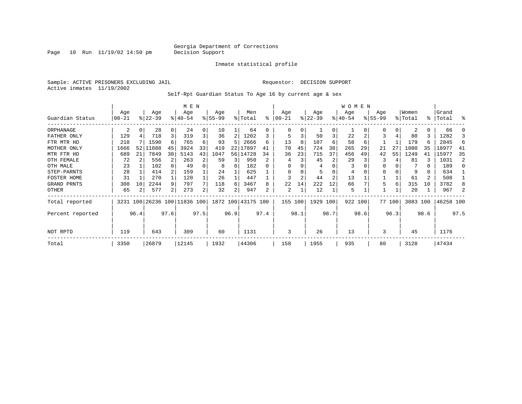Page  $10$  Run  $11/19/02$  14:50 pm

### Inmate statistical profile

Sample: ACTIVE PRISONERS EXCLUDING JAIL **Requestor: DECISION SUPPORT** Active inmates 11/19/2002

Self-Rpt Guardian Status To Age 16 by current age & sex

|                  |            |      |           |          | M E N                        |      |           |      |                    |      |          |      |           |                | <b>WOMEN</b> |      |             |          |          |      |           |      |
|------------------|------------|------|-----------|----------|------------------------------|------|-----------|------|--------------------|------|----------|------|-----------|----------------|--------------|------|-------------|----------|----------|------|-----------|------|
|                  | Age        |      | Age       |          | Age                          |      | Age       |      | Men                |      | Age      |      | Age       |                | Age          |      | Age         |          | Women    |      | Grand     |      |
| Guardian Status  | $00 - 21$  |      | $ 22-39 $ |          | $ 40-54 $                    |      | $8 55-99$ |      | % Total            | ႜ    | $ 00-21$ |      | $ 22-39 $ |                | $ 40-54 $    |      | $8155 - 99$ |          | % Total  |      | %   Total | ႜ    |
| ORPHANAGE        | 2          | 0    | 28        | $\Omega$ | 24                           | 0    | 10        |      | 64                 | 0    | 0        | 0    |           | 0              |              |      | O           | $\Omega$ | 2        | 0    | 66        |      |
| FATHER ONLY      | 129        |      | 718       | 3        | 319                          | 3    | 36        | 2    | 1202               |      | 5        | 3    | 50        | 3              | 22           |      | 3           |          | 80       | 3    | 1282      |      |
| FTR MTR HD       | 218        |      | 1590      | 6        | 765                          | 6    | 93        | 5    | 2666               | 6    | 13       | 8    | 107       | 6              | 58           | 6    |             |          | 179      | б    | 2845      | 6    |
| MOTHER ONLY      | 1666       | 52   | 11888     | 45       | 3924                         | 33   | 419       | 22   | 17897              | 41   | 70       | 45   | 724       | 38             | 265          | 29   | 21          | 27       | 1080     | 35   | 18977     | 41   |
| MTR FTR HD       | 689        | 21   | 7849      | 30       | 5143                         | 43   | 1047      | 56   | 14728              | 34   | 36       | 23   | 715       | 37             | 456          | 49   | 42          | 55       | 1249     | 41   | 15977     | 35   |
| OTH FEMALE       | 72         |      | 556       |          | 263                          | 2    | 59        | 3    | 950                |      | 4        |      | 45        | 2              | 29           |      | 3           |          | 81       |      | 1031      | 2    |
| OTH MALE         | 23         |      | 102       | 0        | 49                           | 0    | 8         | 0    | 182                |      | $\Omega$ |      | 4         |                | 3            |      | $\Omega$    |          |          | 0    | 189       | n    |
| STEP-PARNTS      | 28         |      | 414       |          | 159                          |      | 24        |      | 625                |      | $\Omega$ |      |           | $\Omega$       | 4            |      | 0           |          | 9        | 0    | 634       |      |
| FOSTER HOME      | 31         |      | 270       |          | 120                          |      | 26        |      | 447                |      | 3        | 2    | 44        | $\overline{2}$ | 13           |      |             |          | 61       | 2    | 508       |      |
| GRAND PRNTS      | 308        | 10   | 2244      | 9        | 797                          | 7    | 118       | 6    | 3467               | 8    | 22       | 14   | 222       | 12             | 66           |      | 5           | 6        | 315      | 10   | 3782      | 8    |
| OTHER            | 65         | 2    | 577       | 2        | 273                          | 2    | 32        |      | 947                | 2    | 2        | 1    | 12        |                | 5            |      |             |          | 20       |      | 967       |      |
| Total reported   |            |      |           |          | 3231 100 26236 100 11836 100 |      |           |      | 1872 100 43175 100 |      | 155 100  |      | 1929      | 100            | 922 100      |      |             | 77 100   | 3083 100 |      | 46258 100 |      |
| Percent reported |            | 96.4 |           | 97.6     |                              | 97.5 |           | 96.9 |                    | 97.4 |          | 98.1 |           | 98.7           |              | 98.6 |             | 96.3     |          | 98.6 |           | 97.5 |
| NOT RPTD         | 643<br>119 |      |           |          | 309                          |      | 60        |      | 1131               |      | 3        |      | 26        |                | 13           |      | 3           |          | 45       |      | 1176      |      |
| Total            | 3350       |      | 26879     |          | 12145                        |      | 1932      |      | 44306              |      | 158      |      | 1955      |                | 935          |      | 80          |          | 3128     |      | 47434     |      |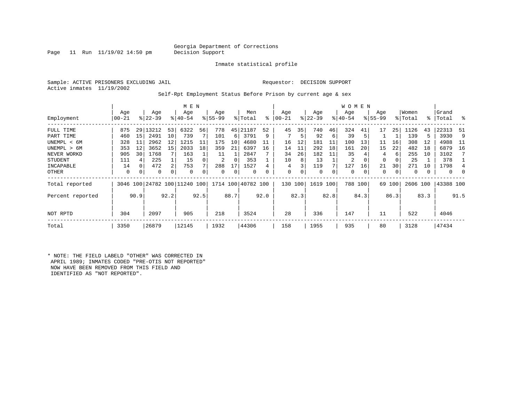### Georgia Department of Corrections<br>Decision Support

Page 11 Run  $11/19/02$  14:50 pm

Inmate statistical profile

Sample: ACTIVE PRISONERS EXCLUDING JAIL Requestor: DECISION SUPPORT Active inmates 11/19/2002

Self-Rpt Employment Status Before Prison by current age & sex

|                  | M E N    |      |           |      |                              |      |          |      |                    |      |       |         |           |      | <b>WOMEN</b> |         |             |        |          |      |           |               |
|------------------|----------|------|-----------|------|------------------------------|------|----------|------|--------------------|------|-------|---------|-----------|------|--------------|---------|-------------|--------|----------|------|-----------|---------------|
|                  | Age      |      | Age       |      | Age                          |      | Age      |      | Men                |      | Age   |         | Age       |      | Age          |         | Age         |        | Women    |      | Grand     |               |
| Employment       | $ 00-21$ |      | $ 22-39 $ |      | $8 40-54$                    |      | $ 55-99$ |      | % Total            | ి    | 00-21 |         | $ 22-39 $ |      | $ 40-54 $    |         | $8155 - 99$ |        | % Total  |      | %   Total | $\frac{8}{6}$ |
| FULL TIME        | 875      | 29   | 13212     | 53   | 6322                         | 56   | 778      | 45   | 21187              | 52   | 45    | 35      | 740       | 46   | 324          | 41      | 17          | 25     | 1126     | 43   | 22313     | -51           |
| PART TIME        | 460      | 15   | 2491      | 10   | 739                          |      | 101      | 6    | 3791               | 9    |       | 5       | 92        | 6    | 39           | 5       |             |        | 139      | 5    | 3930      | 9             |
| UNEMPL < 6M      | 328      | 11   | 2962      | 12   | 1215                         | 11   | 175      | 10   | 4680               |      | 16    | 12      | 181       | 11   | 100          | 13      | 11          | 16     | 308      | 12   | 4988      | - 11          |
| UNEMPL > 6M      | 353      | 12   | 3652      | 15   | 2033                         | 18   | 359      | 21   | 6397               | 16   | 14    | 11      | 292       | 18   | 161          | 20      | 15          | 22     | 482      | 18   | 6879      | 16            |
| NEVER WORKD      | 905      | 30   | 1768      |      | 163                          |      | 11       |      | 2847               |      | 34    | 26      | 182       | 11   | 35           |         | 4           | 6      | 255      | 10   | 3102      |               |
| <b>STUDENT</b>   | 111      |      | 225       |      | 15                           |      | 2        | 0    | 353                |      | 10    | 8       | 13        |      | 2            | 0       | $\Omega$    | 0      | 25       |      | 378       |               |
| INCAPABLE        | 14       | 0    | 472       | 2    | 753                          |      | 288      | 17   | 1527               |      | 4     |         | 119       |      | 127          | 16      | 21          | 30     | 271      | 10   | 1798      |               |
| OTHER            | 0        | 0    | 0         | 0    | 0                            |      | 0        | 0    | 0                  | 0    | 0     | 0       | 0         | 0    | 0            | 0       | 0           | 0      | 0        |      | 0         | 0             |
| Total reported   |          |      |           |      | 3046 100 24782 100 11240 100 |      |          |      | 1714 100 40782 100 |      |       | 130 100 | 1619 100  |      |              | 788 100 |             | 69 100 | 2606 100 |      | 43388 100 |               |
| Percent reported |          | 90.9 |           | 92.2 |                              | 92.5 |          | 88.7 |                    | 92.0 |       | 82.3    |           | 82.8 |              | 84.3    |             | 86.3   |          | 83.3 |           | 91.5          |
| NOT RPTD         | 304      |      | 2097      |      | 905                          |      | 218      |      | 3524               |      | 28    |         | 336       |      | 147          |         | 11          |        | 522      |      | 4046      |               |
| Total            | 3350     |      | 26879     |      | 12145                        |      | 1932     |      | 44306              |      | 158   |         | 1955      |      | 935          |         | 80          |        | 3128     |      | 47434     |               |

\* NOTE: THE FIELD LABELD "OTHER" WAS CORRECTED IN APRIL 1989; INMATES CODED "PRE-OTIS NOT REPORTED" NOW HAVE BEEN REMOVED FROM THIS FIELD AND IDENTIFIED AS "NOT REPORTED".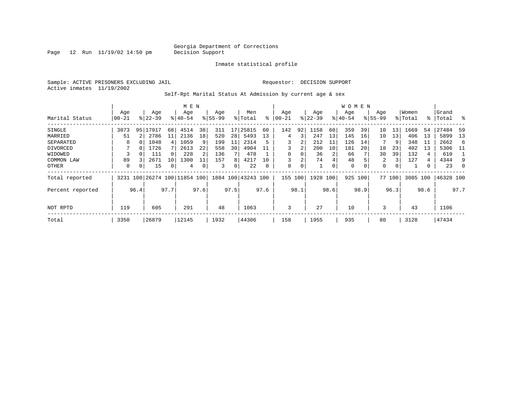Page  $12$  Run  $11/19/02$  14:50 pm

### Inmate statistical profile

Sample: ACTIVE PRISONERS EXCLUDING JAIL Requestor: DECISION SUPPORT Active inmates 11/19/2002

Self-Rpt Marital Status At Admission by current age & sex

|                  |           |          |                              |      | M E N       |      |           |      |                    |      |          |      |           |          | W O M E N   |          |             |        |          |      |           |          |
|------------------|-----------|----------|------------------------------|------|-------------|------|-----------|------|--------------------|------|----------|------|-----------|----------|-------------|----------|-------------|--------|----------|------|-----------|----------|
|                  | Age       |          | Age                          |      | Age         |      | Age       |      | Men                |      | Age      |      | Age       |          | Age         |          | Age         |        | Women    |      | Grand     |          |
| Marital Status   | $00 - 21$ |          | $8122 - 39$                  |      | $8140 - 54$ |      | $8 55-99$ |      | % Total            | ⊱    | $ 00-21$ |      | $ 22-39 $ |          | $ 40-54 $   |          | $8155 - 99$ |        | % Total  |      | %  Total  | $\sim$ 8 |
| SINGLE           | 3073      | 95       | 17917                        | 68   | 4514        | 38   | 311       | 17   | 25815              | 60   | 142      | 92   | 1158      | 60       | 359         | 39       | 10          | 13     | 1669     | 54   | 27484     | -59      |
| MARRIED          | 51        |          | 2786                         | 11   | 2136        | 18   | 520       | 28   | 5493               | 13   | 4        | 3    | 247       | 13       | 145         | 16       | 10          | 13     | 406      | 13   | 5899      | 13       |
| SEPARATED        | 8         | $\Omega$ | 1048                         | 4    | 1059        | 9    | 199       | 11   | 2314               | 5    |          | 2    | 212       | 11       | 126         | 14       |             | 9      | 348      | -11  | 2662      | -6       |
| DIVORCED         |           | $\Omega$ | 1726                         |      | 2613        | 22   | 558       | 30   | 4904               | 11   |          | 2    | 200       | 10       | 181         | 20       | 18          | 23     | 402      | 13   | 5306      | - 11     |
| WIDOWED          |           |          | 111                          | 0    | 228         | 2    | 136       |      | 478                |      |          | 0    | 36        |          | 66          |          | 30          | 39     | 132      | 4    | 610       |          |
| COMMON LAW       | 89        |          | 2671                         | 10   | 1300        |      | 157       | 8    | 4217               | 10   |          | 2    | 74        | 4        | 48          |          | 2           | 3      | 127      | 4    | 4344      | 9        |
| OTHER            | 0         | 0        | 15                           | 0    | 4           |      | 3         | 0    | 22                 | 0    | 0        | 0    |           | $\Omega$ | $\mathbf 0$ | $\Omega$ | 0           |        |          |      | 23        | $\Omega$ |
| Total reported   |           |          | 3231 100 26274 100 11854 100 |      |             |      |           |      | 1884 100 43243 100 |      | 155      | 100  | 1928 100  |          | 925         | 100      |             | 77 100 | 3085 100 |      | 46328 100 |          |
| Percent reported |           | 96.4     |                              | 97.7 |             | 97.6 |           | 97.5 |                    | 97.6 |          | 98.1 |           | 98.6     |             | 98.9     |             | 96.3   |          | 98.6 |           | 97.7     |
|                  |           |          |                              |      |             |      |           |      |                    |      |          |      |           |          |             |          |             |        |          |      |           |          |
| NOT RPTD         | 119       |          | 605                          |      | 291         |      | 48        |      | 1063               |      | 3        |      | 27        |          | 10          |          | 3           |        | 43       |      | 1106      |          |
| Total            | 3350      |          | 26879                        |      | 12145       |      | 1932      |      | 44306              |      | 158      |      | 1955      |          | 935         |          | 80          |        | 3128     |      | 47434     |          |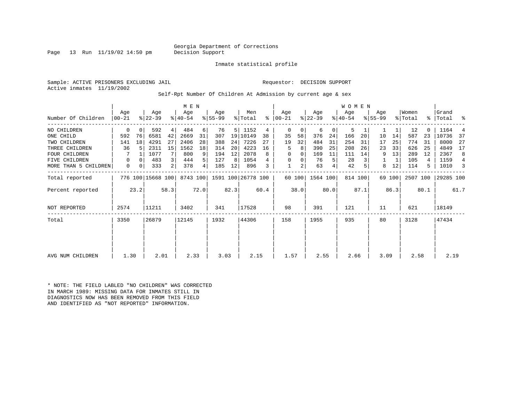Page 13 Run  $11/19/02$  14:50 pm

Inmate statistical profile

Sample: ACTIVE PRISONERS EXCLUDING JAIL Requestor: DECISION SUPPORT Active inmates 11/19/2002

Self-Rpt Number Of Children At Admission by current age & sex

|                      | M E N            |          |                   |                |                  |          |                  |      |                    |      |                 |        |                  |      | <b>WOMEN</b>     |         |                    |             |                  |      |                |      |
|----------------------|------------------|----------|-------------------|----------------|------------------|----------|------------------|------|--------------------|------|-----------------|--------|------------------|------|------------------|---------|--------------------|-------------|------------------|------|----------------|------|
| Number Of Children   | Aqe<br>$00 - 21$ |          | Age<br>$ 22-39 $  |                | Age<br>$8 40-54$ |          | Age<br>$ 55-99 $ |      | Men<br>% Total     | ႜ    | Aqe<br>$ 00-21$ |        | Age<br>$ 22-39 $ |      | Age<br>$8 40-54$ |         | Aqe<br>$8155 - 99$ |             | Women<br>% Total | °≈   | Grand<br>Total | ႜ    |
| NO CHILDREN          | 0                | $\Omega$ | 592               | 4              | 484              | 6        | 76               | 5    | 1152               | 4    | 0               | 0      | 6                | 0    | 5                |         |                    | 1           | 12               |      | 1164           |      |
| ONE CHILD            | 592              | 76       | 6581              | 42             | 2669             | 31       | 307              | 19   | 10149              | 38   | 35              | 58     | 376              | 24   | 166              | 20      | 10                 | 14          | 587              | 23   | 10736          | 37   |
| TWO CHILDREN         | 141              | 18       | 4291              | 27             | 2406             | 28       | 388              | 24   | 7226               | 27   | 19              | 32     | 484              | 31   | 254              | 31      | 17                 | 25          | 774              | 31   | 8000           | 27   |
| THREE CHILDREN       | 36               |          | 2311              | 15             | 1562             | 18       | 314              | 20   | 4223               | 16   | 5               | 8      | 390              | 25   | 208              | 26      | 23                 | 33          | 626              | 25   | 4849           | 17   |
| <b>FOUR CHILDREN</b> |                  |          | 1077              |                | 800              | 9        | 194              | 12   | 2078               | 8    | 0               | 0      | 169              | 11   | 111              | 14      | 9                  | 13          | 289              | 12   | 2367           | 8    |
| FIVE CHILDREN        | 0                | $\Omega$ | 483               | 3              | 444              | 5        | 127              | 8    | 1054               |      | 0               | 0      | 76               | 5    | 28               |         |                    | $\mathbf 1$ | 105              | 4    | 1159           | 4    |
| MORE THAN 5 CHILDREN | 0                | 0        | 333               | $\overline{2}$ | 378              | $4\vert$ | 185              | 12   | 896                | 3    |                 | 2      | 63               | 4    | 42               |         | 8                  | 12          | 114              | 5    | 1010           | 3    |
| Total reported       |                  |          | 776 100 15668 100 |                | 8743 100         |          |                  |      | 1591 100 26778 100 |      |                 | 60 100 | 1564 100         |      |                  | 814 100 |                    | 69 100      | 2507 100         |      | 29285 100      |      |
| Percent reported     |                  | 23.2     |                   | 58.3           |                  | 72.0     |                  | 82.3 |                    | 60.4 |                 | 38.0   |                  | 80.0 |                  | 87.1    |                    | 86.3        |                  | 80.1 |                | 61.7 |
| NOT REPORTED         | 2574             |          | 11211             |                | 3402             |          | 341              |      | 17528              |      | 98              |        | 391              |      | 121              |         | 11                 |             | 621              |      | 18149          |      |
| Total                | 3350             | 26879    |                   |                | 12145            |          | 1932             |      | 44306              |      | 158             |        | 1955             |      | 935              |         | 80                 |             | 3128             |      | 47434          |      |
|                      |                  |          |                   |                |                  |          |                  |      |                    |      |                 |        |                  |      |                  |         |                    |             |                  |      |                |      |
|                      |                  |          |                   |                |                  |          |                  |      |                    |      |                 |        |                  |      |                  |         |                    |             |                  |      |                |      |
| AVG NUM CHILDREN     | 1.30             |          | 2.01              |                | 2.33             |          | 3.03             |      | 2.15               |      | 1.57            |        | 2.55             |      | 2.66             |         | 3.09               |             | 2.58             |      | 2.19           |      |

\* NOTE: THE FIELD LABLED "NO CHILDREN" WAS CORRECTED IN MARCH 1989: MISSING DATA FOR INMATES STILL IN DIAGNOSTICS NOW HAS BEEN REMOVED FROM THIS FIELD AND IDENTIFIED AS "NOT REPORTED" INFORMATION.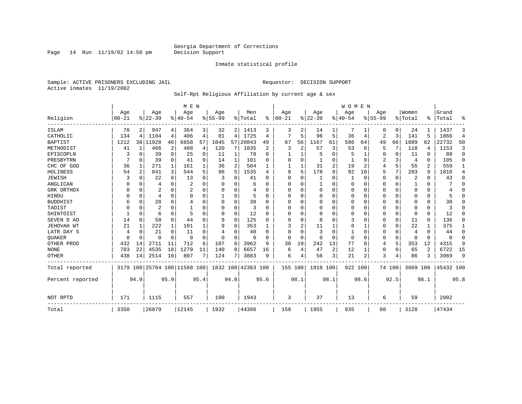Page  $14$  Run  $11/19/02$   $14:50$  pm

### Inmate statistical profile

Sample: ACTIVE PRISONERS EXCLUDING JAIL **Requestor: DECISION SUPPORT** Active inmates 11/19/2002

### Self-Rpt Religious Affiliation by current age & sex

|                  |                   |             |                  |              | M E N                   |          |                  |              |                    |                |                   |                |                 |          | <b>WOMEN</b>     |          |                  |             |                  |          |                |             |
|------------------|-------------------|-------------|------------------|--------------|-------------------------|----------|------------------|--------------|--------------------|----------------|-------------------|----------------|-----------------|----------|------------------|----------|------------------|-------------|------------------|----------|----------------|-------------|
| Religion         | Age<br>$ 00 - 21$ |             | Age<br>$8 22-39$ |              | Age<br>$8 40-54$        |          | Age<br>$8 55-99$ |              | Men<br>% Total     | ႜ              | Age<br>$ 00 - 21$ |                | Age<br>$ 22-39$ |          | Age<br>$8 40-54$ |          | Age<br>$8 55-99$ |             | Women<br>% Total | ႜ        | Grand<br>Total | ႜ           |
| ISLAM            | 70                | 2           | 947              | 4            | 364                     | 3        | 32               | 2            | 1413               | 3              | 3                 |                | 14              |          |                  |          | 0                | 0           | 24               |          | 1437           | 3           |
| CATHOLIC         | 134               | 4           | 1104             | 4            | 406                     | 4        | 81               | 4            | 1725               | 4              | 7                 | 5              | 96              | 5        | 36               | 4        | 2                | 3           | 141              | 5        | 1866           | 4           |
| <b>BAPTIST</b>   | 1212              |             | 38   11928       | 46           | 6658                    | 57       | 1045             | 57           | 20843              | 49             | 87                | 56             | 1167            | 61       | 586              | 64       | 49               | 66          | 1889             | 62       | 22732          | 50          |
| METHODIST        | 41                | $\mathbf 1$ | 466              | 2            | 408                     | 4        | 120              | 7            | 1035               | 2              | 3                 | $\overline{2}$ | 57              | 3        | 53               | 6        | 5                | 7           | 118              | 4        | 1153           | 3           |
| EPISCOPLN        |                   | 0           | 39               | 0            | 25                      | 0        | 11               | $\mathbf{1}$ | 78                 | $\Omega$       |                   | 1              | 5               | O        |                  | 1        | 0                | 0           | 11               | 0        | 89             | $\mathbf 0$ |
| PRESBYTRN        |                   | 0           | 39               | 0            | 41                      | 0        | 14               | 1            | 101                | $\Omega$       | 0                 | $\Omega$       | $\mathbf{1}$    | 0        |                  | $\Omega$ | 2                | 3           | 4                | 0        | 105            | 0           |
| CHC OF GOD       | 36                | 1           | 271              | 1            | 161                     |          | 36               | 2            | 504                |                |                   | 1              | 31              | 2        | 19               | 2        | 4                | 5           | 55               | 2        | 559            | 1           |
| HOLINESS         | 54                | 2           | 841              | 3            | 544                     | 5        | 96               | 5            | 1535               | $\overline{4}$ | 8                 | 5              | 178             | 9        | 92               | 10       | 5                | 7           | 283              | 9        | 1818           | 4           |
| <b>JEWISH</b>    |                   | $\Omega$    | 22               | $\Omega$     | 13                      | $\Omega$ |                  | 0            | 41                 | $\Omega$       | $\Omega$          | $\Omega$       |                 | O        | 1                | $\Omega$ | 0                | 0           | 2                | $\Omega$ | 43             | $\Omega$    |
| ANGLICAN         |                   | $\Omega$    | 4                | $\Omega$     | $\overline{2}$          |          |                  | 0            | 6                  | ∩              | 0                 | U              |                 | U        | 0                | 0        | 0                | 0           |                  | $\Omega$ |                | $\Omega$    |
| GRK ORTHDX       | U                 | $\Omega$    | 2                | $\Omega$     |                         | O        | U                | 0            | 4                  | <sup>0</sup>   | O                 | U              | $\mathbf 0$     | U        | 0                | $\Omega$ | 0                | $\Omega$    | $\Omega$         | $\Omega$ |                | 0           |
| HINDU            |                   | $\Omega$    | 4                | $\Omega$     | $\Omega$                | O        |                  | O            |                    | $\Omega$       | $\Omega$          | $\Omega$       | 0               | U        | 0                | $\Omega$ | 0                | $\Omega$    | $\Omega$         | $\Omega$ |                | $\Omega$    |
| <b>BUDDHIST</b>  |                   | $\Omega$    | 28               | $\Omega$     | 4                       |          | $\Omega$         | 0            | 38                 | $\Omega$       | $\Omega$          | $\Omega$       | $\mathbf 0$     | 0        | $\Omega$         | $\Omega$ | 0                | $\Omega$    | $\Omega$         | $\Omega$ | 38             | $\Omega$    |
| TAOIST           |                   | $\Omega$    | 2                | 0            |                         |          | 0                | 0            | 3                  | $\Omega$       | 0                 | O              | $\mathbf 0$     | U        | 0                | $\Omega$ | 0                | $\Omega$    | $\Omega$         | $\Omega$ | 3              | $\Omega$    |
| SHINTOIST        |                   | $\Omega$    | 6                | $\Omega$     | 5                       | O        | 0                | 0            | 12                 | $\Omega$       | O                 | U              | 0               | U        | 0                | $\Omega$ | 0                | 0           | $\Omega$         | $\Omega$ | 12             | $\Omega$    |
| SEVEN D AD       | 14                | $\Omega$    | 58               | $\Omega$     | 44                      | U        | 9                | 0            | 125                | $\Omega$       | U                 | $\Omega$       | 8               | U        | 3                | $\Omega$ | 0                | $\Omega$    | 11               | $\Omega$ | 136            | O           |
| JEHOVAH WT       | 21                | 1           | 222              | $\mathbf{1}$ | 101                     |          | 9                | O            | 353                |                |                   |                | 11              |          | 8                | 1        | 0                | $\mathbf 0$ | 22               |          | 375            | 1           |
| LATR DAY S       | 4                 | $\Omega$    | 21               | $\Omega$     | 11                      |          | 4                | O            | 40                 | $\Omega$       | $\Omega$          | $\Omega$       | 3               | $\Omega$ | 1                | $\Omega$ | 0                | $\Omega$    | 4                | $\Omega$ | 44             | 0           |
| <b>OUAKER</b>    | U                 | $\Omega$    | U                | $\Omega$     | $\Omega$                | O        | $\Omega$         | 0            | $\Omega$           | ∩              | $\Omega$          | $\Omega$       | $\Omega$        | O        | $\Omega$         | $\Omega$ | 0                | $\Omega$    | $\Omega$         | $\Omega$ | $\Omega$       | 0           |
| OTHER PROD       | 432               | 14          | 2711             | 11           | 712                     | 6        | 107              | 6            | 3962               | 9              | 30                | 19             | 242             | 13       | 77               | 8        | 4                | 5           | 353              | 12       | 4315           | 9           |
| <b>NONE</b>      | 703               | 22          | 4535             | 18           | 1279                    | 11       | 140              | 8            | 6657               | 16             | 6                 | 4              | 47              | 2        | 12               | 1        | 0                | 0           | 65               | 2        | 6722           | 15          |
| <b>OTHER</b>     | 438               | 14          | 2514             | 10           | 807                     |          | 124              | 7            | 3883               | 9              | 6                 | 4              | 56              | 3        | 21               | 2        | 3                | 4           | 86               | 3        | 3969           | 9           |
| Total reported   | 3179              |             |                  |              | 100 25764 100 11588 100 |          |                  |              | 1832 100 42363 100 |                | 155 100           |                | 1918 100        |          | 922 100          |          |                  | 74 100      | 3069 100         |          | 45432 100      |             |
| Percent reported |                   | 94.9        |                  | 95.9         |                         | 95.4     |                  | 94.8         |                    | 95.6           |                   | 98.1           |                 | 98.1     |                  | 98.6     |                  | 92.5        |                  | 98.1     |                | 95.8        |
| NOT RPTD         | 171               |             | 1115             |              | 557                     |          | 100              |              | 1943               |                | 3                 |                | 37              |          | 13               |          | 6                |             | 59               |          | 2002           |             |
| Total            | 3350              |             | 26879            |              | 12145                   |          | 1932             |              | 44306              |                | 158               |                | 1955            |          | 935              |          | 80               |             | 3128             |          | 47434          |             |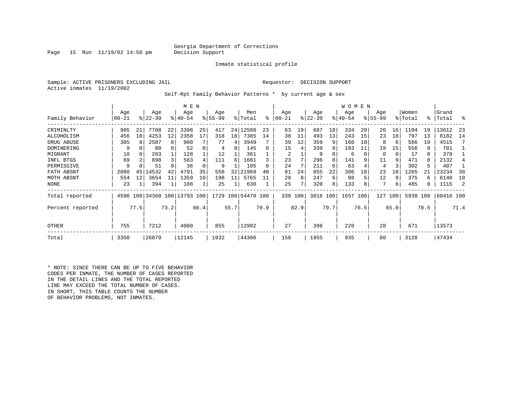### Georgia Department of Corrections<br>Decision Support

Page 15 Run  $11/19/02$  14:50 pm

Inmate statistical profile

Sample: ACTIVE PRISONERS EXCLUDING JAIL Requestor: DECISION SUPPORT Active inmates 11/19/2002

Self-Rpt Family Behavior Patterns \* by current age & sex

|                  |       |      |                              |      | M E N       |      |           |      |                    |      |           |      |           |      | <b>WOMEN</b> |      |             |      |          |      |           |      |
|------------------|-------|------|------------------------------|------|-------------|------|-----------|------|--------------------|------|-----------|------|-----------|------|--------------|------|-------------|------|----------|------|-----------|------|
|                  | Age   |      | Age                          |      | Age         |      | Age       |      | Men                |      | Age       |      | Age       |      | Age          |      | Age         |      | Women    |      | Grand     |      |
| Family Behavior  | 00-21 |      | $ 22-39 $                    |      | $8140 - 54$ |      | $8 55-99$ |      | % Total            | ႜ    | $00 - 21$ |      | $ 22-39 $ |      | $ 40-54$     |      | $8155 - 99$ |      | % Total  | °≈   | Total     | ႜ    |
| CRIMINLTY        | 985   | 21   | 7708                         | 22   | 3398        | 25   | 417       |      | 24 12508           | 23   | 63        | 19   | 687       | 18   | 334          | 20   | 20          | 16   | 1104     | 19   | 13612     | -23  |
| ALCOHOLISM       | 456   | 10   | 4253                         | 12   | 2358        | 17   | 318       | 18   | 7385               | 14   | 38        | 11   | 493       | 13   | 243          | 15   | 23          | 18   | 797      | 13   | 8182      | 14   |
| DRUG ABUSE       | 385   | 8    | 2587                         | 8    | 900         |      | 77        | 4    | 3949               |      | 39        | 12   | 359       |      | 160          | 10   | 8           | 6    | 566      | 10   | 4515      |      |
| DOMINERING       | 9     |      | 80                           |      | 52          |      | 4         | 0    | 145                |      | 15        | 4    | 339       | 9    | 183          | 11   | 19          | 15   | 556      | 9    | 701       |      |
| MIGRANT          | 18    |      | 203                          |      | 128         |      | 12        |      | 361                |      | 2         |      |           |      | 6            |      | 0           | 0    | 17       | 0    | 378       |      |
| INFL BTGS        | 69    |      | 898                          |      | 583         |      | 111       | 6    | 1661               |      | 23        |      | 296       |      | 141          |      | 11          |      | 471      | 8    | 2132      |      |
| PERMISSIVE       | 9     |      | 51                           |      | 36          |      | 9         |      | 105                |      | 24        |      | 211       | 6    | 63           |      | 4           |      | 302      | 5    | 407       |      |
| FATH ABSNT       | 2088  | 45   | 14532                        | 42   | 4791        | 35   | 558       | 32   | 21969              | 40   | 81        | 24   | 855       | 22   | 306          | 18   | 23          | 18   | 1265     |      | 23234     | 38   |
| MOTH ABSNT       | 554   | 12   | 3654                         | 11   | 1359        | 10   | 198       | 11   | 5765               |      | 28        | 8    | 247       | 6    | 88           |      | 12          | 9    | 375      | 6    | 6140      | 10   |
| NONE             | 23    |      | 394                          |      | 188         |      | 25        |      | 630                |      | 25        |      | 320       | 8    | 133          |      | 7           | 6    | 485      | 8    | 1115      |      |
| Total reported   |       |      | 4596 100 34360 100 13793 100 |      |             |      |           |      | 1729 100 54478 100 |      | 338 100   |      | 3816 100  |      | 1657 100     |      | 127         | 100  | 5938 100 |      | 60416 100 |      |
| Percent reported |       | 77.5 |                              | 73.2 |             | 66.4 |           | 55.7 |                    | 70.9 |           | 82.9 |           | 79.7 |              | 76.5 |             | 65.0 |          | 78.5 |           | 71.4 |
| <b>OTHER</b>     | 755   |      | 7212                         |      | 4080        |      | 855       |      | 12902              |      | 27        |      | 396       |      | 220          |      | 28          |      | 671      |      | 13573     |      |
| Total            | 3350  |      | 26879                        |      | 12145       |      | 1932      |      | 44306              |      | 158       |      | 1955      |      | 935          |      | 80          |      | 3128     |      | 47434     |      |

\* NOTE: SINCE THERE CAN BE UP TO FIVE BEHAVIOR CODES PER INMATE, THE NUMBER OF CASES REPORTED IN THE DETAIL LINES AND THE TOTAL REPORTED LINE MAY EXCEED THE TOTAL NUMBER OF CASES. IN SHORT, THIS TABLE COUNTS THE NUMBER OF BEHAVIOR PROBLEMS, NOT INMATES.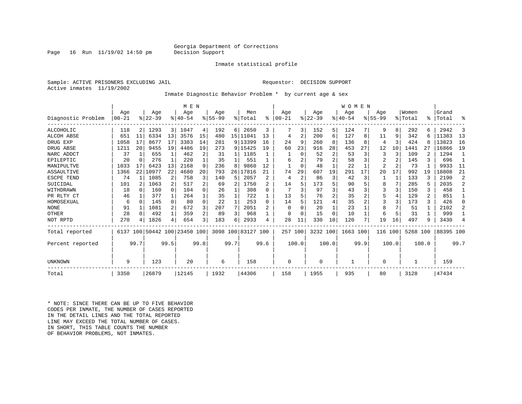### Georgia Department of Corrections<br>Decision Support

Page  $16$  Run  $11/19/02$   $14:50$  pm

#### Inmate statistical profile

Sample: ACTIVE PRISONERS EXCLUDING JAIL Requestor: DECISION SUPPORT Active inmates 11/19/2002

Inmate Diagnostic Behavior Problem \* by current age & sex

|                    |          |          |           |                | M E N                   |                         |          |      |                     |          |           |                |          |                | <b>WOMEN</b> |      |                |                |          |                |           |                |
|--------------------|----------|----------|-----------|----------------|-------------------------|-------------------------|----------|------|---------------------|----------|-----------|----------------|----------|----------------|--------------|------|----------------|----------------|----------|----------------|-----------|----------------|
|                    | Age      |          | Age       |                | Age                     |                         | Age      |      | Men                 |          | Age       |                | Age      |                | Age          |      | Age            |                | Women    |                | Grand     |                |
| Diagnostic Problem | $ 00-21$ |          | $8 22-39$ |                | $8 40-54$               |                         | $ 55-99$ |      | $\frac{1}{2}$ Total | ៖        | $00 - 21$ |                | $ 22-39$ |                | $ 40-54$     |      | $8155 - 99$    |                | % Total  |                | %   Total | ዱ              |
| ALCOHOLIC          | 118      | 2        | 1293      | 3              | 1047                    | 4                       | 192      | 6    | 2650                | 3        |           | 3              | 152      | 5              | 124          |      | 9              | 8              | 292      |                | 2942      | 3              |
| <b>ALCOH ABSE</b>  | 651      | 11       | 6334      | 13             | 3576                    | 15                      | 480      |      | 15   11041          | 13       | 4         | $\overline{2}$ | 200      | 6              | 127          | 8    | 11             | 9              | 342      |                | 11383     | 13             |
| DRUG EXP           | 1058     | 17       | 8677      | 17             | 3383                    | 14                      | 281      |      | 9 13399             | 16       | 24        | 9              | 260      | 8              | 136          | 8    | 4              | 3              | 424      |                | 13823     | 16             |
| DRUG ABSE          | 1211     | 20       | 9455      | 19             | 4486                    | 19                      | 273      |      | 9 15425             | 19       | 60        | 23             | 916      | 28             | 453          | 27   | 12             | 10             | 1441     |                | 16866     | 19             |
| NARC ADDCT         | 37       |          | 655       | $\mathbf{1}$   | 462                     | 2                       | 31       | 1    | 1185                |          |           | $\Omega$       | 52       | $\overline{2}$ | 53           | 3    | 3              | 3              | 109      |                | 1294      | $\mathbf{1}$   |
| EPILEPTIC          | 20       | $\Omega$ | 276       |                | 220                     |                         | 35       |      | 551                 |          | 6         |                | 79       | 2              | 58           |      | 2              |                | 145      |                | 696       |                |
| MANIPULTVE         | 1033     | 17       | 6423      | 13             | 2168                    | 9                       | 236      | 8    | 9860                | 12       |           | $\Omega$       | 48       |                | 22           |      | $\overline{2}$ | $\overline{a}$ | 73       |                | 9933      | 11             |
| ASSAULTIVE         | 1366     | 22       | 10977     | 22             | 4680                    | 20                      | 793      | 26   | 17816               | 21       | 74        | 29             | 607      | 19             | 291          | 17   | 20             | 17             | 992      | 19             | 18808     | 21             |
| ESCPE TEND         | 74       |          | 1085      | 2              | 758                     | 3                       | 140      | 5    | 2057                |          | 4         | $\overline{a}$ | 86       | 3              | 42           | 3    |                | 1              | 133      |                | 2190      | $\overline{2}$ |
| SUICIDAL           | 101      |          | 1063      | $\overline{2}$ | 517                     |                         | 69       | 2    | 1750                |          | 14        |                | 173      | 5              | 90           |      | 8              | 7              | 285      |                | 2035      | $\overline{2}$ |
| WITHDRAWN          | 18       | $\cap$   | 160       | $\Omega$       | 104                     | 0                       | 26       |      | 308                 | U        |           |                | 97       | 3              | 43           |      | 3              | 3              | 150      | 3              | 458       | 1              |
| PR RLTY CT         | 46       |          | 377       | 1              | 264                     |                         | 35       |      | 722                 |          | 13        |                | 76       | 2              | 35           |      | 5              | 4              | 129      | $\overline{2}$ | 851       | 1              |
| HOMOSEXUAL         | 6        | $\Omega$ | 145       | $\Omega$       | 80                      | $\Omega$                | 22       | 1    | 253                 | $\Omega$ | 14        |                | 121      | 4              | 35           |      | 3              | 3              | 173      | 3              | 426       | $\Omega$       |
| <b>NONE</b>        | 91       |          | 1081      | 2              | 672                     | 3                       | 207      | 7    | 2051                |          | $\Omega$  |                | 20       |                | 23           |      | 8              |                | 51       |                | 2102      | $\overline{2}$ |
| OTHER              | 28       | $\Omega$ | 492       | $\mathbf{1}$   | 359                     | $\mathfrak{D}$          | 89       | 3    | 968                 |          | $\Omega$  |                | 15       | $\Omega$       | 10           |      | 6              | 5              | 31       |                | 999       | 1              |
| NOT RPTD           | 270      |          | 1826      | 4              | 654                     | $\overline{\mathbf{3}}$ | 183      | 6    | 2933                |          | 28        | 11             | 330      | 10             | 120          |      | 19             | 16             | 497      | 9              | 3430      | 4              |
| Total reported     | 6137     |          |           |                | 100 50442 100 23450 100 |                         |          |      | 3098 100 83127 100  |          | 257 100   |                | 3232 100 |                | 1663 100     |      | 116            | 100            | 5268 100 |                | 88395 100 |                |
| Percent reported   |          | 99.7     |           | 99.5           |                         | 99.8                    |          | 99.7 |                     | 99.6     |           | 100.0          |          | 100.0          |              | 99.9 |                | 100.0          |          | 100.0          |           | 99.7           |
|                    |          |          |           |                |                         |                         |          |      |                     |          |           |                |          |                |              |      |                |                |          |                |           |                |
| UNKNOWN            | 9        |          | 123       |                | 20                      |                         | 6        |      | 158                 |          | $\Omega$  |                | 0        |                |              |      | 0              |                |          |                | 159       |                |
| Total              | 3350     |          | 26879     |                | 12145                   |                         | 1932     |      | 44306               |          | 158       |                | 1955     |                | 935          |      | 80             |                | 3128     |                | 47434     |                |

\* NOTE: SINCE THERE CAN BE UP TO FIVE BEHAVIOR CODES PER INMATE, THE NUMBER OF CASES REPORTED IN THE DETAIL LINES AND THE TOTAL REPORTED LINE MAY EXCEED THE TOTAL NUMBER OF CASES.IN SHORT, THIS TABLE COUNTS THE NUMBER OF BEHAVIOR PROBLEMS, NOT INMATES.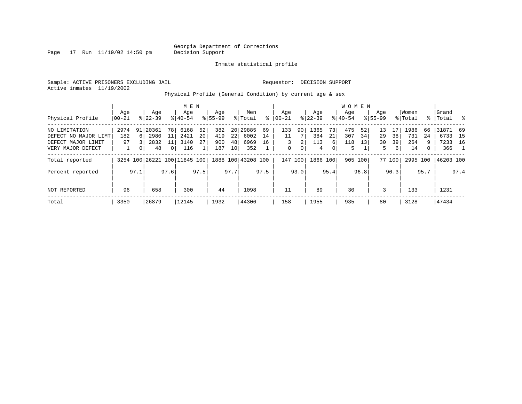Page  $17$  Run  $11/19/02$   $14:50$  pm

### Inmate statistical profile

Sample: ACTIVE PRISONERS EXCLUDING JAIL Requestor: DECISION SUPPORT Active inmates 11/19/2002

Physical Profile (General Condition) by current age & sex

|                      |                  |              |                              |                | M E N            |      |                    |                 |                    |      |                  |      |                    |      | W O M E N        |         |                    |        |                  |              |                 |      |
|----------------------|------------------|--------------|------------------------------|----------------|------------------|------|--------------------|-----------------|--------------------|------|------------------|------|--------------------|------|------------------|---------|--------------------|--------|------------------|--------------|-----------------|------|
| Physical Profile     | Age<br>$00 - 21$ |              | Age<br>$8 22-39$             |                | Age<br>$8 40-54$ |      | Age<br>$8155 - 99$ |                 | Men<br>% Total     | ⊱    | Aqe<br>$00 - 21$ |      | Age<br>$8$   22-39 |      | Aqe<br>$8 40-54$ |         | Aqe<br>$8155 - 99$ |        | Women<br>% Total | ႜၟ           | Grand<br> Total | ိ    |
|                      |                  |              |                              |                |                  |      |                    |                 |                    |      |                  |      |                    |      |                  |         |                    |        |                  |              |                 |      |
| NO LIMITATION        | 2974             |              | 91 20361                     | 78 I           | 6168             | 52   | 382                |                 | 20 29885           | 69   | 133              | 90   | 1365               | 73   | 475              | 52      | 13                 | 17     | 1986             | 66           | 31871           | - 69 |
| DEFECT NO MAJOR LIMT | 182              | <sup>6</sup> | 2980                         | 11             | 2421             | 20   | 419                | 22              | 6002               | 14   | 11               |      | 384                | 21   | 307              | 34      | 29                 | 38     | 731              | 24           | 6733            | 15   |
| DEFECT MAJOR LIMIT   | 97               |              | 2832                         | 11             | 3140             | 27   | 900                | 48              | 6969               | 16   | 3                | 2    | 113                | 6    | 118              | 13      | 30                 | 39     | 264              | 9            | 7233            | 16   |
| VERY MAJOR DEFECT    |                  | $\Omega$     | 48                           | 0 <sup>1</sup> | 116              |      | 187                | 10 <sup>1</sup> | 352                |      | 0                | 0    | 4                  | 0    | 5                |         | 5.                 | 6      | 14               | $\mathbf{0}$ | 366             |      |
| Total reported       |                  |              | 3254 100 26221 100 11845 100 |                |                  |      |                    |                 | 1888 100 43208 100 |      | 147              | 100  | 1866 100           |      |                  | 905 100 |                    | 77 100 | 2995 100         |              | 46203 100       |      |
| Percent reported     |                  | 97.1         |                              | 97.6           |                  | 97.5 |                    | 97.7            |                    | 97.5 |                  | 93.0 |                    | 95.4 |                  | 96.8    |                    | 96.3   |                  | 95.7         |                 | 97.4 |
| NOT REPORTED         | 96               |              | 658                          |                | 300              |      | 44                 |                 | 1098               |      |                  |      | 89                 |      | 30               |         | 3                  |        | 133              |              | 1231            |      |
| Total                | 3350             |              | 26879                        |                | 12145            |      | 1932               |                 | 44306              |      | 158              |      | 1955               |      | 935              |         | 80                 |        | 3128             |              | 47434           |      |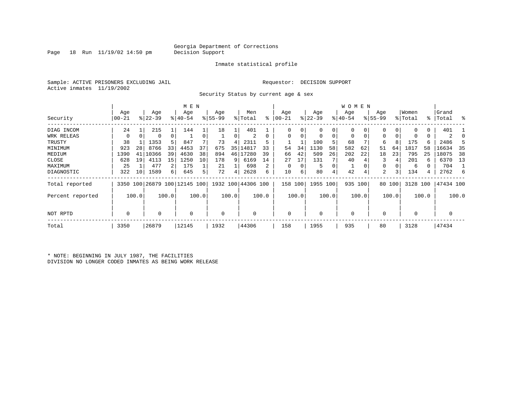### Georgia Department of Corrections<br>Decision Support

Page  $18$  Run  $11/19/02$   $14:50$  pm

### Inmate statistical profile

Sample: ACTIVE PRISONERS EXCLUDING JAIL Requestor: DECISION SUPPORT Active inmates 11/19/2002

Security Status by current age & sex

|                  |             |          |           |       | M E N                        |       |          |       |                    |       |            |       |             |       | W O M E N   |          |             |        |             |       |           |       |
|------------------|-------------|----------|-----------|-------|------------------------------|-------|----------|-------|--------------------|-------|------------|-------|-------------|-------|-------------|----------|-------------|--------|-------------|-------|-----------|-------|
|                  | Age         |          | Age       |       | Age                          |       | Age      |       | Men                |       | Age        |       | Age         |       | Age         |          | Age         |        | Women       |       | Grand     |       |
| Security         | 00-21       |          | $ 22-39 $ |       | $ 40-54$                     |       | $ 55-99$ |       | % Total            | ి     | $ 00 - 21$ |       | $ 22-39 $   |       | $ 40-54 $   |          | $8155 - 99$ |        | % Total     |       | %   Total | ႜ     |
| DIAG INCOM       | 24          |          | 215       |       | 144                          |       | 18       |       | 401                |       |            | 0     | $\mathbf 0$ | 0     | 0           | 0        | 0           |        |             | 0     | 401       |       |
| WRK RELEAS       | 0           | $\Omega$ | 0         | 0     |                              |       |          | 0     | 2                  | 0     | $\Omega$   | 0     | 0           | 0     | $\mathbf 0$ | $\Omega$ | $\Omega$    |        |             | 0     | 2         |       |
| TRUSTY           | 38          |          | 1353      | 5     | 847                          |       | 73       | 4     | 2311               |       |            |       | 100         | 5     | 68          |          | 6           | 8      | 175         | 6     | 2486      |       |
| MINIMUM          | 923         | 28       | 8766      | 33    | 4453                         | 37    | 675      | 35    | 14817              | 33    | 54         | 34    | 1130        | 58    | 582         | 62       | 51          | 64     | 1817        | 58    | 16634     | 35    |
| MEDIUM           | 1390        | 41       | 10366     | 39    | 4630                         | 38    | 894      | 46    | 17280              | 39    | 66         | 42    | 509         | 26    | 202         | 22       | 18          | 23     | 795         | 25    | 18075     | 38    |
| CLOSE            | 628         | 19       | 4113      | 15    | 1250                         | 10    | 178      | 9     | 6169               | 14    | 27         | 17    | 131         |       | 40          |          | 3           |        | 201         | 6     | 6370      | - 13  |
| MAXIMUM          | 25          |          | 477       | 2     | 175                          |       | 21       |       | 698                | 2     |            | 0     | 5           | 0     |             |          | $\Omega$    |        | 6           | 0     | 704       |       |
| DIAGNOSTIC       | 322         | 10       | 1589      | 6     | 645                          | 5 I   | 72       | 4     | 2628               | 6     | 10         | 6     | 80          | 4     | 42          | 4        | 2           | 3      | 134         | 4     | 2762      | -6    |
| Total reported   |             |          |           |       | 3350 100 26879 100 12145 100 |       |          |       | 1932 100 44306 100 |       | 158        | 100   | 1955 100    |       | 935 100     |          |             | 80 100 | 3128 100    |       | 47434 100 |       |
| Percent reported |             | 100.0    |           | 100.0 |                              | 100.0 |          | 100.0 |                    | 100.0 |            | 100.0 |             | 100.0 |             | 100.0    |             | 100.0  |             | 100.0 |           | 100.0 |
| NOT RPTD         | $\mathbf 0$ |          | 0         |       | $\Omega$                     |       | 0        |       | 0                  |       | $\Omega$   |       | 0           |       | $\mathbf 0$ |          | $\Omega$    |        | $\mathbf 0$ |       | 0         |       |
| Total            | 3350        |          | 26879     |       | 12145                        |       | 1932     |       | 44306              |       | 158        |       | 1955        |       | 935         |          | 80          |        | 3128        |       | 47434     |       |

\* NOTE: BEGINNING IN JULY 1987, THE FACILITIES DIVISION NO LONGER CODED INMATES AS BEING WORK RELEASE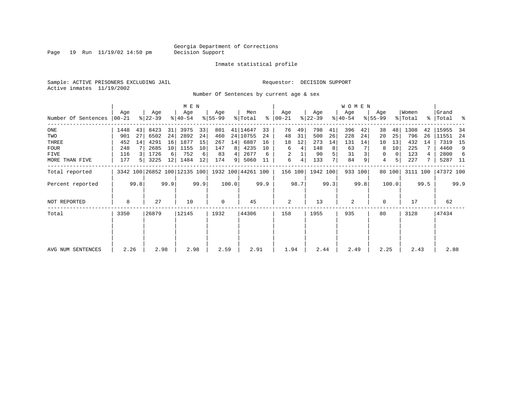Page  $19$  Run  $11/19/02$   $14:50$  pm

### Inmate statistical profile

Sample: ACTIVE PRISONERS EXCLUDING JAIL **Requestor: DECISION SUPPORT** Active inmates 11/19/2002

Number Of Sentences by current age & sex

|                     |           |      |           |      | M E N                        |      |             |       |                    |      |               |      |           |      | <b>WOMEN</b> |         |             |          |          |      |             |      |
|---------------------|-----------|------|-----------|------|------------------------------|------|-------------|-------|--------------------|------|---------------|------|-----------|------|--------------|---------|-------------|----------|----------|------|-------------|------|
|                     | Age       |      | Age       |      | Age                          |      | Age         |       | Men                |      | Age           |      | Age       |      | Age          |         | Age         |          | Women    |      | Grand       |      |
| Number Of Sentences | $00 - 21$ |      | $ 22-39 $ |      | $ 40-54 $                    |      | $8 55-99$   |       | % Total            |      | $8   00 - 21$ |      | $ 22-39 $ |      | $ 40-54 $    |         | $8155 - 99$ |          | % Total  |      | %   Total % |      |
| $_{\rm ONE}$        | 1448      | 43   | 8423      | 31   | 3975                         | 33   | 801         |       | 41   14647         | 33   | 76            | 49   | 798       | 41   | 396          | 42      | 38          | 48       | 1308     | 42   | 15955       | -34  |
| TWO                 | 901       | 27   | 6502      | 24   | 2892                         | 24   | 460         |       | 24 10755           | 24   | 48            | 31   | 500       | 26   | 228          | 24      | 20          | 25       | 796      | 26   | 11551       | -24  |
| THREE               | 452       | 14   | 4291      | 16   | 1877                         | 15   | 267         | 14    | 6887               | 16   | 18            | 12   | 273       | 14   | 131          | 14      | 10          | 13       | 432      | 14   | 7319        | 15   |
| <b>FOUR</b>         | 248       |      | 2685      | 10   | 1155                         | 10   | 147         | 8     | 4235               | 10   | 6             | 4    | 148       | 8    | 63           |         | 8           | 10       | 225      |      | 4460        | 9    |
| FIVE                | 116       |      | 1726      | 6    | 752                          | 6    | 83          | 4     | 2677               | 6    | 2             |      | 90        |      | 31           |         | 0           | $\Omega$ | 123      |      | 2800        | 6    |
| MORE THAN FIVE      | 177       | 5.   | 3225      | 12   | 1484                         | 12   | 174         | 9     | 5060               | -11  | 6             | 4    | 133       |      | 84           | 9       | 4           | 5        | 227      |      | 5287 11     |      |
| Total reported      |           |      |           |      | 3342 100 26852 100 12135 100 |      |             |       | 1932 100 44261 100 |      | 156 100       |      | 1942 100  |      |              | 933 100 |             | 80 100   | 3111 100 |      | 47372 100   |      |
| Percent reported    |           | 99.8 |           | 99.9 |                              | 99.9 |             | 100.0 |                    | 99.9 |               | 98.7 |           | 99.3 |              | 99.8    |             | 100.0    |          | 99.5 |             | 99.9 |
| NOT REPORTED        | 8         |      | 27        |      | 10                           |      | $\mathbf 0$ |       | 45                 |      | 2             |      | 13        |      | 2            |         | 0           |          | 17       |      | 62          |      |
| Total               | 3350      |      | 26879     |      | 12145                        |      | 1932        |       | 44306              |      | 158           |      | 1955      |      | 935          |         | 80          |          | 3128     |      | 47434       |      |
|                     |           |      |           |      |                              |      |             |       |                    |      |               |      |           |      |              |         |             |          |          |      |             |      |
| AVG NUM SENTENCES   | 2.26      |      | 2.98      |      | 2.98                         |      | 2.59        |       | 2.91               |      | 1.94          |      | 2.44      |      | 2.49         |         | 2.25        |          | 2.43     |      | 2.88        |      |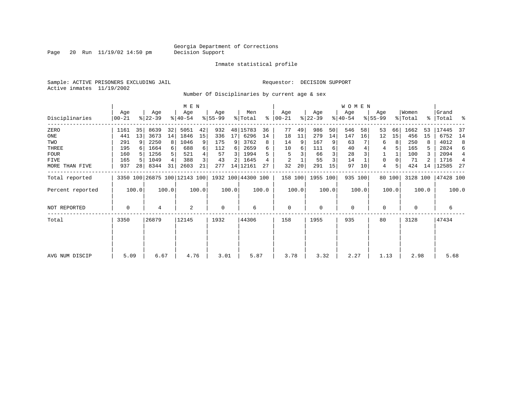Page 20 Run  $11/19/02$  14:50 pm

### Inmate statistical profile

Sample: ACTIVE PRISONERS EXCLUDING JAIL Requestor: DECISION SUPPORT Active inmates 11/19/2002

Number Of Disciplinaries by current age & sex

|                  |                  |       |                              |                | M E N            |       |                  |       |                    |       |                  |       |                    |       | W O M E N        |         |                  |        |                  |       |                      |                |
|------------------|------------------|-------|------------------------------|----------------|------------------|-------|------------------|-------|--------------------|-------|------------------|-------|--------------------|-------|------------------|---------|------------------|--------|------------------|-------|----------------------|----------------|
| Disciplinaries   | Age<br>$00 - 21$ |       | Age<br>$ 22-39 $             |                | Age<br>$ 40-54 $ |       | Age<br>$8 55-99$ |       | Men<br>% Total     | ႜ     | Age<br>$ 00-21 $ |       | Age<br>$ 22 - 39 $ |       | Age<br>$ 40-54 $ |         | Age<br>$8 55-99$ |        | Women<br>% Total |       | Grand<br>%   Total % |                |
| ZERO             | 1161             | 35    | 8639                         | 32             | 5051             | 42    | 932              |       | 48 15783           | 36    | 77               | 49    | 986                | 50    | 546              | 58      | 53               | 66     | 1662             | 53    | 17445                | -37            |
| ONE              | 441              | 13    | 3673                         | 14             | 1846             | 15    | 336              | 17    | 6296               | 14    | 18               | 11    | 279                | 14    | 147              | 16      | 12               | 15     | 456              | 15    | 6752                 | 14             |
| TWO              | 291              | 9     | 2250                         | 8 <sup>1</sup> | 1046             | 9     | 175              | 9     | 3762               | 8     | 14               | 9     | 167                | 9     | 63               |         | 6                | 8      | 250              |       | 4012                 | 8              |
| THREE            | 195              |       | 1664                         | $6 \mid$       | 688              | 6     | 112              | 6     | 2659               | 6     | 10               | 6     | 111                | 6     | 40               |         | 4                |        | 165              | 5.    | 2824                 | 6              |
| <b>FOUR</b>      | 160              |       | 1256                         |                | 521              | 4     | 57               | 3     | 1994               | 5     | 5                |       | 66                 |       | 28               |         |                  |        | 100              |       | 2094                 | $\overline{4}$ |
| FIVE             | 165              | -5    | 1049                         | 4              | 388              | 3     | 43               | 2     | 1645               |       | $\overline{2}$   |       | 55                 | 3     | 14               |         | 0                |        | 71               |       | 1716                 | $\overline{4}$ |
| MORE THAN FIVE   | 937              | 28    | 8344                         | 31             | 2603             | 21    | 277              |       | 14 12161           | 27    | 32               | 20    | 291                | 15    | 97               | 10      | 4                |        | 424              | 14    | 12585                | - 27           |
| Total reported   |                  |       | 3350 100 26875 100 12143 100 |                |                  |       |                  |       | 1932 100 44300 100 |       | 158 100          |       | 1955 100           |       |                  | 935 100 |                  | 80 100 | 3128 100         |       | 47428 100            |                |
| Percent reported |                  | 100.0 |                              | 100.0          |                  | 100.0 |                  | 100.0 |                    | 100.0 |                  | 100.0 |                    | 100.0 |                  | 100.0   |                  | 100.0  |                  | 100.0 |                      | 100.0          |
| NOT REPORTED     | 0                |       | 4                            |                | 2                |       | $\mathbf 0$      |       | 6                  |       | 0                |       | 0                  |       | 0                |         | 0                |        | 0                |       | 6                    |                |
| Total            | 3350             |       | 26879                        |                | 12145            |       | 1932             |       | 44306              |       | 158              |       | 1955               |       | 935              |         | 80               |        | 3128             |       | 47434                |                |
|                  |                  |       |                              |                |                  |       |                  |       |                    |       |                  |       |                    |       |                  |         |                  |        |                  |       |                      |                |
| AVG NUM DISCIP   | 5.09             |       | 6.67                         |                | 4.76             |       | 3.01             |       | 5.87               |       | 3.78             |       | 3.32               |       | 2.27             |         | 1.13             |        | 2.98             |       | 5.68                 |                |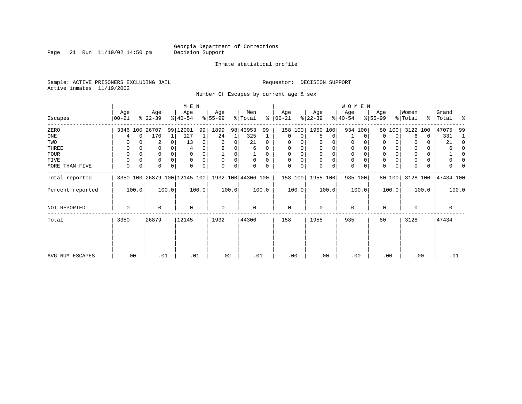Page 21 Run  $11/19/02$  14:50 pm

### Inmate statistical profile

Sample: ACTIVE PRISONERS EXCLUDING JAIL Requestor: DECISION SUPPORT Active inmates 11/19/2002

Number Of Escapes by current age & sex

|                  |                  |             |                  |          | M E N                                           |          |                 |       |                |          |                  |          |                  |             | WOMEN            |          |                  |        |                  |       |                    |          |
|------------------|------------------|-------------|------------------|----------|-------------------------------------------------|----------|-----------------|-------|----------------|----------|------------------|----------|------------------|-------------|------------------|----------|------------------|--------|------------------|-------|--------------------|----------|
| Escapes          | Age<br>$ 00-21 $ |             | Age<br>$ 22-39 $ |          | Age<br>$8 40-54$                                |          | Age<br>$ 55-99$ |       | Men<br>% Total | ∻        | Age<br>$ 00-21 $ |          | Age<br>$ 22-39 $ |             | Age<br>$ 40-54 $ |          | Age<br>$8 55-99$ |        | Women<br>% Total |       | Grand<br>% Total % |          |
| ZERO             |                  |             | 3346 100 26707   |          | 99 12001                                        | 99       | 1899            |       | 98 43953       | 99       | 158              | 100      | 1950 100         |             |                  | 934 100  | 80               | 100    | 3122 100         |       | 47075              | -99      |
| ONE              | 4                | $\mathbf 0$ | 170              |          | 127                                             |          | 24              | 1     | 325            | 1        | 0                | 0        | 5                | 0           |                  | 0        | $\Omega$         | 0      | 6                | 0     | 331                | -1       |
| TWO              | 0                |             | 2                | 0        | 13                                              | 0        | 6               | 0     | 21             | 0        | 0                |          | 0                | 0           | 0                | 0        | 0                |        |                  | 0     | 21                 | 0        |
| THREE            | 0                |             | 0                |          |                                                 |          |                 |       | 6              | $\Omega$ | 0                |          | 0                | 0           | 0                |          | 0                |        |                  | 0     | 6                  | $\Omega$ |
| <b>FOUR</b>      | 0                |             | 0                | $\Omega$ | n                                               |          |                 | 0     |                | $\Omega$ | $\Omega$         | $\Omega$ | $\Omega$         | $\mathbf 0$ | $\mathbf 0$      | $\Omega$ | $\Omega$         |        |                  | 0     |                    | $\Omega$ |
| FIVE             | 0                | 0           | 0                | $\Omega$ | $\Omega$                                        |          | 0               | 0     | 0              | $\Omega$ | $\Omega$         | 0        | $\mathbf 0$      | 0           | 0                | $\Omega$ | 0                |        |                  | 0     | 0                  | 0        |
| MORE THAN FIVE   | 0                | 0           | 0                | $\Omega$ |                                                 | $\Omega$ | $\Omega$        | 0     |                | 0        | $\Omega$         | 0        | $\Omega$         | 0           | $\mathbf 0$      | 0        | 0                | 0      |                  | 0     | U                  |          |
| Total reported   |                  |             |                  |          | 3350 100 26879 100 12145 100 1932 100 44306 100 |          |                 |       |                |          | 158 100          |          | 1955 100         |             |                  | 935 100  |                  | 80 100 | 3128 100         |       | 47434 100          |          |
| Percent reported |                  | 100.0       |                  | 100.0    |                                                 | 100.0    |                 | 100.0 |                | 100.0    |                  | 100.0    |                  | 100.0       |                  | 100.0    |                  | 100.0  |                  | 100.0 |                    | 100.0    |
| NOT REPORTED     | 0                |             | 0                |          | $\Omega$                                        |          | 0               |       | 0              |          | $\mathbf 0$      |          | $\mathbf 0$      |             | $\mathbf 0$      |          | $\mathbf 0$      |        | 0                |       | $\mathbf 0$        |          |
| Total            | 3350             |             | 26879            |          | 12145                                           |          | 1932            |       | 44306          |          | 158              |          | 1955             |             | 935              |          | 80               |        | 3128             |       | 47434              |          |
|                  |                  |             |                  |          |                                                 |          |                 |       |                |          |                  |          |                  |             |                  |          |                  |        |                  |       |                    |          |
| AVG NUM ESCAPES  | .00              |             | .01              |          | .01                                             |          | .02             |       | .01            |          | .00              |          | .00              |             | .00              |          |                  | .00    | .00              |       | .01                |          |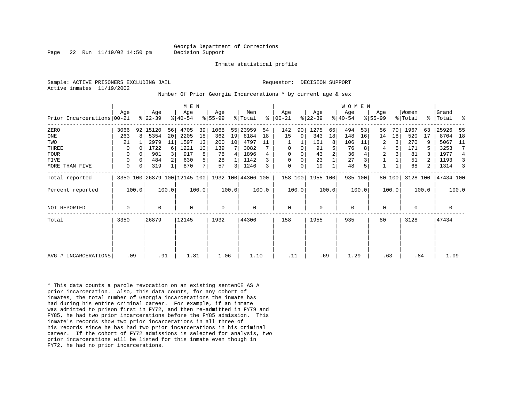Page 22 Run 11/19/02 14:50 pm Decision Support

Inmate statistical profile

Active inmates 11/19/2002

Sample: ACTIVE PRISONERS EXCLUDING JAIL **Requestor: DECISION SUPPORT** 

Number Of Prior Georgia Incarcerations \* by current age & sex

|                            |      |                |                  |       | M E N                        |       |                  |                |                    |       |                      |       |                  |                | WOMEN            |         |                    |        |                  |       |                |       |
|----------------------------|------|----------------|------------------|-------|------------------------------|-------|------------------|----------------|--------------------|-------|----------------------|-------|------------------|----------------|------------------|---------|--------------------|--------|------------------|-------|----------------|-------|
| Prior Incarcerations 00-21 | Aqe  |                | Age<br>$ 22-39 $ |       | Age<br>$ 40-54 $             |       | Aqe<br>$8 55-99$ |                | Men<br>% Total     |       | Aqe<br>$8   00 - 21$ |       | Age<br>$ 22-39 $ |                | Age<br>$8 40-54$ |         | Aqe<br>$8155 - 99$ |        | Women<br>% Total | °≈    | Grand<br>Total | ႜ     |
| ZERO                       | 3066 |                | 92 15120         | 56    | 4705                         | 39    | 1068             |                | 55 23959           | 54    | 142                  | 90    | 1275             | 65             | 494              | 53      | 56                 | 70     | 1967             | 63    | 25926          | -55   |
| ONE                        | 263  | 8 <sup>1</sup> | 5354             | 20    | 2205                         | 18    | 362              | 19             | 8184               | 18    | 15                   | 9     | 343              | 18             | 148              | 16      | 14                 | 18     | 520              | 17    | 8704           | 18    |
| TWO                        | 21   |                | 2979             | 11    | 1597                         | 13    | 200              | 10             | 4797               | 11    |                      |       | 161              | 8              | 106              | 11      | 2                  | 3      | 270              | 9     | 5067           | 11    |
| THREE                      | 0    |                | 1722             | 6     | 1221                         | 10    | 139              |                | 3082               |       | $\mathbf 0$          | 0     | 91               | 5              | 76               |         | $\overline{4}$     | 5      | 171              |       | 3253           |       |
| FOUR                       | 0    |                | 901              |       | 917                          | 8     | 78               | $\overline{4}$ | 1896               | 4     | $\mathbf 0$          | 0     | 43               | $\overline{a}$ | 36               |         | 2                  |        | 81               |       | 1977           | 4     |
| <b>FIVE</b>                | 0    |                | 484              | 2     | 630                          | 5     | 28               |                | 1142               | 3     | 0                    | 0     | 23               |                | 27               |         |                    |        | 51               |       | 1193           |       |
| MORE THAN FIVE             | 0    |                | 319              |       | 870                          | 7     | 57               | $\overline{3}$ | 1246               | 3     | 0                    | 0     | 19               |                | 48               |         | $\mathbf{1}$       |        | 68               | 2     | 1314           |       |
| Total reported             |      |                |                  |       | 3350 100 26879 100 12145 100 |       |                  |                | 1932 100 44306 100 |       | 158 100              |       | 1955 100         |                |                  | 935 100 |                    | 80 100 | 3128 100         |       | 47434 100      |       |
| Percent reported           |      | 100.0          |                  | 100.0 |                              | 100.0 |                  | 100.0          |                    | 100.0 |                      | 100.0 |                  | 100.0          |                  | 100.0   |                    | 100.0  |                  | 100.0 |                | 100.0 |
| NOT REPORTED               | 0    |                | $\mathbf 0$      |       | $\Omega$                     |       | $\mathbf 0$      |                | 0                  |       | $\mathbf 0$          |       | 0                |                | $\mathbf 0$      |         | $\mathbf 0$        |        | $\Omega$         |       | 0              |       |
| Total                      | 3350 |                | 26879            |       | 12145                        |       | 1932             |                | 44306              |       | 158                  |       | 1955             |                | 935              |         | 80                 |        | 3128             |       | 47434          |       |
|                            |      |                |                  |       |                              |       |                  |                |                    |       |                      |       |                  |                |                  |         |                    |        |                  |       |                |       |
|                            |      |                |                  |       |                              |       |                  |                |                    |       |                      |       |                  |                |                  |         |                    |        |                  |       |                |       |
| AVG # INCARCERATIONS       | .09  |                | .91              |       | 1.81                         |       | 1.06             |                | 1.10               |       | .11                  |       | .69              |                | 1.29             |         | .63                |        | .84              |       | 1.09           |       |

\* This data counts a parole revocation on an existing sentenCE AS A prior incarceration. Also, this data counts, for any cohort of inmates, the total number of Georgia incarcerations the inmate has had during his entire criminal career. For example, if an inmate was admitted to prison first in FY72, and then re-admitted in FY79 and FY85, he had two prior incarcerations before the FY85 admission. This inmate's records show two prior incarcerations in all three of his records since he has had two prior incarcerations in his criminal career. If the cohort of FY72 admissions is selected for analysis, two prior incarcerations will be listed for this inmate even though in FY72, he had no prior incarcerations.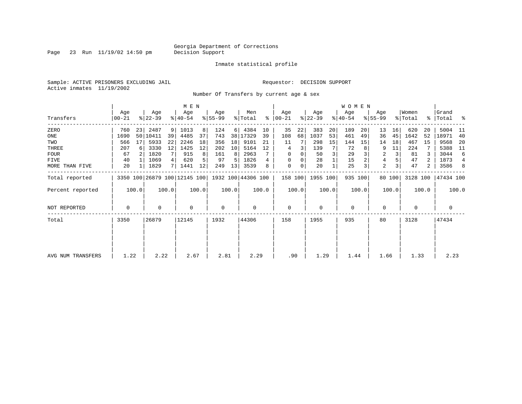Page 23 Run  $11/19/02$  14:50 pm

### Inmate statistical profile

Sample: ACTIVE PRISONERS EXCLUDING JAIL **Requestor: DECISION SUPPORT** Active inmates 11/19/2002

Number Of Transfers by current age & sex

|                   |                |       |                  |       | M E N            |       |                                                 |       |                |       |                  |       |                  |              | WOMEN            |         |                  |        |                              |       |                      |                |
|-------------------|----------------|-------|------------------|-------|------------------|-------|-------------------------------------------------|-------|----------------|-------|------------------|-------|------------------|--------------|------------------|---------|------------------|--------|------------------------------|-------|----------------------|----------------|
| Transfers         | Age<br>  00-21 |       | Age<br>$ 22-39 $ |       | Age<br>$ 40-54 $ |       | Age<br>$ 55-99 $                                |       | Men<br>% Total | ∻     | Age<br>$ 00-21 $ |       | Age<br>$ 22-39 $ |              | Age<br>$ 40-54 $ |         | Age<br>$ 55-99 $ |        | Women<br>$\frac{1}{2}$ Total |       | Grand<br>%   Total % |                |
| ZERO              | 760            | 23    | 2487             | 9     | 1013             | 8     | 124                                             | 6     | 4384           | 10    | 35               | 22    | 383              | 20           | 189              | 20      | 13               | 16     | 620                          | 20    | 5004                 | - 11           |
| ONE               | 1690           |       | 50 10411         | 39    | 4485             | 37    | 743                                             | 38    | 17329          | 39    | 108              | 68    | 1037             | 53           | 461              | 49      | 36               | 45     | 1642                         | 52    | 18971                | 40             |
| TWO               | 566            | 17    | 5933             | 22    | 2246             | 18    | 356                                             | 18    | 9101           | 21    | 11               |       | 298              | 15           | 144              | 15      | 14               | 18     | 467                          | 15    | 9568                 | -20            |
| THREE             | 207            | 6     | 3330             | 12    | 1425             | 12    | 202                                             | 10    | 5164           | 12    | 4                | 3     | 139              |              | 72               |         | 9                | 11     | 224                          |       | 5388                 | - 11           |
| <b>FOUR</b>       | 67             |       | 1820             |       | 915              |       | 161                                             | 8     | 2963           |       | 0                | 0     | 50               |              | 29               |         | 2                | 3      | 81                           |       | 3044                 | 6              |
| FIVE              | 40             |       | 1069             | 4     | 620              |       | 97                                              | 5     | 1826           | 4     | 0                |       | 28               |              | 15               |         | 4                |        | 47                           | 2     | 1873                 | $\overline{4}$ |
| MORE THAN FIVE    | 20             |       | 1829             | 7     | 1441             | 12    | 249                                             | 13    | 3539           | 8     | $\mathbf 0$      | 0     | 20               | $\mathbf{1}$ | 25               | 3       | $\overline{a}$   |        | 47                           | 2     | 3586                 | 8              |
| Total reported    |                |       |                  |       |                  |       | 3350 100 26879 100 12145 100 1932 100 44306 100 |       |                |       | 158 100          |       | 1955 100         |              |                  | 935 100 |                  | 80 100 | 3128 100                     |       | 47434 100            |                |
| Percent reported  |                | 100.0 |                  | 100.0 |                  | 100.0 |                                                 | 100.0 |                | 100.0 |                  | 100.0 |                  | 100.0        |                  | 100.0   |                  | 100.0  |                              | 100.0 |                      | 100.0          |
| NOT REPORTED      | 0              |       | 0                |       | $\mathbf 0$      |       | 0                                               |       | $\mathbf 0$    |       | $\mathbf 0$      |       | $\mathbf 0$      |              | $\mathbf 0$      |         | 0                |        | 0                            |       | 0                    |                |
| Total             | 3350           |       | 26879            |       | 12145            |       | 1932                                            |       | 44306          |       | 158              |       | 1955             |              | 935              |         | 80               |        | 3128                         |       | 47434                |                |
|                   |                |       |                  |       |                  |       |                                                 |       |                |       |                  |       |                  |              |                  |         |                  |        |                              |       |                      |                |
|                   |                |       |                  |       |                  |       |                                                 |       |                |       |                  |       |                  |              |                  |         |                  |        |                              |       |                      |                |
| AVG NUM TRANSFERS | 1.22           |       | 2.22             |       | 2.67             |       | 2.81                                            |       | 2.29           |       | .90              |       | 1.29             |              | 1.44             |         | 1.66             |        | 1.33                         |       | 2.23                 |                |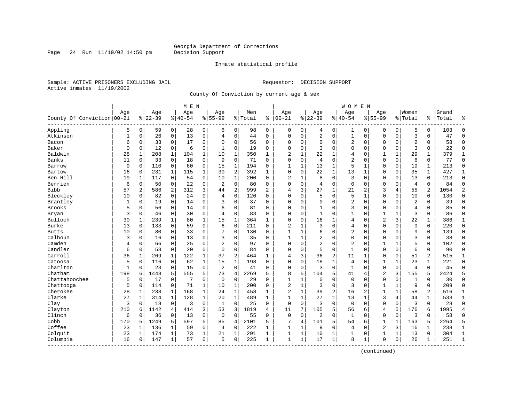Page 24 Run  $11/19/02$  14:50 pm

### Inmate statistical profile

Sample: ACTIVE PRISONERS EXCLUDING JAIL **Requestor: DECISION SUPPORT** Active inmates 11/19/2002

County Of Conviction by current age & sex

| Age<br>County Of Conviction 00-21<br>Appling<br>5<br>Atkinson<br>$\mathbf{1}$<br>Bacon<br>6 | $\mathbf 0$<br>$\mathbf 0$<br>0<br>$\mathbf 0$<br>1<br>$\mathbf 0$ | Age<br>$8 22-39$<br>59<br>26<br>33<br>12 | $\mathbf 0$<br>$\mathbf 0$<br>0 | Age<br>$8 40-54$<br>28<br>13 | $\mathbf 0$  | Age<br>$8 55-99$<br>6 | $\mathbf 0$    | Men<br>% Total | ႜ              | Age<br>$ 00 - 21$        |              | Aqe<br>$8 22-39$ |              | Age<br>$8140 - 54$ |                | Age<br>$8155 - 99$ |              | Women<br>% Total | ႜ              | Grand<br>Total | န္             |
|---------------------------------------------------------------------------------------------|--------------------------------------------------------------------|------------------------------------------|---------------------------------|------------------------------|--------------|-----------------------|----------------|----------------|----------------|--------------------------|--------------|------------------|--------------|--------------------|----------------|--------------------|--------------|------------------|----------------|----------------|----------------|
|                                                                                             |                                                                    |                                          |                                 |                              |              |                       |                |                |                |                          |              |                  |              |                    |                |                    |              |                  |                |                |                |
|                                                                                             |                                                                    |                                          |                                 |                              |              |                       |                | 98             | $\Omega$       | $\mathbf 0$              | $\mathbf 0$  | 4                | 0            | 1                  | $\mathbf 0$    | $\Omega$           | $\mathbf 0$  | 5                | 0              | 103            | $\Omega$       |
|                                                                                             |                                                                    |                                          |                                 |                              | $\mathbf 0$  | $\overline{4}$        | $\mathbf 0$    | 44             | $\Omega$       | $\Omega$                 | $\mathbf 0$  | 2                | $\mathbf 0$  | $\mathbf{1}$       | $\mathbf 0$    | $\mathbf{0}$       | $\mathbf 0$  | 3                | $\Omega$       | 47             | $\Omega$       |
|                                                                                             |                                                                    |                                          |                                 | 17                           | 0            | $\Omega$              | 0              | 56             | 0              | $\Omega$                 | 0            | $\mathbf 0$      | $\mathbf 0$  | 2                  | 0              | 0                  | $\mathbf 0$  | $\overline{c}$   | 0              | 58             | $\Omega$       |
| Baker<br>$\mathbf 0$                                                                        |                                                                    |                                          | $\mathbf 0$                     | 6                            | $\mathbf 0$  | 1                     | $\mathbf 0$    | 19             | $\Omega$       | $\Omega$                 | 0            | 3                | $\mathbf 0$  | $\mathbf 0$        | $\mathbf 0$    | $\mathbf{0}$       | $\mathbf 0$  | 3                | 0              | 22             | $\Omega$       |
| Baldwin<br>28                                                                               |                                                                    | 208                                      | 1                               | 104                          | 1            | 10                    | 1              | 350            | $\mathbf{1}$   | $\overline{\mathcal{L}}$ | 1            | 22               | $\mathbf 1$  | 4                  | $\mathbf 0$    | $\mathbf{1}$       | $\mathbf{1}$ | 29               | $\mathbf{1}$   | 379            | 1              |
| Banks<br>11                                                                                 |                                                                    | 33                                       | $\mathbf 0$                     | 18                           | $\mathbf 0$  | 9                     | $\mathbf 0$    | 71             | 0              | $\mathbf 0$              | $\mathbf 0$  | $\overline{4}$   | $\mathbf 0$  | $\overline{2}$     | $\mathbf 0$    | $\mathbf{0}$       | $\mathbf 0$  | 6                | $\mathbf 0$    | 77             | $\mathbf{0}$   |
| 9<br>Barrow                                                                                 | $\overline{0}$                                                     | 110                                      | $\mathbf 0$                     | 60                           | $\mathbf 0$  | 15                    | $\mathbf{1}$   | 194            | $\Omega$       | $\mathbf{1}$             | $\mathbf 1$  | 13               | $\mathbf 1$  | 5                  | $\mathbf 1$    | $\mathbf{0}$       | $\mathbf 0$  | 19               | $\mathbf{1}$   | 213            | $\Omega$       |
| 16<br>Bartow                                                                                | $\mathbf 0$                                                        | 231                                      | $\mathbf 1$                     | 115                          | $\mathbf{1}$ | 30                    | $\overline{2}$ | 392            | $\mathbf{1}$   | $\mathbf 0$              | $\Omega$     | 22               | $\mathbf 1$  | 13                 | $\mathbf{1}$   | $\mathbf 0$        | $\mathbf 0$  | 35               | $\mathbf{1}$   | 427            | $\mathbf{1}$   |
| Ben Hill<br>19                                                                              | 1                                                                  | 117                                      | $\mathbf 0$                     | 54                           | 0            | 10                    | 1              | 200            | $\Omega$       | $\overline{c}$           | 1            | 8                | $\mathbf 0$  | 3                  | $\mathbf 0$    | $\mathbf 0$        | $\Omega$     | 13               | 0              | 213            | $\mathbf{0}$   |
| Berrien<br>6                                                                                | 0                                                                  | 50                                       | 0                               | 22                           | 0            | $\overline{2}$        | $\mathbf 0$    | 80             | 0              | $\Omega$                 | 0            | 4                | $\mathbf 0$  | $\mathbf 0$        | $\mathbf 0$    | $\mathbf{0}$       | 0            | $\overline{4}$   | 0              | 84             | $\mathbf 0$    |
| Bibb<br>57                                                                                  | 2                                                                  | 586                                      | 2                               | 312                          | 3            | 44                    | $\overline{2}$ | 999            | $\overline{a}$ | 4                        | 3            | 27               | $\mathbf{1}$ | 21                 | $\overline{2}$ | 3                  | 4            | 55               | 2              | 1054           | $\overline{2}$ |
| Bleckley<br>10                                                                              | $\Omega$                                                           | 82                                       | $\Omega$                        | 24                           | 0            | $\overline{4}$        | $\mathbf 0$    | 120            | $\Omega$       | $\Omega$                 | $\Omega$     | 5                | $\Omega$     | 5                  | $\mathbf 1$    | $\mathbf{0}$       | $\Omega$     | 10               | $\Omega$       | 130            | $\Omega$       |
| Brantley<br>$\mathbf{1}$                                                                    | $\Omega$                                                           | 19                                       | $\Omega$                        | 14                           | 0            | 3                     | $\mathbf 0$    | 37             | $\Omega$       | $\Omega$                 | 0            | $\mathbf 0$      | $\mathbf 0$  | $\overline{2}$     | $\mathbf 0$    | $\mathbf{0}$       | $\Omega$     | $\overline{2}$   | $\Omega$       | 39             | $\Omega$       |
| <b>Brooks</b><br>5                                                                          | $\Omega$                                                           | 56                                       | $\Omega$                        | 14                           | $\mathbf 0$  | 6                     | $\mathbf 0$    | 81             | $\Omega$       | $\mathbf 0$              | $\Omega$     | $\mathbf{1}$     | 0            | 3                  | $\mathbf 0$    | $\mathbf{0}$       | $\Omega$     | $\overline{4}$   | $\Omega$       | 85             | $\Omega$       |
| 3<br>Bryan                                                                                  | 0                                                                  | 46                                       | 0                               | 30                           | 0            | $\overline{4}$        | $\mathbf 0$    | 83             | $\Omega$       | $\Omega$                 | 0            | $\mathbf{1}$     | $\Omega$     | 1                  | 0              | 1                  | 1            | 3                | 0              | 86             | $\Omega$       |
| Bulloch<br>30                                                                               | 1                                                                  | 239                                      | 1                               | 80                           | 1            | 15                    | 1              | 364            | $\mathbf{1}$   | $\Omega$                 | $\Omega$     | 16               | 1            | 4                  | $\mathbf 0$    | $\overline{2}$     | 3            | 22               | 1              | 386            | 1              |
| Burke<br>13                                                                                 | $\Omega$                                                           | 133                                      | $\Omega$                        | 59                           | $\Omega$     | 6                     | $\Omega$       | 211            | $\Omega$       | $\overline{\mathcal{L}}$ | $\mathbf{1}$ | 3                | $\Omega$     | $\overline{4}$     | $\Omega$       | $\Omega$           | $\Omega$     | 9                | $\Omega$       | 220            | $\Omega$       |
| <b>Butts</b><br>10                                                                          | 0                                                                  | 80                                       | $\Omega$                        | 33                           | $\mathbf 0$  |                       | $\Omega$       | 130            | $\Omega$       | $\mathbf{1}$             | $\mathbf 1$  | 6                | $\Omega$     | $\overline{2}$     | $\Omega$       | $\mathbf 0$        | $\Omega$     | 9                | $\Omega$       | 139            | $\Omega$       |
| Calhoun<br>3                                                                                | $\mathbf 0$                                                        | 16                                       | $\Omega$                        | 13                           | $\mathbf 0$  | 3                     | $\mathbf 0$    | 35             | $\Omega$       | $\mathbf{1}$             | $\mathbf{1}$ | $\overline{a}$   | $\mathbf 0$  | $\mathbf 0$        | $\mathbf 0$    | $\mathbf{0}$       | $\mathbf 0$  | 3                | $\Omega$       | 38             | $\Omega$       |
| Camden<br>4                                                                                 | 0                                                                  | 66                                       | $\Omega$                        | 25                           | $\mathbf 0$  | $\overline{2}$        | $\mathbf 0$    | 97             | $\Omega$       | $\Omega$                 | $\Omega$     | $\overline{a}$   | $\mathbf 0$  | 2                  | $\mathbf 0$    | $\mathbf 1$        | $\mathbf{1}$ | 5                | $\Omega$       | 102            | $\Omega$       |
| Candler<br>6                                                                                | 0                                                                  | 58                                       | 0                               | 20                           | 0            | $\Omega$              | $\mathbf 0$    | 84             | 0              | $\Omega$                 | 0            | 5                | $\mathbf 0$  | 1                  | 0              | $\mathbf{0}$       | $\mathbf 0$  | 6                | 0              | 90             | $\mathbf 0$    |
| Carroll<br>36                                                                               | 1                                                                  | 269                                      | $\mathbf{1}$                    | 122                          | $\mathbf 1$  | 37                    | $\overline{2}$ | 464            | $\mathbf{1}$   | $\overline{4}$           | 3            | 36               | 2            | 11                 | $\mathbf 1$    | $\mathbf{0}$       | $\Omega$     | 51               | $\overline{a}$ | 515            | $\mathbf{1}$   |
| Catoosa<br>5                                                                                | $\Omega$                                                           | 116                                      | $\Omega$                        | 62                           | $\mathbf{1}$ | 15                    | $\mathbf{1}$   | 198            | $\Omega$       | $\Omega$                 | $\Omega$     | 18               | $\mathbf{1}$ | $\overline{4}$     | $\Omega$       | $\mathbf{1}$       | $\mathbf{1}$ | 23               | $\mathbf{1}$   | 221            | $\Omega$       |
| Charlton<br>$\mathbf{1}$                                                                    | $\overline{0}$                                                     | 23                                       | $\Omega$                        | 15                           | $\mathbf 0$  | $\overline{2}$        | $\mathbf 0$    | 41             | $\Omega$       | $\mathbf 0$              | 0,           | 3                | $\Omega$     | $\mathbf{1}$       | $\Omega$       | $\mathbf 0$        | $\Omega$     | $\overline{4}$   | $\Omega$       | 45             | $\Omega$       |
| Chatham<br>198                                                                              | 6                                                                  | 1443                                     | 5                               | 555                          | 5            | 73                    | $\overline{4}$ | 2269           | 5              | 8                        | 5            | 104              | 5            | 41                 | 4              | $\overline{2}$     | 3            | 155              | 5              | 2424           | 5              |
| Chattahoochee<br>5                                                                          | $\mathbf 0$                                                        | 17                                       | $\mathbf 0$                     | 7                            | $\mathbf 0$  | $\mathbf 0$           | $\mathbf 0$    | 29             | $\Omega$       | $\mathbf{1}$             | $\mathbf 1$  | $\mathbf 0$      | $\mathbf 0$  | $\mathbf 0$        | $\mathbf 0$    | $\mathbf 0$        | $\mathbf 0$  | $\mathbf{1}$     | $\Omega$       | 30             | $\Omega$       |
| Chattooga<br>5                                                                              | 0                                                                  | 114                                      | $\mathbf 0$                     | 71                           | $\mathbf 1$  | 10                    | 1              | 200            | 0              | $\overline{a}$           | $\mathbf 1$  | 3                | $\mathbf 0$  | 3                  | 0              | 1                  | 1            | 9                | 0              | 209            | $\mathbf 0$    |
| Cherokee<br>28                                                                              | 1                                                                  | 238                                      | $\mathbf{1}$                    | 168                          | $\mathbf 1$  | 24                    | $\mathbf{1}$   | 458            | $\mathbf{1}$   | 2                        | $\mathbf 1$  | 39               | 2            | 16                 | 2              | $\mathbf{1}$       | $\mathbf{1}$ | 58               | $\overline{a}$ | 516            | $\mathbf{1}$   |
| Clarke<br>27                                                                                | $\mathbf{1}$                                                       | 314                                      | $\mathbf{1}$                    | 128                          | $\mathbf{1}$ | 20                    | $\mathbf{1}$   | 489            | $\mathbf{1}$   | $\mathbf{1}$             | $\mathbf{1}$ | 27               | $\mathbf{1}$ | 13                 | 1              | 3                  | 4            | 44               | $\mathbf{1}$   | 533            | $\mathbf{1}$   |
| Clay<br>3                                                                                   | $\Omega$                                                           | 18                                       | $\mathbf 0$                     | 3                            | $\mathbf 0$  | 1                     | $\mathbf 0$    | 25             | $\Omega$       | $\mathbf 0$              | $\Omega$     | 3                | $\Omega$     | $\mathbf 0$        | $\Omega$       | $\mathbf 0$        | $\Omega$     | 3                | $\Omega$       | 28             | $\Omega$       |
| 210<br>Clayton                                                                              | 6                                                                  | 1142                                     | $\overline{4}$                  | 414                          | 3            | 53                    | 3              | 1819           | 4              | 11                       | 7            | 105              | 5            | 56                 | 6              | $\overline{4}$     | 5            | 176              | 6              | 1995           | $\overline{4}$ |
| Clinch<br>6                                                                                 | $\mathbf 0$                                                        | 36                                       | $\mathbf 0$                     | 13                           | $\mathbf 0$  | $\mathbf 0$           | $\mathbf 0$    | 55             | $\Omega$       | $\mathbf 0$              | $\mathbf 0$  | $\overline{2}$   | $\mathbf 0$  | $\mathbf{1}$       | $\mathbf 0$    | $\mathbf{0}$       | $\mathbf 0$  | $\overline{3}$   | $\Omega$       | 58             | $\Omega$       |
| Cobb<br>170                                                                                 | 5                                                                  | 1249                                     | 5                               | 597                          | 5            | 85                    | $\overline{4}$ | 2101           | 5              | 7                        | 4            | 101              | 5            | 54                 | 6              | $\mathbf{1}$       | $\mathbf{1}$ | 163              | 5              | 2264           | 5              |
| Coffee<br>23                                                                                | 1                                                                  | 136                                      | 1                               | 59                           | 0            | $\overline{4}$        | $\mathbf 0$    | 222            | $\mathbf{1}$   | $\mathbf{1}$             | $\mathbf 1$  | 9                | $\mathbf 0$  | 4                  | $\mathbf 0$    | $\overline{2}$     | 3            | 16               | 1              | 238            | $\mathbf 1$    |
| Colquit<br>23                                                                               | $\mathbf{1}$                                                       | 174                                      | 1                               | 73                           | $\mathbf 1$  | 21                    | $\mathbf{1}$   | 291            | $\mathbf{1}$   | 1                        | 1            | 10               | $\mathbf 1$  | 1                  | $\mathbf 0$    | $\mathbf{1}$       | 1            | 13               | $\Omega$       | 304            | $\mathbf{1}$   |
| Columbia<br>16                                                                              | 0                                                                  | 147                                      | 1                               | 57                           | 0            | 5                     | $\mathbf 0$    | 225            | $\mathbf{1}$   | $\mathbf{1}$             | $\mathbf 1$  | 17               | $\mathbf{1}$ | 8                  | 1              | $\Omega$           | $\mathbf 0$  | 26               | 1              | 251            | $\mathbf{1}$   |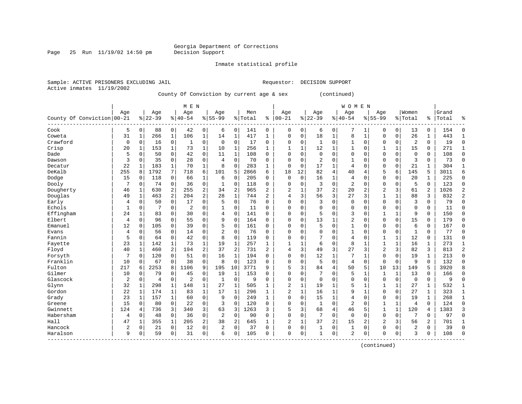Page 25 Run  $11/19/02$  14:50 pm

Inmate statistical profile

Active inmates 11/19/2002

Sample: ACTIVE PRISONERS EXCLUDING JAIL Requestor: DECISION SUPPORT

County Of Conviction by current age & sex (continued)

|                            |              |              |                |                | M E N          |                |                |              |         |                |                |              |                |              | <b>WOMEN</b>   |              |                |              |                |             |       |                |
|----------------------------|--------------|--------------|----------------|----------------|----------------|----------------|----------------|--------------|---------|----------------|----------------|--------------|----------------|--------------|----------------|--------------|----------------|--------------|----------------|-------------|-------|----------------|
|                            | Age          |              | Age            |                | Age            |                | Aqe            |              | Men     |                | Age            |              | Age            |              | Age            |              | Aqe            |              | Women          |             | Grand |                |
| County Of Conviction 00-21 |              |              | $8 22-39$      |                | $ 40-54$       |                | $8155 - 99$    |              | % Total | ి              | $ 00 - 21$     |              | $ 22-39$       |              | $8140 - 54$    |              | $8155 - 99$    |              | % Total        | %           | Total | န္             |
| Cook                       | 5            | 0            | 88             | 0              | 42             | $\overline{0}$ | 6              | 0            | 141     | 0              | 0              | 0            | 6              | 0            | 7              | 1            | 0              | 0            | 13             | 0           | 154   | $\Omega$       |
| Coweta                     | 31           | $\mathbf{1}$ | 266            | 1              | 106            | $\mathbf{1}$   | 14             | $\mathbf{1}$ | 417     | $\mathbf{1}$   | $\Omega$       | 0            | 18             | 1            | 8              | $\mathbf{1}$ | $\Omega$       | $\mathbf 0$  | 26             | 1           | 443   | 1              |
| Crawford                   | 0            | $\Omega$     | 16             | $\mathbf 0$    | $\mathbf{1}$   | 0              | $\mathbf 0$    | $\mathbf 0$  | 17      | 0              | $\Omega$       | 0            | 1              | $\Omega$     | $\mathbf{1}$   | $\mathbf 0$  | $\Omega$       | $\Omega$     | $\overline{2}$ | 0           | 19    | $\Omega$       |
| Crisp                      | 20           | 1            | 153            | 1              | 73             | $\mathbf 1$    | 10             | 1            | 256     | $\mathbf{1}$   | 1              | 1            | 12             | 1            | 1              | $\mathbf 0$  |                | 1            | 15             | 0           | 271   | $\mathbf{1}$   |
| Dade                       | 5            | 0            | 50             | $\mathbf 0$    | 42             | 0              | 11             | $\mathbf 1$  | 108     | $\Omega$       | $\Omega$       | 0            | $\mathbf 0$    | $\Omega$     | 0              | $\Omega$     | $\Omega$       | 0            | $\mathbf 0$    | 0           | 108   | $\Omega$       |
| Dawson                     | 3            | $\mathbf 0$  | 35             | $\mathbf 0$    | 28             | 0              | 4              | $\Omega$     | 70      | $\Omega$       | $\Omega$       | 0            | $\overline{2}$ | $\Omega$     | $\mathbf{1}$   | $\Omega$     | $\Omega$       | $\Omega$     | 3              | $\mathbf 0$ | 73    | $\Omega$       |
| Decatur                    | 22           | 1            | 183            | 1              | 70             | $\mathbf{1}$   | 8              | $\mathbf 0$  | 283     | 1              | $\Omega$       | 0            | 17             | $\mathbf{1}$ | 4              | $\mathbf 0$  | $\mathbf 0$    | 0            | 21             | 1           | 304   | $\mathbf{1}$   |
| DeKalb                     | 255          | 8            | 1792           | 7              | 718            | 6              | 101            | 5            | 2866    | 6              | 18             | 12           | 82             | 4            | 40             | 4            | 5              | 6            | 145            | 5           | 3011  | 6              |
| Dodge                      | 15           | 0            | 118            | 0              | 66             | 1              | 6              | $\Omega$     | 205     | 0              | $\Omega$       | $\Omega$     | 16             | 1            | 4              | $\Omega$     | $\Omega$       | 0            | 20             | 1           | 225   | $\Omega$       |
| Dooly                      | 7            | 0            | 74             | 0              | 36             | 0              | -1             | 0            | 118     | $\Omega$       | $\Omega$       | O            | 3              | $\Omega$     | $\overline{2}$ | $\Omega$     | $\mathbf 0$    | $\Omega$     | 5              | $\Omega$    | 123   | $\Omega$       |
| Dougherty                  | 46           | 1            | 630            | 2              | 255            | 2              | 34             | 2            | 965     | $\overline{2}$ | 2              | 1            | 37             | 2            | 20             | 2            | $\overline{2}$ | 3            | 61             | 2           | 1026  | $\mathcal{D}$  |
| Douglas                    | 49           | 1            | 463            | $\overline{a}$ | 204            | $\overline{a}$ | 28             | $\mathbf{1}$ | 744     | 2              | 4              | 3            | 56             | 3            | 27             | 3            | 1              | $\mathbf{1}$ | 88             | 3           | 832   | 2              |
| Early                      | 4            | $\Omega$     | 50             | $\mathbf 0$    | 17             | 0              | 5              | $\Omega$     | 76      | $\Omega$       | $\Omega$       | $\Omega$     | 3              | 0            | $\Omega$       | $\Omega$     | $\Omega$       | $\Omega$     | 3              | 0           | 79    | $\Omega$       |
| Echols                     | $\mathbf{1}$ | 0            |                | $\mathbf 0$    | $\overline{2}$ | 0              | 1              | $\mathbf 0$  | 11      | $\Omega$       | $\Omega$       | 0            | $\mathbf{0}$   | $\Omega$     | $\Omega$       | $\Omega$     | $\Omega$       | 0            | $\mathbf 0$    | 0           | 11    | $\Omega$       |
| Effingham                  | 24           | 1            | 83             | 0              | 30             | 0              | 4              | $\mathbf 0$  | 141     | $\Omega$       | $\Omega$       | 0            | 5              | $\Omega$     | 3              | 0            | $\mathbf{1}$   | $\mathbf{1}$ | 9              | $\Omega$    | 150   | $\Omega$       |
| Elbert                     | 4            | $\Omega$     | 96             | $\Omega$       | 55             | 0              | 9              | $\Omega$     | 164     | $\Omega$       | $\Omega$       | 0            | 13             | 1            | 2              | $\mathbf 0$  | $\Omega$       | $\Omega$     | 15             | $\Omega$    | 179   | $\Omega$       |
| Emanuel                    | 12           | 0            | 105            | $\Omega$       | 39             | 0              | 5              | $\Omega$     | 161     | 0              | $\Omega$       | 0            | 5              | $\Omega$     | 1              | $\Omega$     | $\Omega$       | $\Omega$     | 6              | 0           | 167   | $\Omega$       |
| Evans                      | 4            | $\Omega$     | 56             | $\Omega$       | 14             | 0              | $\overline{a}$ | 0            | 76      | $\Omega$       | $\Omega$       | O            | $\Omega$       | $\Omega$     | 1              | $\Omega$     | $\Omega$       | $\mathbf 0$  | 1              | 0           | 77    | $\Omega$       |
| Fannin                     | 5            | 0            | 64             | 0              | 42             | 0              | 8              | 0            | 119     | $\Omega$       | $\Omega$       | O            |                | $\Omega$     | 4              | $\Omega$     | 1              | $\mathbf{1}$ | 12             | 0           | 131   | $\Omega$       |
| Fayette                    | 23           | 1            | 142            | 1              | 73             | $\mathbf 1$    | 19             | 1            | 257     | 1              | $\mathbf{1}$   | 1            | 6              | $\Omega$     | 8              | 1            | $\mathbf{1}$   | $\mathbf{1}$ | 16             | 1           | 273   | $\mathbf{1}$   |
| Floyd                      | 40           | $\mathbf{1}$ | 460            | $\overline{a}$ | 194            | 2              | 37             | 2            | 731     | $\overline{2}$ | 4              | 3            | 49             | 3            | 27             | 3            | $\overline{c}$ | 3            | 82             | 3           | 813   | $\overline{2}$ |
| Forsyth                    | 7            | 0            | 120            | $\mathbf 0$    | 51             | 0              | 16             | $\mathbf 1$  | 194     | 0              | 0              | 0            | 12             | $\mathbf{1}$ | 7              | 1            | $\Omega$       | $\mathbf 0$  | 19             | $\mathbf 1$ | 213   | $\Omega$       |
| Franklin                   | 10           | 0            | 67             | $\mathbf 0$    | 38             | 0              | 8              | $\Omega$     | 123     | $\Omega$       | $\Omega$       | 0            | 5              | $\Omega$     | 4              | $\mathbf 0$  | $\mathbf 0$    | $\mathbf 0$  | 9              | $\mathbf 0$ | 132   | $\Omega$       |
| Fulton                     | 217          | 6            | 2253           | 8              | 1106           | 9              | 195            | 10           | 3771    | 9              | 5              | 3            | 84             | 4            | 50             | 5            | 10             | 13           | 149            | 5           | 3920  |                |
| Gilmer                     | 10           | 0            | 79             | $\Omega$       | 45             | 0              | 19             | $\mathbf{1}$ | 153     | $\Omega$       | $\Omega$       | 0            | 7              | $\Omega$     | 5              | 1            | $\mathbf 1$    | $\mathbf{1}$ | 13             | $\Omega$    | 166   | ∩              |
| Glascock                   | 2            | $\Omega$     | $\overline{4}$ | 0              | $\overline{c}$ | 0              | $\mathbf{1}$   | $\Omega$     | 9       | $\Omega$       | $\Omega$       | 0            | $\Omega$       | $\Omega$     | $\Omega$       | $\mathbf 0$  | $\mathbf 0$    | $\mathbf 0$  | $\mathbf 0$    | 0           | 9     | $\Omega$       |
| Glynn                      | 32           | 1            | 298            | 1              | 148            | 1              | 27             | 1            | 505     | 1              | $\overline{c}$ | 1            | 19             | 1            | 5              | $\mathbf{1}$ | 1              | 1            | 27             | 1           | 532   | $\mathbf{1}$   |
| Gordon                     | 22           |              | 174            | 1              | 83             | 1              | 17             | 1            | 296     | 1              | 2              | $\mathbf{1}$ | 16             | $\mathbf{1}$ | 9              | 1            | 0              | 0            | 27             | 1           | 323   | 1              |
| Grady                      | 23           | 1            | 157            | 1              | 60             | 0              | 9              | $\Omega$     | 249     | 1              | $\Omega$       | O            | 15             | 1            | 4              | $\Omega$     | $\Omega$       | $\Omega$     | 19             | $\mathbf 1$ | 268   | $\mathbf{1}$   |
| Greene                     | 15           | 0            | 80             | 0              | 22             | 0              | 3              | $\Omega$     | 120     | $\Omega$       | $\Omega$       | O            | $\mathbf{1}$   | $\Omega$     | $\overline{2}$ | $\Omega$     | $\mathbf{1}$   | 1            | $\overline{4}$ | $\Omega$    | 124   | $\Omega$       |
| Gwinnett                   | 124          | 4            | 736            | 3              | 340            | $\overline{3}$ | 63             | 3            | 1263    | 3              | 5              | 3            | 68             | 4            | 46             | 5            | 1              | $\mathbf{1}$ | 120            | 4           | 1383  | 3              |
| Habersham                  | 4            | $\Omega$     | 48             | $\mathbf 0$    | 36             | 0              | 2              | $\mathbf 0$  | 90      | 0              | $\Omega$       | 0            | 7              | $\Omega$     | $\Omega$       | $\Omega$     | $\Omega$       | $\Omega$     | 7              | 0           | 97    | $\Omega$       |
| Hall                       | 47           | 1            | 355            | 1              | 205            | $\overline{a}$ | 38             | 2            | 645     | $\mathbf{1}$   | 2              | $\mathbf{1}$ | 37             | 2            | 15             | 2            | 2              | 3            | 56             | 2           | 701   |                |
| Hancock                    | 2            | 0            | 21             | $\mathbf 0$    | 12             | 0              | $\overline{2}$ | $\mathbf 0$  | 37      | 0              | $\Omega$       | 0            | $\mathbf{1}$   | $\mathbf 0$  | $\mathbf{1}$   | 0            | $\Omega$       | $\Omega$     | $\overline{2}$ | 0           | 39    | $\Omega$       |
| Haralson                   | 9            | 0            | 59             | 0              | 31             | 0              | 6              | $\Omega$     | 105     | $\Omega$       | $\Omega$       | 0            | $\mathbf{1}$   | 0            | 2              | $\mathbf 0$  | $\Omega$       | 0            | 3              | 0           | 108   | $\Omega$       |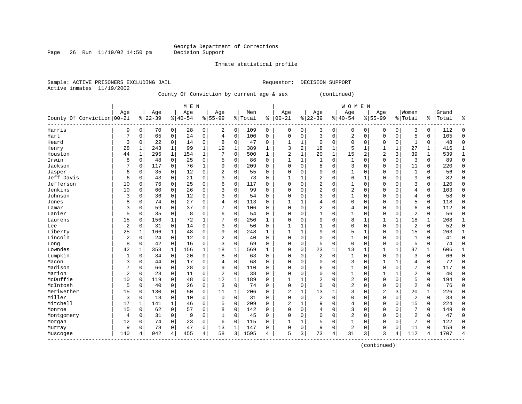Page 26 Run  $11/19/02$  14:50 pm

### Inmate statistical profile

Active inmates 11/19/2002

Sample: ACTIVE PRISONERS EXCLUDING JAIL Requestor: DECISION SUPPORT

County Of Conviction by current age & sex (continued)

|                            |     |              |           |                | M E N       |                |                |                |         |              |                |              |                |              | <b>WOMEN</b>   |                |                |              |                |              |       |              |
|----------------------------|-----|--------------|-----------|----------------|-------------|----------------|----------------|----------------|---------|--------------|----------------|--------------|----------------|--------------|----------------|----------------|----------------|--------------|----------------|--------------|-------|--------------|
|                            | Age |              | Age       |                | Age         |                | Age            |                | Men     |              | Age            |              | Age            |              | Age            |                | Age            |              | Women          |              | Grand |              |
| County Of Conviction 00-21 |     |              | $8 22-39$ |                | $8140 - 54$ |                | $8155 - 99$    |                | % Total | ႜ            | $ 00 - 21$     |              | $8 22-39$      |              | $8 40-54$      |                | $8155 - 99$    |              | % Total        | ి            | Total |              |
| Harris                     | 9   | $\Omega$     | 70        | $\overline{0}$ | 28          | $\overline{0}$ | 2              | 0              | 109     | 0            | 0              | 0            | 3              | 0            | 0              | 0              | $\mathbf 0$    | 0            | 3              | 0            | 112   | $\Omega$     |
| Hart                       | 7   | 0            | 65        | $\mathbf 0$    | 24          | 0              | 4              | $\mathbf 0$    | 100     | 0            | $\Omega$       | 0            | 3              | $\Omega$     | 2              | $\Omega$       | $\mathbf 0$    | $\mathbf 0$  | 5              | 0            | 105   | $\Omega$     |
| Heard                      | 3   | 0            | 22        | $\mathbf 0$    | 14          | 0              | 8              | $\mathbf 0$    | 47      | 0            |                | 1            | $\Omega$       | $\Omega$     | 0              | 0              | $\Omega$       | $\mathbf 0$  | 1              | 0            | 48    | $\Omega$     |
| Henry                      | 28  | $\mathbf{1}$ | 243       | $\mathbf 1$    | 99          | $\mathbf{1}$   | 19             | $\mathbf{1}$   | 389     | $\mathbf{1}$ | 3              | 2            | 18             | $\mathbf 1$  | 5              | $\mathbf{1}$   | $\mathbf{1}$   | $\mathbf{1}$ | 27             | 1            | 416   | $\mathbf{1}$ |
| Houston                    | 44  | $\mathbf{1}$ | 295       | $\mathbf{1}$   | 154         | $\mathbf 1$    |                | $\mathbf 0$    | 500     | $\mathbf{1}$ | $\overline{2}$ | $\mathbf{1}$ | 20             | $\mathbf{1}$ | 15             | $\overline{a}$ | $\overline{2}$ | 3            | 39             | $\mathbf{1}$ | 539   | $\mathbf{1}$ |
| Irwin                      | 8   | 0            | 48        | $\mathbf 0$    | 25          | 0              | 5              | $\mathbf 0$    | 86      | $\Omega$     |                | 1            | 1              | $\Omega$     | $\mathbf{1}$   | O              | $\Omega$       | $\mathbf 0$  | 3              | 0            | 89    | $\Omega$     |
| Jackson                    |     | 0            | 117       | 0              | 76          | 1              | 9              | $\mathbf 0$    | 209     | 0            | $\Omega$       | 0            | 8              | $\Omega$     | 3              | U              | $\Omega$       | 0            | 11             | 0            | 220   | $\mathbf 0$  |
| Jasper                     | 6   | 0            | 35        | $\Omega$       | 12          | 0              | $\overline{2}$ | $\mathbf 0$    | 55      | U            | C              | $\Omega$     |                | $\Omega$     | 1              | 0              | O              | $\Omega$     | $\mathbf{1}$   | 0            | 56    | $\Omega$     |
| Jeff Davis                 | 6   | $\Omega$     | 43        | $\Omega$       | 21          | $\Omega$       | 3              | $\mathbf 0$    | 73      | O            | ำ              | 1            |                | $\Omega$     | 6              | 1              | $\Omega$       | $\Omega$     | 9              | 0            | 82    | $\Omega$     |
| Jefferson                  | 10  | O            | 76        | $\Omega$       | 25          | $\Omega$       | 6              | $\Omega$       | 117     | 0            | $\Omega$       | $\Omega$     | $\overline{2}$ | $\Omega$     | $\mathbf{1}$   | O              | $\Omega$       | $\Omega$     | 3              | 0            | 120   | $\Omega$     |
| Jenkins                    | 10  | 0            | 60        | $\Omega$       | 26          | $\Omega$       | 3              | $\Omega$       | 99      | 0            | 0              | $\Omega$     | 2              | $\Omega$     | 2              | O              | $\Omega$       | $\Omega$     | 4              | 0            | 103   | <sup>0</sup> |
| Johnson                    | 3   | $\Omega$     | 36        | $\Omega$       | 12          | 0              | 3              | $\mathbf 0$    | 54      | 0            | C              | $\Omega$     | 3              | $\Omega$     | 1              | 0              | 0              | $\Omega$     | 4              | 0            | 58    | <sup>0</sup> |
| Jones                      | 8   | 0            | 74        | $\Omega$       | 27          | 0              | 4              | $\mathbf 0$    | 113     | 0            |                | 1            | 4              | $\Omega$     | 0              | $\Omega$       | $\Omega$       | $\Omega$     | 5              | 0            | 118   | $\Omega$     |
| Lamar                      | 3   | $\Omega$     | 59        | $\Omega$       | 37          | 0              | 7              | 0              | 106     | 0            | $\cap$         | $\Omega$     | $\overline{c}$ | $\Omega$     | 4              | $\Omega$       | $\Omega$       | $\Omega$     | 6              | 0            | 112   | $\Omega$     |
| Lanier                     | 5   | 0            | 35        | 0              | 8           | 0              | 6              | 0              | 54      | $\Omega$     | $\Omega$       | $\Omega$     |                | $\Omega$     | 1              | $\Omega$       | $\Omega$       | 0            | 2              | 0            | 56    | $\Omega$     |
| Laurens                    | 15  | 0            | 156       | 1              | 72          | 1              | 7              | $\mathbf 0$    | 250     | $\mathbf{1}$ | $\Omega$       | $\Omega$     | q              | $\Omega$     | 8              | 1              | -1             | 1            | 18             | 1            | 268   | -1           |
| Lee                        | 2   | $\Omega$     | 31        | $\mathbf 0$    | 14          | 0              | 3              | $\mathbf 0$    | 50      | $\Omega$     | 1              | 1            |                | $\Omega$     | $\Omega$       | $\Omega$       | $\Omega$       | $\mathbf 0$  | $\overline{2}$ | 0            | 52    | $\Omega$     |
| Liberty                    | 25  | 1            | 166       | 1              | 48          | 0              | 9              | $\mathbf 0$    | 248     | 1            | $\mathbf{1}$   | 1            | 9              | $\Omega$     | 5              | $\mathbf{1}$   | $\Omega$       | $\Omega$     | 15             | 0            | 263   |              |
| Lincoln                    | 2   | $\Omega$     | 24        | $\Omega$       | 12          | 0              | $\overline{2}$ | $\mathbf 0$    | 40      | $\Omega$     | $\Omega$       | $\Omega$     | $\Omega$       | $\Omega$     | $\mathbf{1}$   | $\Omega$       | $\Omega$       | $\Omega$     | $\mathbf{1}$   | 0            | 41    | $\Omega$     |
| Long                       | 8   | 0            | 42        | $\mathbf 0$    | 16          | 0              | 3              | $\mathbf 0$    | 69      | $\Omega$     | $\Omega$       | 0            | 5              | $\Omega$     | 0              | 0              | $\Omega$       | $\Omega$     | 5              | 0            | 74    | $\cap$       |
| Lowndes                    | 42  | 1            | 353       | $\mathbf{1}$   | 156         | $\mathbf 1$    | 18             | $\mathbf{1}$   | 569     | $\mathbf{1}$ | $\Omega$       | 0            | 23             | $\mathbf{1}$ | 13             |                |                | 1            | 37             | 1            | 606   |              |
| Lumpkin                    | 1   | $\Omega$     | 34        | $\Omega$       | 20          | 0              | 8              | $\mathbf 0$    | 63      | 0            | C              | $\Omega$     | 2              | $\Omega$     | $\mathbf{1}$   | $\Omega$       | $\Omega$       | $\Omega$     | 3              | 0            | 66    | <sup>0</sup> |
| Macon                      | 3   | 0            | 44        | $\Omega$       | 17          | 0              | 4              | $\mathbf 0$    | 68      | 0            | $\Omega$       | $\Omega$     | $\cap$         | $\Omega$     | 3              | 0              | $\mathbf{1}$   | $\mathbf{1}$ | 4              | $\Omega$     | 72    | $\Omega$     |
| Madison                    | 7   | 0            | 66        | $\Omega$       | 28          | 0              | 9              | $\Omega$       | 110     | $\Omega$     | $\Omega$       | $\Omega$     | 6              | $\Omega$     | $\mathbf{1}$   | O              | $\Omega$       | $\Omega$     | 7              | $\Omega$     | 117   | $\Omega$     |
| Marion                     | 2   | 0            | 23        | $\Omega$       | 11          | 0              | $\overline{a}$ | $\Omega$       | 38      | O            | 0              | $\Omega$     |                | $\Omega$     | 1              | U              |                | 1            | $\overline{2}$ | 0            | 40    | $\Omega$     |
| McDuffie                   | 10  | 0            | 119       | $\Omega$       | 48          | 0              | 12             | 1              | 189     | 0            | 1              | 1            | 2              | $\Omega$     | 2              | 0              | $\Omega$       | $\Omega$     | 5              | 0            | 194   | 0            |
| McIntosh                   | 5   | 0            | 40        | $\Omega$       | 26          | 0              | 3              | $\Omega$       | 74      | 0            | $\Omega$       | $\Omega$     | $\Omega$       | $\Omega$     | $\overline{2}$ | O              | $\Omega$       | $\Omega$     | 2              | 0            | 76    | $\Omega$     |
| Meriwether                 | 15  | $\Omega$     | 130       | $\Omega$       | 50          | 0              | 11             | $\mathbf{1}$   | 206     | 0            | 2              | $\mathbf{1}$ | 13             | 1            | 3              | $\Omega$       | $\overline{2}$ | 3            | 20             | 1            | 226   | <sup>0</sup> |
| Miller                     | 3   | $\Omega$     | 18        | $\mathbf 0$    | 10          | 0              | $\mathbf 0$    | $\mathbf 0$    | 31      | $\Omega$     | $\Omega$       | $\Omega$     | $\overline{c}$ | $\Omega$     | 0              | $\cap$         | $\Omega$       | $\Omega$     | 2              | 0            | 33    | ∩            |
| Mitchell                   | 17  | 1            | 141       | $\mathbf{1}$   | 46          | 0              | 5              | $\mathbf 0$    | 209     | 0            | $\overline{2}$ | $\mathbf{1}$ | 9              | $\Omega$     | $\overline{4}$ | $\Omega$       | $\Omega$       | $\Omega$     | 15             | 0            | 224   | $\cap$       |
| Monroe                     | 15  | 0            | 62        | $\mathbf 0$    | 57          | 0              | 8              | $\mathbf 0$    | 142     | 0            | $\Omega$       | 0            | 4              | $\Omega$     | 3              | $\Omega$       | $\Omega$       | $\mathbf 0$  | 7              | 0            | 149   | $\Omega$     |
| Montgomery                 | 4   | 0            | 31        | $\mathbf 0$    | 9           | 0              | $\mathbf{1}$   | $\mathbf 0$    | 45      | 0            | $\Omega$       | $\Omega$     | $\cap$         | $\Omega$     | 2              | $\Omega$       | $\Omega$       | $\Omega$     | 2              | 0            | 47    | $\Omega$     |
| Morgan                     | 12  | 0            | 74        | 0              | 23          | 0              | 6              | 0              | 115     | 0            | -1             | 1            |                | $\Omega$     | 1              | O              | $\Omega$       | 0            | 7              | 0            | 122   | $\Omega$     |
| Murray                     | 9   | 0            | 78        | 0              | 47          | 0              | 13             | 1              | 147     | 0            | $\Omega$       | 0            | 9              | 0            | 2              | 0              | $\mathbf 0$    | 0            | 11             | 0            | 158   | <sup>0</sup> |
| Muscogee                   | 140 |              | 942       | 4              | 455         | 4              | 58             | $\overline{3}$ | 1595    | 4            | 5              | 3            | 73             | 4            | 31             | 3              | 3              | 4            | 112            | 4            | 1707  |              |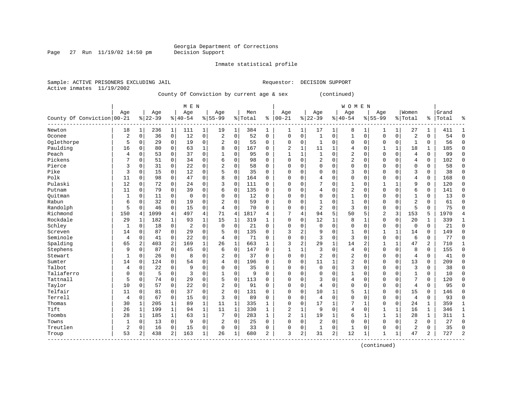Page 27 Run  $11/19/02$  14:50 pm

Inmate statistical profile

Active inmates 11/19/2002

Sample: ACTIVE PRISONERS EXCLUDING JAIL Requestor: DECISION SUPPORT

County Of Conviction by current age & sex (continued)

|                            |                |              |           |                | M E N          |              |                |              |         |                |                |              |                |              | <b>WOMEN</b>   |                |                |              |                |                |       |                |
|----------------------------|----------------|--------------|-----------|----------------|----------------|--------------|----------------|--------------|---------|----------------|----------------|--------------|----------------|--------------|----------------|----------------|----------------|--------------|----------------|----------------|-------|----------------|
|                            | Age            |              | Age       |                | Age            |              | Age            |              | Men     |                | Age            |              | Age            |              | Age            |                | Age            |              | Women          |                | Grand |                |
| County Of Conviction 00-21 |                |              | $8 22-39$ |                | $8 40-54$      |              | $8 55-99$      |              | % Total | ႜ              | $ 00-21$       |              | $ 22-39$       |              | $8 40-54$      |                | $8155 - 99$    |              | % Total        | ႜ              | Total | ٩,             |
| Newton                     | 18             | 1            | 236       | $\mathbf 1$    | 111            | 1            | 19             | 1            | 384     | 1              | 1              | 1            | 17             | 1            | 8              | 1              | 1              | 1            | 27             | 1              | 411   | 1              |
| Oconee                     | $\overline{2}$ | $\mathbf 0$  | 36        | $\mathsf{O}$   | 12             | 0            | 2              | $\mathbf 0$  | 52      | 0              | $\mathbf 0$    | 0            | $\mathbf{1}$   | 0            | $\mathbf{1}$   | $\mathbf 0$    | 0              | 0            | $\overline{2}$ | $\mathbf 0$    | 54    | $\mathbf 0$    |
| Oglethorpe                 | 5              | $\mathbf 0$  | 29        | $\mathbf 0$    | 19             | 0            | $\overline{2}$ | $\mathbf 0$  | 55      | 0              | 0              | 0            | 1              | $\mathbf 0$  | 0              | $\mathbf 0$    | 0              | $\mathbf 0$  | $\mathbf{1}$   | $\mathbf 0$    | 56    | $\Omega$       |
| Paulding                   | 16             | $\mathbf 0$  | 80        | $\mathbf 0$    | 63             | $\mathbf 1$  | 8              | $\mathbf 0$  | 167     | 0              | 2              | $\mathbf{1}$ | 11             | $\mathbf{1}$ | 4              | $\mathbf 0$    | $\mathbf{1}$   | $\mathbf{1}$ | 18             | 1              | 185   | $\Omega$       |
| Peach                      | 4              | $\Omega$     | 53        | 0              | 37             | 0            |                | $\Omega$     | 95      | $\Omega$       | $\mathbf{1}$   | 1            | $\mathbf{1}$   | $\Omega$     | 2              | $\mathbf 0$    | 0              | $\Omega$     | $\overline{4}$ | $\Omega$       | 99    | $\Omega$       |
| Pickens                    | 7              | $\Omega$     | 51        | 0              | 34             | 0            | б              | $\Omega$     | 98      | $\Omega$       | $\Omega$       | $\Omega$     | 2              | $\Omega$     | $\overline{2}$ | $\mathbf 0$    | 0              | $\Omega$     | 4              | $\mathbf 0$    | 102   | $\Omega$       |
| Pierce                     | 3              | 0            | 31        | 0              | 22             | 0            | 2              | $\Omega$     | 58      | 0              | $\Omega$       | $\Omega$     | $\Omega$       | $\Omega$     | $\Omega$       | $\mathbf 0$    | $\Omega$       | $\Omega$     | $\mathbf 0$    | 0              | 58    | 0              |
| Pike                       | 3              | 0            | 15        | 0              | 12             | 0            | 5              | $\mathbf 0$  | 35      | $\Omega$       | $\Omega$       | $\Omega$     | 0              | $\Omega$     | 3              | 0              | 0              | O            | 3              | 0              | 38    | 0              |
| Polk                       | 11             | $\mathbf 0$  | 98        | 0              | 47             | 0            | 8              | $\mathbf 0$  | 164     | $\Omega$       | $\Omega$       | O            | 4              | $\mathbf 0$  | $\mathsf 0$    | $\mathbf 0$    | $\Omega$       | $\mathbf 0$  | $\overline{4}$ | $\mathbf 0$    | 168   | $\mathbf 0$    |
| Pulaski                    | 12             | $\Omega$     | 72        | 0              | 24             | 0            | 3              | $\Omega$     | 111     | $\Omega$       | $\Omega$       | $\Omega$     | 7              | $\Omega$     | $\mathbf{1}$   | $\mathbf 0$    | $\mathbf{1}$   | $\mathbf{1}$ | q              | $\Omega$       | 120   | $\mathbf 0$    |
| Putnam                     | 11             | $\Omega$     | 79        | 0              | 39             | 0            | 6              | $\mathbf 0$  | 135     | 0              | $\Omega$       | $\Omega$     | 4              | $\Omega$     | $\overline{2}$ | $\mathbf 0$    | $\mathbf 0$    | $\Omega$     | 6              | 0              | 141   | $\Omega$       |
| Ouitman                    | 1              | 0            | 11        | $\mathbf 0$    | $\mathbf 0$    | 0            | O              | $\mathbf 0$  | 12      | $\Omega$       | 0              | $\Omega$     | 0              | $\mathbf 0$  | 1              | 0              | 0              | $\mathbf 0$  | $\mathbf{1}$   | 0              | 13    | $\mathbf 0$    |
| Rabun                      | 6              | 0            | 32        | $\mathbf 0$    | 19             | 0            | $\overline{2}$ | $\mathbf 0$  | 59      | $\Omega$       | $\Omega$       | 0            | $\mathbf{1}$   | $\mathbf 0$  | $\mathbf{1}$   | $\mathbf 0$    | 0              | $\mathbf 0$  | $\overline{c}$ | $\mathbf 0$    | 61    | $\Omega$       |
| Randolph                   | 5              | $\Omega$     | 46        | $\mathbf 0$    | 15             | 0            | 4              | $\mathbf 0$  | 70      | $\Omega$       | $\Omega$       | $\Omega$     | $\overline{2}$ | $\mathbf 0$  | 3              | $\mathbf 0$    | $\mathbf 0$    | $\mathbf 0$  | 5              | $\Omega$       | 75    | $\Omega$       |
| Richmond                   | 150            | 4            | 1099      | 4              | 497            | 4            | 71             | 4            | 1817    | 4              | 7              | 4            | 94             | 5            | 50             | 5              | $\overline{2}$ | 3            | 153            | 5              | 1970  | $\overline{4}$ |
| Rockdale                   | 29             | 1            | 182       | 1              | 93             | $\mathbf 1$  | 15             | 1            | 319     | 1              | $\Omega$       | 0            | 12             | $\mathbf 1$  | 8              | 1              | 0              | 0            | 20             | 1              | 339   | 1              |
| Schley                     | 1              | 0            | 18        | 0              | $\overline{2}$ | 0            | $\mathbf 0$    | $\mathbf 0$  | 21      | $\Omega$       | $\Omega$       | $\Omega$     | $\mathbf 0$    | $\mathbf 0$  | 0              | 0              | 0              | 0            | $\mathbf 0$    | 0              | 21    | $\mathbf 0$    |
| Screven                    | 14             | 0            | 87        | 0              | 29             | 0            | 5              | $\mathbf 0$  | 135     | $\Omega$       | 3              | 2            | 9              | $\Omega$     | 1              | $\mathbf 0$    | 1              | $\mathbf{1}$ | 14             | 0              | 149   | $\Omega$       |
| Seminole                   | 4              | $\Omega$     | 41        | 0              | 22             | $\Omega$     | 4              | $\Omega$     | 71      | $\Omega$       | $\Omega$       | $\Omega$     | 3              | $\Omega$     | 3              | $\Omega$       | $\Omega$       | $\Omega$     | 6              | $\Omega$       | 77    | $\Omega$       |
| Spalding                   | 65             | 2            | 403       | 2              | 169            | $\mathbf{1}$ | 26             | 1            | 663     | $\mathbf{1}$   | 3              | 2            | 29             | $\mathbf{1}$ | 14             | $\overline{2}$ | $\mathbf{1}$   | $\mathbf{1}$ | 47             | 2              | 710   | 1              |
| Stephens                   | 9              | $\mathbf 0$  | 87        | $\mathbf 0$    | 45             | 0            | 6              | $\mathbf 0$  | 147     | $\Omega$       | 1              | 1            | 3              | $\mathbf 0$  | $\overline{4}$ | $\mathbf 0$    | $\Omega$       | $\mathbf 0$  | 8              | $\mathbf 0$    | 155   | $\Omega$       |
| Stewart                    | $\mathbf{1}$   | 0            | 26        | 0              | 8              | 0            | 2              | $\mathbf 0$  | 37      | 0              | 0              | 0            | $\overline{a}$ | 0            | $\overline{2}$ | $\mathbf 0$    | 0              | $\mathbf 0$  | $\overline{4}$ | $\mathbf 0$    | 41    | $\Omega$       |
| Sumter                     | 14             | $\mathbf 0$  | 124       | $\mathbf 0$    | 54             | 0            | 4              | $\mathbf 0$  | 196     | $\Omega$       | $\Omega$       | 0            | 11             | 1            | $\overline{2}$ | $\mathbf 0$    | $\mathbf 0$    | $\mathbf 0$  | 13             | $\mathbf 0$    | 209   | $\Omega$       |
| Talbot                     | 4              | $\mathbf 0$  | 22        | $\mathbf 0$    | 9              | 0            | $\Omega$       | $\mathbf 0$  | 35      | 0              | $\Omega$       | 0            | $\mathbf 0$    | $\mathbf 0$  | 3              | $\mathbf 0$    | $\mathbf 0$    | $\mathbf 0$  | 3              | $\mathbf 0$    | 38    | $\Omega$       |
| Taliaferro                 | 0              | 0            | 5         | $\mathbf 0$    | 3              | 0            |                | $\Omega$     | 9       | $\Omega$       | $\Omega$       | $\Omega$     | $\Omega$       | $\Omega$     | $\mathbf{1}$   | $\mathbf 0$    | $\Omega$       | $\Omega$     | $\mathbf{1}$   | 0              | 10    | $\mathbf 0$    |
| Tattnall                   | 5              | $\Omega$     | 74        | 0              | 29             | 0            | 5              | $\Omega$     | 113     | 0              | $\Omega$       | $\Omega$     | 3              | $\Omega$     | 4              | 0              | $\Omega$       | $\Omega$     |                | $\Omega$       | 120   | $\mathbf 0$    |
| Taylor                     | 10             | $\Omega$     | 57        | 0              | 22             | 0            | 2              | $\Omega$     | 91      | $\Omega$       | $\Omega$       | 0            | 4              | 0            | 0              | 0              | $\Omega$       | $\Omega$     | $\overline{4}$ | 0              | 95    | $\Omega$       |
| Telfair                    | 11             | $\Omega$     | 81        | 0              | 37             | 0            | 2              | $\Omega$     | 131     | $\Omega$       | $\Omega$       | $\Omega$     | 10             | 1            | 5              | 1              | $\Omega$       | $\Omega$     | 15             | $\Omega$       | 146   | $\Omega$       |
| Terrell                    | $\overline{4}$ | $\Omega$     | 67        | $\mathbf 0$    | 15             | 0            | 3              | $\Omega$     | 89      | $\Omega$       | $\Omega$       | $\Omega$     | $\overline{4}$ | $\Omega$     | $\Omega$       | $\mathbf 0$    | $\mathbf 0$    | $\Omega$     | $\overline{4}$ | $\mathbf 0$    | 93    | $\Omega$       |
| Thomas                     | 30             | 1            | 205       | $\mathbf{1}$   | 89             | $\mathbf{1}$ | 11             | $\mathbf{1}$ | 335     | 1              | $\Omega$       | 0            | 17             | $\mathbf{1}$ | 7              | $\mathbf{1}$   | $\mathbf 0$    | $\mathbf 0$  | 24             | 1              | 359   | $\mathbf{1}$   |
| Tift                       | 26             | $\mathbf{1}$ | 199       | $\mathbf{1}$   | 94             | $\mathbf{1}$ | 11             | $\mathbf 1$  | 330     | $\mathbf{1}$   | 2              | $\mathbf 1$  | 9              | $\mathbf 0$  | $\overline{4}$ | $\mathbf 0$    | $\mathbf{1}$   | $\mathbf{1}$ | 16             | $\mathbf 1$    | 346   | $\mathbf{1}$   |
| Toombs                     | 28             | $\mathbf{1}$ | 185       | $\mathbf{1}$   | 63             | $\mathbf{1}$ | 7              | $\mathbf 0$  | 283     | $\mathbf{1}$   | $\overline{2}$ | $\mathbf{1}$ | 19             | $\mathbf{1}$ | 6              | $\mathbf{1}$   | $\mathbf{1}$   | $\mathbf{1}$ | 28             | $\mathbf{1}$   | 311   | $\mathbf{1}$   |
| Towns                      | $\mathbf{1}$   | $\Omega$     | 13        | $\mathbf 0$    | 9              | 0            | 2              | $\mathbf 0$  | 25      | $\Omega$       | $\Omega$       | $\Omega$     | 2              | $\Omega$     | $\Omega$       | $\Omega$       | 0              | $\Omega$     | $\overline{2}$ | $\Omega$       | 27    | $\Omega$       |
| Treutlen                   | $\overline{c}$ | $\Omega$     | 16        | 0              | 15             | 0            | $\Omega$       | $\Omega$     | 33      | $\Omega$       | $\Omega$       | 0            | $\mathbf{1}$   | 0            | 1              | 0              | $\Omega$       | $\Omega$     | $\overline{2}$ | 0              | 35    | $\Omega$       |
| Troup                      | 53             | 2            | 438       | $\overline{a}$ | 163            | 1            | 26             | 1            | 680     | $\overline{2}$ | 3              | 2            | 31             | 2            | 12             | 1              | $\mathbf{1}$   | $\mathbf{1}$ | 47             | $\overline{a}$ | 727   | $\overline{2}$ |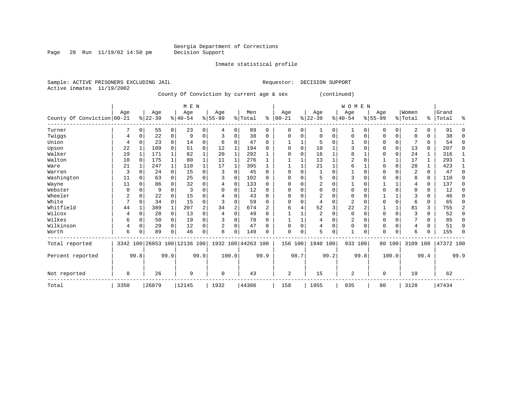# Georgia Department of Corrections<br>Decision Support

Page 28 Run  $11/19/02$  14:50 pm

### Inmate statistical profile

|  |                           | Sample: ACTIVE PRISONERS EXCLUDING JAIL |                                           |  | Requestor: | DECISION SUPPORT |  |
|--|---------------------------|-----------------------------------------|-------------------------------------------|--|------------|------------------|--|
|  | Active inmates 11/19/2002 |                                         |                                           |  |            |                  |  |
|  |                           |                                         | County Of Conviction by current age & sex |  |            | (continued)      |  |

|                            |      |          |           |              | M E N                        |             |             |                |                    |          |            |          |                |              | <b>WOMEN</b> |          |             |              |                |             |           |              |
|----------------------------|------|----------|-----------|--------------|------------------------------|-------------|-------------|----------------|--------------------|----------|------------|----------|----------------|--------------|--------------|----------|-------------|--------------|----------------|-------------|-----------|--------------|
|                            | Age  |          | Age       |              | Age                          |             | Age         |                | Men                |          | Age        |          | Age            |              | Age          |          | Age         |              | Women          |             | Grand     |              |
| County Of Conviction 00-21 |      |          | $8 22-39$ |              | $8 40-54$                    |             | $8 55-99$   |                | % Total            | နွ       | $ 00 - 21$ |          | $ 22-39$       |              | $8 40-54$    |          | $8155 - 99$ |              | %   Total      | န္          | Total     | ⊱            |
| Turner                     |      | 0        | 55        | $\circ$      | 23                           | 0           | 4           | 0              | 89                 | 0        | 0          | 0        |                | 0            |              | 0        | 0           | 0            | 2              | 0           | 91        |              |
| Twiggs                     | 4    | 0        | 22        | 0            | 9                            | 0           |             | 0              | 38                 | $\Omega$ | 0          | 0        | $\Omega$       | $\Omega$     | 0            | $\Omega$ | $\mathbf 0$ | 0            | $\Omega$       | 0           | 38        | <sup>0</sup> |
| Union                      | 4    |          | 23        | $\Omega$     | 14                           | 0           | 6           | 0              | 47                 | $\Omega$ |            | 1        |                | $\Omega$     |              | 0        | $\mathbf 0$ | 0            |                | $\Omega$    | 54        | ∩            |
| Upson                      | 22   |          | 109       | $\Omega$     | 51                           | $\mathbf 0$ | 12          | 1              | 194                | 0        | U          | $\Omega$ | 10             |              | 3            | U        | 0           | $\Omega$     | 13             | $\Omega$    | 207       | <sup>0</sup> |
| Walker                     | 19   |          | 171       |              | 82                           | $\mathbf 1$ | 20          |                | 292                |          |            | U        | 16             |              | 8            |          | $\Omega$    | 0            | 24             | 1           | 316       |              |
| Walton                     | 10   | $\Omega$ | 175       | 1            | 80                           | $\mathbf 1$ | 11          |                | 276                |          |            |          | 13             |              | 2            |          |             |              | 17             | 1           | 293       |              |
| Ware                       | 21   |          | 247       | $\mathbf{1}$ | 110                          | $\mathbf 1$ | 17          |                | 395                |          |            |          | 21             |              | 6            |          | $\mathbf 0$ | $\mathbf 0$  | 28             | $\mathbf 1$ | 423       |              |
| Warren                     | 3    |          | 24        | 0            | 15                           | $\mathbf 0$ | 3           | 0              | 45                 | $\Omega$ |            | 0        |                | $\Omega$     |              |          | $\mathbf 0$ | 0            | $\overline{2}$ | 0           | 47        |              |
| Washington                 | 11   |          | 63        | 0            | 25                           | $\mathbf 0$ | ζ           | $\Omega$       | 102                | $\Omega$ | U          | O        |                | $\Omega$     | 3            | U        | $\mathbf 0$ | $\Omega$     | 8              | 0           | 110       | <sup>0</sup> |
| Wayne                      | 11   |          | 86        |              | 32                           | 0           | 4           | 0              | 133                | 0        |            |          | $\overline{2}$ | $\Omega$     |              |          |             |              |                | $\Omega$    | 137       | <sup>0</sup> |
| Webster                    | O    |          | q         |              |                              | O           |             | 0              | 12                 | 0        |            |          |                | <sup>0</sup> | U            |          | $\Omega$    | N            | O              | $\Omega$    | 12        |              |
| Wheeler                    | 2    |          | 22        | 0            | 15                           | 0           |             | $\mathbf 0$    | 43                 | $\Omega$ | U          | O        | 2              | $\Omega$     | $\Omega$     |          |             |              |                | 0           | 46        |              |
| White                      | 7    | 0        | 34        | $\mathbf 0$  | 15                           | $\mathbf 0$ | 3           | $\mathbf 0$    | 59                 | $\Omega$ |            | 0        | 4              | $\Omega$     | 2            |          | $\Omega$    | $\Omega$     | 6              | $\Omega$    | 65        |              |
| Whitfield                  | 44   |          | 389       | $\mathbf 1$  | 207                          | $\sqrt{2}$  | 34          | $\overline{c}$ | 674                | 2        | 6          | 4        | 52             | 3            | 22           |          |             | $\mathbf{1}$ | 81             | 3           | 755       | 2            |
| Wilcox                     |      |          | 28        | 0            | 13                           | 0           | 4           | $\Omega$       | 49                 | $\Omega$ |            |          | 2              | $\Omega$     | $\Omega$     |          | $\mathbf 0$ | $\Omega$     |                | $\Omega$    | 52        | ∩            |
| Wilkes                     | 6    | O        | 50        | 0            | 19                           | $\mathbf 0$ |             | $\mathbf 0$    | 78                 | $\Omega$ |            |          |                | $\Omega$     | 2            |          | $\mathbf 0$ | O            |                | $\Omega$    | 85        |              |
| Wilkinson                  | 4    | 0        | 29        | 0            | 12                           | 0           | 2           | $\mathbf 0$    | 47                 | 0        |            | 0        |                | $\Omega$     | 0            |          | $\mathbf 0$ | 0            | 4              | $\Omega$    | 51        |              |
| Worth                      | 6    |          | 89        | $\Omega$     | 46                           | 0           | 8           | $\Omega$       | 149                | O        | $\Omega$   | 0        | 5              | 0            |              |          | $\Omega$    | 0            | 6              | 0           | 155       |              |
| Total reported             |      |          |           |              | 3342 100 26853 100 12136 100 |             |             |                | 1932 100 44263 100 |          | 156 100    |          | 1940 100       |              | 933 100      |          | 80 100      |              | 3109 100       |             | 47372 100 |              |
| Percent reported           |      | 99.8     |           | 99.9         |                              | 99.9        |             | 100.0          |                    | 99.9     |            | 98.7     |                | 99.2         |              | 99.8     |             | 100.0        |                | 99.4        |           | 99.9         |
| Not reported               | 8    |          | 26        |              | 9                            |             | $\mathbf 0$ |                | 43                 |          | 2          |          | 15             |              | 2            |          | 0           |              | 19             |             | 62        |              |
| Total                      | 3350 |          | 26879     |              | 12145                        |             | 1932        |                | 44306              |          | 158        |          | 1955           |              | 935          |          | 80          |              | 3128           |             | 47434     |              |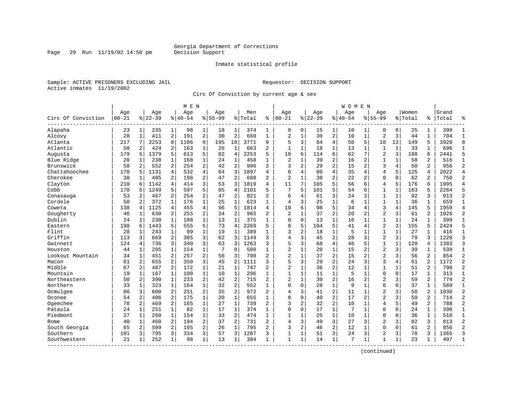Page 29 Run 11/19/02 14:50 pm

### Inmate statistical profile

Sample: ACTIVE PRISONERS EXCLUDING JAIL Requestor: DECISION SUPPORT Active inmates 11/19/2002

Circ Of Conviction by current age & sex

|                    |                  |                |                  |                | M E N            |                |                    |                |                |                |                          |                |                  |                | W O M E N          |                |                    |              |                  |                |                |                |
|--------------------|------------------|----------------|------------------|----------------|------------------|----------------|--------------------|----------------|----------------|----------------|--------------------------|----------------|------------------|----------------|--------------------|----------------|--------------------|--------------|------------------|----------------|----------------|----------------|
| Circ Of Conviction | Age<br>$00 - 21$ |                | Age<br>$8 22-39$ |                | Age<br>$8 40-54$ |                | Age<br>$8155 - 99$ |                | Men<br>% Total | ి              | Age<br>$ 00 - 21$        |                | Age<br>$8 22-39$ |                | Age<br>$8140 - 54$ |                | Age<br>$8155 - 99$ |              | Women<br>% Total | ႜ              | Grand<br>Total | °              |
| Alapaha            | 23               | $\mathbf{1}$   | 235              | 1              | 98               | 1              | 18                 | 1              | 374            | 1              | 0                        | 0              | 15               | 1              | 10                 | 1              | 0                  | 0            | 25               | 1              | 399            | $\mathbf{1}$   |
| Alcovy             | 28               | $\mathbf{1}$   | 411              | 2              | 191              | $\overline{2}$ | 30                 | $\overline{2}$ | 660            | $\mathbf{1}$   | $\overline{2}$           | $\mathbf{1}$   | 30               | $\overline{a}$ | 10                 | $\mathbf{1}$   | $\overline{a}$     | 3            | 44               | $\mathbf{1}$   | 704            | $\mathbf{1}$   |
| Atlanta            | 217              | 7              | 2253             | 8              | 1106             | 9              | 195                | 10             | 3771           | 9              | 5                        | 3              | 84               | $\overline{4}$ | 50                 | 5              | 10                 | 13           | 149              | 5              | 3920           | 8              |
| Atlantic           | 50               | 2              | 424              | 2              | 163              | $\mathbf{1}$   | 26                 | $\mathbf{1}$   | 663            | 2              | $\mathbf{1}$             | $\mathbf 1$    | 18               | $\mathbf{1}$   | 13                 | 1              | $\mathbf{1}$       | $\mathbf 1$  | 33               | 1              | 696            | $\mathbf{1}$   |
| Augusta            | 179              | 5              | 1379             | 5              | 613              | 5              | 82                 | $\overline{4}$ | 2253           | 5              | 10                       | 6              | 114              | 6              | 62                 | 7              | $\overline{a}$     | 3            | 188              | 6              | 2441           | 5              |
| Blue Ridge         | 28               | 1              | 238              | 1              | 168              | $\mathbf 1$    | 24                 | $\mathbf{1}$   | 458            | $\mathbf{1}$   | 2                        | $\mathbf{1}$   | 39               | $\overline{c}$ | 16                 | $\overline{2}$ | $\mathbf{1}$       | 1            | 58               | $\overline{2}$ | 516            | $\mathbf{1}$   |
| Brunswick          | 58               | 2              | 552              | 2              | 254              | $\overline{2}$ | 42                 | $\overline{a}$ | 906            | $\overline{2}$ | 3                        | 2              | 29               | $\overline{a}$ | 15                 | $\overline{a}$ | 3                  | 4            | 50               | $\overline{2}$ | 956            | $\overline{2}$ |
| Chattahoochee      | 170              | 5              | 1131             | 4              | 532              | 4              | 64                 | 3              | 1897           | 4              | 6                        | 4              | 80               | 4              | 35                 | 4              | $\overline{4}$     | 5            | 125              | 4              | 2022           | $\overline{4}$ |
| Cherokee           | 38               | $\mathbf{1}$   | 405              | 2              | 198              | 2              | 47                 | $\overline{2}$ | 688            | 2              | $\overline{c}$           | $\mathbf{1}$   | 38               | $\overline{c}$ | 22                 | 2              | $\mathbf{0}$       | $\Omega$     | 62               | 2              | 750            | $\overline{2}$ |
| Clayton            | 210              | 6              | 1142             | 4              | 414              | 3              | 53                 | 3              | 1819           | 4              | 11                       | 7              | 105              | 5              | 56                 | 6              | $\overline{4}$     | 5            | 176              | 6              | 1995           | $\overline{4}$ |
| Cobb               | 170              | 5              | 1249             | 5              | 597              | 5              | 85                 | $\overline{4}$ | 2101           | 5              | 7                        | 5              | 101              | 5              | 54                 | 6              | $\mathbf{1}$       | $\mathbf{1}$ | 163              | 5              | 2264           | 5              |
| Conasauga          | 53               | 2              | 467              | 2              | 254              | $\overline{a}$ | 47                 | $\overline{2}$ | 821            | $\overline{2}$ | 6                        | 4              | 61               | 3              | 24                 | 3              | $\mathbf{1}$       | $\mathbf 1$  | 92               | 3              | 913            | $\overline{c}$ |
| Cordele            | 50               | 2              | 372              | $\mathbf{1}$   | 176              | $\mathbf{1}$   | 25                 | $\mathbf{1}$   | 623            | $\mathbf{1}$   | $\overline{4}$           | 3              | 25               | $\mathbf{1}$   | 6                  | $\mathbf 1$    | $\mathbf{1}$       | $\mathbf{1}$ | 36               | $\mathbf{1}$   | 659            | $\mathbf{1}$   |
| Coweta             | 138              | $\overline{4}$ | 1125             | $\overline{4}$ | 455              | 4              | 96                 | 5              | 1814           | 4              | 10                       | б              | 98               | 5              | 34                 | 4              | 3                  | 4            | 145              | 5              | 1959           | $\overline{4}$ |
| Dougherty          | 46               | 1              | 630              | 2              | 255              | 2              | 34                 | $\overline{2}$ | 965            | $\overline{a}$ | $\overline{\mathcal{L}}$ | $\mathbf{1}$   | 37               | $\overline{c}$ | 20                 | $\overline{2}$ | $\overline{2}$     | 3            | 61               | $\overline{2}$ | 1026           | $\overline{2}$ |
| Dublin             | 24               | $\mathbf{1}$   | 230              | $\mathbf{1}$   | 108              | $\mathbf{1}$   | 13                 | $\mathbf{1}$   | 375            | $\mathbf{1}$   | $\mathbf 0$              | $\Omega$       | 13               | $\mathbf{1}$   | 10                 | 1              | $\mathbf{1}$       | $\mathbf{1}$ | 24               | $\mathbf{1}$   | 399            | $\mathbf{1}$   |
| Eastern            | 198              | 6              | 1443             | 5              | 555              | 5              | 73                 | $\overline{4}$ | 2269           | 5              | 8                        | 5              | 104              | 5              | 41                 | 4              | $\overline{a}$     | 3            | 155              | 5              | 2424           | 5              |
| Flint              | 28               | 1              | 243              | 1              | 99               | $\mathbf 1$    | 19                 | $\mathbf{1}$   | 389            | $\mathbf{1}$   | 3                        | 2              | 18               | $\mathbf 1$    | 5                  | $\mathbf 1$    | $\mathbf{1}$       | $\mathbf 1$  | 27               | $\mathbf 1$    | 416            | $\mathbf{1}$   |
| Griffin            | 113              | 3              | 669              | 2              | 305              | 3              | 62                 | 3              | 1149           | 3              | 4                        | 3              | 45               | $\overline{a}$ | 28                 | 3              | $\overline{2}$     | 3            | 79               | 3              | 1228           | $\overline{3}$ |
| Gwinnett           | 124              | 4              | 736              | 3              | 340              | 3              | 63                 | 3              | 1263           | 3              | 5                        | 3              | 68               | $\overline{4}$ | 46                 | 5              | $\mathbf{1}$       | $\mathbf 1$  | 120              | 4              | 1383           | 3              |
| Houston            | 44               | 1              | 295              | 1              | 154              | $\mathbf 1$    | 7                  | $\mathbf 0$    | 500            | 1              | $\overline{2}$           | $\mathbf{1}$   | 20               | $\mathbf 1$    | 15                 | $\overline{2}$ | $\overline{2}$     | 3            | 39               | 1              | 539            | $\mathbf{1}$   |
| Lookout Mountain   | 34               | $\mathbf{1}$   | 451              | $\overline{2}$ | 257              | 2              | 56                 | 3              | 798            | $\overline{a}$ | $\overline{c}$           | $\mathbf 1$    | 37               | $\overline{c}$ | 15                 | $\overline{2}$ | $\overline{2}$     | 3            | 56               | $\overline{2}$ | 854            | $\overline{2}$ |
| Macon              | 61               | $\overline{a}$ | 655              | $\overline{a}$ | 350              | 3              | 45                 | $\overline{2}$ | 1111           | 3              | 5                        | 3              | 29               | $\overline{a}$ | 24                 | 3              | 3                  | 4            | 61               | $\overline{2}$ | 1172           | $\overline{2}$ |
| Middle             | 67               | 2              | 487              | $\overline{2}$ | 172              | $\mathbf{1}$   | 21                 | $\mathbf{1}$   | 747            | $\overline{2}$ | $\overline{2}$           | $\mathbf{1}$   | 36               | $\overline{c}$ | 12                 | $\mathbf 1$    | $\mathbf{1}$       | $\mathbf 1$  | 51               | 2              | 798            | $\overline{c}$ |
| Mountain           | 19               | $\mathbf{1}$   | 167              | $\mathbf{1}$   | 100              | $\mathbf{1}$   | 10                 | $\mathbf{1}$   | 296            | $\mathbf{1}$   | $\mathbf{1}$             | $\mathbf 1$    | 11               | $\mathbf{1}$   | 5                  | $\mathbf 1$    | $\mathbf 0$        | $\Omega$     | 17               | $\mathbf{1}$   | 313            | $\mathbf{1}$   |
| Northeastern       | 50               | 2              | 390              | $\mathbf{1}$   | 233              | 2              | 42                 | $\overline{a}$ | 715            | $\overline{a}$ | $\overline{\mathcal{L}}$ | $\mathbf 1$    | 39               | $\overline{2}$ | 16                 | 2              | $\overline{2}$     | 3            | 59               | 2              | 774            | $\overline{2}$ |
| Northern           | 33               | 1              | 323              | $\mathbf{1}$   | 164              | $\mathbf 1$    | 32                 | $\overline{2}$ | 552            | 1              | $\Omega$                 | $\mathbf 0$    | 28               | $\mathbf 1$    | 9                  | 1              | $\Omega$           | 0            | 37               | $\mathbf 1$    | 589            | $\mathbf{1}$   |
| Ocmulgee           | 86               | 3              | 600              | $\overline{2}$ | 251              | 2              | 35                 | $\overline{2}$ | 972            | 2              | 4                        | 3              | 41               | $\overline{c}$ | 11                 | 1              | $\overline{2}$     | 3            | 58               | $\overline{2}$ | 1030           | $\overline{2}$ |
| Oconee             | 54               | 2              | 406              | $\overline{a}$ | 175              | $\mathbf{1}$   | 20                 | $\mathbf{1}$   | 655            | $\mathbf{1}$   | $\Omega$                 | $\Omega$       | 40               | $\overline{2}$ | 17                 | $\overline{2}$ | $\overline{a}$     | 3            | 59               | $\overline{a}$ | 714            | $\overline{2}$ |
| Ogeechee           | 78               | $\overline{a}$ | 469              | $\overline{2}$ | 165              | $\mathbf 1$    | 27                 | $\mathbf{1}$   | 739            | $\overline{2}$ | 3                        | $\overline{c}$ | 32               | $\overline{c}$ | 10                 | $\mathbf 1$    | $\overline{4}$     | 5            | 49               | 2              | 788            | $\overline{2}$ |
| Pataula            | 24               | $\mathbf{1}$   | 251              | $\mathbf{1}$   | 82               | $\mathbf{1}$   | 17                 | $\mathbf{1}$   | 374            | $\mathbf{1}$   | $\Omega$                 | $\Omega$       | 17               | $\mathbf{1}$   | 7                  | $\mathbf{1}$   | $\mathbf{0}$       | $\mathbf 0$  | 24               | $\mathbf{1}$   | 398            | $\mathbf{1}$   |
| Piedmont           | 27               | 1              | 260              | $\mathbf{1}$   | 154              | $\mathbf{1}$   | 33                 | 2              | 474            | $\mathbf{1}$   | $\mathbf{1}$             | 1              | 25               | $\mathbf{1}$   | 10                 | 1              | $\mathbf{0}$       | 0            | 36               | 1              | 510            | $\mathbf{1}$   |
| Rome               | 40               | 1              | 460              | 2              | 194              | 2              | 37                 | $\overline{2}$ | 731            | $\overline{a}$ | $\overline{4}$           | 3              | 49               | 3              | 27                 | 3              | $\overline{2}$     | 3            | 82               | 3              | 813            | $\overline{c}$ |
| South Georgia      | 65               | $\overline{2}$ | 509              | 2              | 195              | 2              | 26                 | $\mathbf{1}$   | 795            | 2              | 3                        | 2              | 46               | $\overline{c}$ | 12                 | $\mathbf 1$    | $\mathbf{0}$       | $\Omega$     | 61               | 2              | 856            | $\overline{2}$ |
| Southern           | 101              | 3              | 795              | 3              | 334              | 3              | 57                 | 3              | 1287           | 3              | $\mathbf{1}$             | 1              | 51               | 3              | 24                 | 3              | $\overline{2}$     | 3            | 78               | 3              | 1365           | 3              |
| Southwestern       | 21               | $\mathbf{1}$   | 252              | 1              | 98               | $\mathbf 1$    | 13                 | 1              | 384            | 1              | $\mathbf{1}$             | 1              | 14               | $\mathbf 1$    | 7                  | 1              | 1                  | 1            | 23               | 1              | 407            | $\mathbf{1}$   |
|                    |                  |                |                  |                |                  |                |                    |                |                |                |                          |                |                  |                |                    |                |                    |              |                  |                |                |                |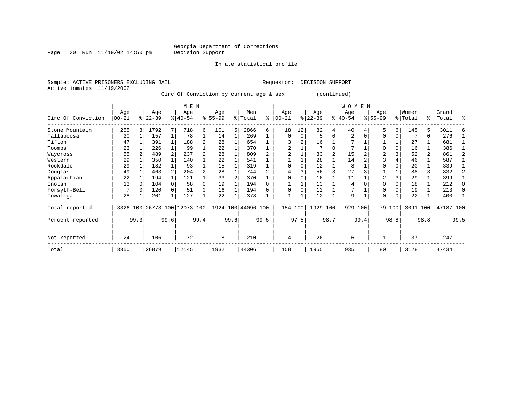Page 30 Run  $11/19/02$  14:50 pm

### Inmate statistical profile

Active inmates 11/19/2002

Sample: ACTIVE PRISONERS EXCLUDING JAIL Requestor: DECISION SUPPORT

Circ Of Conviction by current age & sex (continued)

|                    |                  |          |                  |      | M E N                        |      |                 |      |                    |      |                 |          |                  |          | W O M E N        |      |                  |          |                  |              |                |      |
|--------------------|------------------|----------|------------------|------|------------------------------|------|-----------------|------|--------------------|------|-----------------|----------|------------------|----------|------------------|------|------------------|----------|------------------|--------------|----------------|------|
| Circ Of Conviction | Age<br>$00 - 21$ |          | Age<br>$ 22-39 $ |      | Age<br>$ 40-54 $             |      | Age<br>$ 55-99$ |      | Men<br>% Total     | ి    | Age<br>$ 00-21$ | ៖        | Age<br>$22 - 39$ |          | Age<br>$ 40-54 $ |      | Age<br>$8 55-99$ |          | Women<br>% Total | ႜ            | Grand<br>Total | °    |
| Stone Mountain     | 255              | 8        | 1792             |      | 718                          | 6    | 101             | 5    | 2866               | 6    | 18              | 12       | 82               | 4        | 40               |      | 5                | 6        | 145              | 5            | 3011           |      |
| Tallapoosa         | 20               |          | 157              |      | 78                           |      | 14              |      | 269                |      | $\Omega$        | $\Omega$ |                  | $\Omega$ | 2                |      | $\Omega$         | 0        |                  | 0            | 276            |      |
| Tifton             | 47               |          | 391              |      | 188                          | 2    | 28              |      | 654                |      |                 | 2        | 16               |          |                  |      |                  |          | 27               |              | 681            |      |
| Toombs             | 23               |          | 226              |      | 99                           |      | 22              |      | 370                |      | 2               |          |                  |          | 7                |      | $\Omega$         | 0        | 16               |              | 386            |      |
| Waycross           | 55               |          | 489              |      | 237                          |      | 28              |      | 809                |      |                 |          | 33               |          | 15               |      | $\overline{2}$   |          | 52               | $\mathbf{2}$ | 861            |      |
| Western            | 29               |          | 350              |      | 140                          |      | 22              |      | 541                |      |                 |          | 28               |          | 14               |      | 3                |          | 46               |              | 587            |      |
| Rockdale           | 29               |          | 182              |      | 93                           |      | 15              |      | 319                |      | $\Omega$        |          | 12               |          | 8                |      | $\Omega$         |          | 20               |              | 339            |      |
| Douglas            | 49               |          | 463              |      | 204                          | 2    | 28              |      | 744                |      |                 |          | 56               | 3        | 27               |      |                  |          | 88               | 3            | 832            |      |
| Appalachian        | 22               |          | 194              |      | 121                          |      | 33              |      | 370                |      | $\Omega$        |          | 16               |          | 11               |      | $\overline{2}$   |          | 29               |              | 399            |      |
| Enotah             | 13               | $\Omega$ | 104              |      | 58                           | 0    | 19              |      | 194                |      |                 |          | 13               |          | 4                |      | $\Omega$         | $\Omega$ | 18               |              | 212            |      |
| Forsyth-Bell       |                  |          | 120              |      | 51                           | 0    | 16              |      | 194                |      | $\Omega$        | O        | 12               |          |                  |      | $\Omega$         | $\Omega$ | 19               |              | 213            |      |
| Towaliga           | 28               |          | 201              |      | 127                          |      | 22              |      | 378                |      |                 |          | 12               |          | 9                |      | $\Omega$         | 0        | 22               |              | 400            |      |
| Total reported     |                  |          |                  |      | 3326 100 26773 100 12073 100 |      |                 |      | 1924 100 44096 100 |      | 154 100         |          | 1929 100         |          | 929              | 100  |                  | 79 100   | 3091 100         |              | 47187 100      |      |
| Percent reported   |                  | 99.3     |                  | 99.6 |                              | 99.4 |                 | 99.6 |                    | 99.5 |                 | 97.5     |                  | 98.7     |                  | 99.4 |                  | 98.8     |                  | 98.8         |                | 99.5 |
| Not reported       | 24               |          | 106              |      | 72                           |      | 8               |      | 210                |      | 4               |          | 26               |          | 6                |      |                  |          | 37               |              | 247            |      |
| Total              | 3350             |          | 26879            |      | 12145                        |      | 1932            |      | 44306              |      | 158             |          | 1955             |          | 935              |      | 80               |          | 3128             |              | 47434          |      |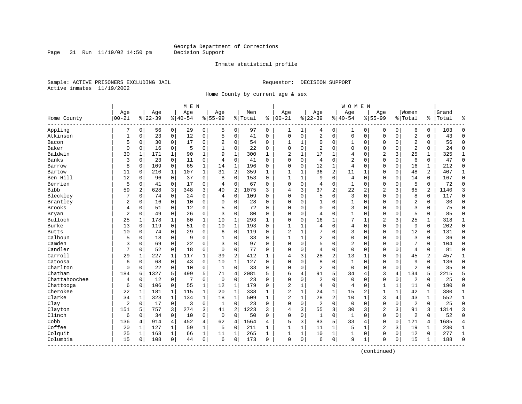Page 31 Run  $11/19/02$  14:50 pm

### Inmate statistical profile

Sample: ACTIVE PRISONERS EXCLUDING JAIL Requestor: DECISION SUPPORT Active inmates 11/19/2002

Home County by current age & sex

|               |              |              |          |                | M E N         |              |                |                |         |              |                |              |                |                | <b>WOMEN</b>   |                |                |              |                         |              |       |                |
|---------------|--------------|--------------|----------|----------------|---------------|--------------|----------------|----------------|---------|--------------|----------------|--------------|----------------|----------------|----------------|----------------|----------------|--------------|-------------------------|--------------|-------|----------------|
|               | Age          |              | Age      |                | Age           |              | Age            |                | Men     |              | Age            |              | Age            |                | Age            |                | Aqe            |              | Women                   |              | Grand |                |
| Home County   | $ 00 - 21$   |              | $ 22-39$ |                | $8   40 - 54$ |              | $8155 - 99$    |                | % Total | ి            | $ 00-21$       |              | $8 22-39$      |                | $8140 - 54$    |                | $8155 - 99$    |              | % Total                 | ႜ            | Total | န္             |
| Appling       | 7            | $\mathbf 0$  | 56       | $\mathbf 0$    | 29            | 0            | 5              | 0              | 97      | 0            | 1              | $\mathbf{1}$ | 4              | 0              | 1              | 0              | 0              | 0            | 6                       | $\mathbf 0$  | 103   | $\Omega$       |
| Atkinson      | $\mathbf{1}$ | $\mathbf 0$  | 23       | $\mathbf 0$    | 12            | 0            | 5              | $\mathbf 0$    | 41      | 0            | $\mathbf 0$    | $\mathbf 0$  | $\sqrt{2}$     | $\mathbf 0$    | $\mathbf 0$    | $\mathbf 0$    | $\mathbf 0$    | $\mathbf 0$  | $\overline{2}$          | $\mathbf 0$  | 43    | $\Omega$       |
| Bacon         | 5            | $\mathbf 0$  | 30       | 0              | 17            | 0            | 2              | 0              | 54      | 0            | -1             | 1            | 0              | 0              | 1              | 0              | 0              | 0            | $\overline{c}$          | 0            | 56    | $\Omega$       |
| Baker         | $\Omega$     | $\mathbf 0$  | 16       | $\mathbf 0$    | 5             | 0            |                | 0              | 22      | 0            | $\mathbf 0$    | $\mathbf 0$  | $\overline{2}$ | $\mathbf 0$    | 0              | $\mathbf 0$    | $\mathbf 0$    | 0            | $\overline{c}$          | 0            | 24    | $\Omega$       |
| Baldwin       | 30           | $\mathbf{1}$ | 171      | $\mathbf{1}$   | 90            | $\mathbf{1}$ | 9              | $\mathbf{1}$   | 300     | $\mathbf{1}$ | $\overline{2}$ | $\mathbf{1}$ | 17             | $\mathbf{1}$   | 4              | $\Omega$       | $\overline{2}$ | 3            | 25                      | $\mathbf{1}$ | 325   | $\mathbf{1}$   |
| Banks         | 3            | $\Omega$     | 23       | $\mathbf 0$    | 11            | 0            | $\overline{4}$ | $\mathbf 0$    | 41      | $\Omega$     | $\mathbf 0$    | $\mathbf 0$  | 4              | $\mathbf 0$    | $\overline{2}$ | $\mathbf 0$    | $\mathbf 0$    | $\Omega$     | 6                       | $\mathbf 0$  | 47    | $\Omega$       |
| Barrow        | 8            | $\mathbf 0$  | 109      | $\mathsf 0$    | 65            | 1            | 14             | $\mathbf 1$    | 196     | 0            | $\mathbf 0$    | $\mathbf 0$  | 12             | $\mathbf 1$    | $\overline{4}$ | $\mathbf 0$    | $\mathbf 0$    | $\mathbf 0$  | 16                      | $\mathbf 1$  | 212   | $\Omega$       |
| Bartow        | 11           | 0            | 210      | $\mathbf{1}$   | 107           | $\mathbf{1}$ | 31             | 2              | 359     | $\mathbf{1}$ | 1              | 1            | 36             | $\overline{c}$ | 11             | 1              | 0              | $\mathbf 0$  | 48                      | 2            | 407   | 1              |
| Ben Hill      | 12           | $\mathbf 0$  | 96       | $\mathbf 0$    | 37            | 0            | 8              | 0              | 153     | 0            | $\mathbf{1}$   | 1            | 9              | $\mathbf 0$    | 4              | 0              | 0              | 0            | 14                      | 0            | 167   | $\mathbf{0}$   |
| Berrien       | 5            | $\mathbf 0$  | 41       | $\mathbf 0$    | 17            | 0            | $\overline{4}$ | 0              | 67      | 0            | $\Omega$       | $\mathbf 0$  | 4              | $\mathbf 0$    | $\mathbf{1}$   | $\mathbf 0$    | $\mathbf 0$    | $\Omega$     | 5                       | $\Omega$     | 72    | $\Omega$       |
| Bibb          | 59           | 2            | 628      | 3              | 348           | 3            | 40             | $\overline{2}$ | 1075    | 3            | 4              | 3            | 37             | 2              | 22             | $\overline{2}$ | $\overline{2}$ | 3            | 65                      | 2            | 1140  | 3              |
| Bleckley      |              | $\mathbf 0$  | 74       | 0              | 24            | 0            | 4              | $\mathbf 0$    | 109     | $\Omega$     | $\mathbf 0$    | $\Omega$     | 5              | $\mathbf 0$    | 3              | $\mathbf 0$    | $\mathbf 0$    | $\Omega$     | 8                       | 0            | 117   | $\Omega$       |
| Brantley      | 2            | $\mathbf 0$  | 16       | 0              | 10            | 0            | $\Omega$       | $\mathsf 0$    | 28      | 0            | $\mathbf 0$    | $\mathbf 0$  | $\mathbf{1}$   | $\mathbf 0$    | 1              | $\mathbf 0$    | $\mathsf 0$    | $\mathbf 0$  | $\overline{\mathbf{c}}$ | $\mathbf 0$  | 30    | $\Omega$       |
| Brooks        | 4            | 0            | 51       | 0              | 12            | 0            | 5              | 0              | 72      | 0            | $\mathbf 0$    | $\Omega$     | $\mathbf 0$    | 0              | 3              | $\mathbf 0$    | 0              | $\Omega$     | 3                       | $\Omega$     | 75    | $\Omega$       |
| Bryan         | 2            | $\mathbf 0$  | 49       | 0              | 26            | 0            | 3              | 0              | 80      | 0            | $\mathbf 0$    | $\mathbf 0$  | 4              | 0              | 1              | 0              | 0              | $\Omega$     | 5                       | 0            | 85    | $\Omega$       |
| Bulloch       | 25           | 1            | 178      | 1              | 80            | 1            | 10             | $\mathbf{1}$   | 293     | 1            | $\Omega$       | $\Omega$     | 16             | $\mathbf{1}$   | 7              | $\mathbf{1}$   | $\overline{2}$ | 3            | 25                      | 1            | 318   | 1              |
| Burke         | 13           | $\Omega$     | 119      | $\Omega$       | 51            | $\Omega$     | 10             | $\mathbf{1}$   | 193     | $\Omega$     | 1              | $\mathbf{1}$ | 4              | $\Omega$       | $\overline{4}$ | $\Omega$       | $\mathbf 0$    | $\Omega$     | 9                       | $\Omega$     | 202   | $\Omega$       |
| <b>Butts</b>  | 10           | $\mathbf 0$  | 74       | 0              | 29            | 0            | 6              | 0              | 119     | 0            | $\overline{2}$ | $\mathbf{1}$ | 7              | $\mathbf 0$    | 3              | $\mathbf 0$    | $\mathbf 0$    | $\Omega$     | 12                      | 0            | 131   | $\Omega$       |
| Calhoun       | 5            | $\mathbf 0$  | 18       | 0              | 9             | 0            |                | 0              | 33      | 0            | $\mathbf{1}$   | $\mathbf{1}$ | $\overline{2}$ | $\mathbf 0$    | $\mathsf 0$    | $\mathbf 0$    | $\mathbf 0$    | $\mathbf 0$  | 3                       | 0            | 36    | $\Omega$       |
| Camden        | 3            | $\mathbf 0$  | 69       | 0              | 22            | 0            | 3              | 0              | 97      | $\Omega$     | $\mathbf 0$    | 0            | 5              | 0              | 2              | $\mathbf 0$    | 0              | 0            | 7                       | $\Omega$     | 104   | $\Omega$       |
| Candler       | 7            | $\mathbf 0$  | 52       | 0              | 18            | 0            | $\Omega$       | 0              | 77      | 0            | $\mathbf 0$    | 0            | 4              | $\mathbf 0$    | $\mathbf 0$    | 0              | 0              | 0            | 4                       | 0            | 81    | $\Omega$       |
| Carroll       | 29           | 1            | 227      | 1              | 117           | 1            | 39             | $\overline{c}$ | 412     | 1            | 4              | 3            | 28             | $\overline{c}$ | 13             | 1              | $\Omega$       | $\Omega$     | 45                      | 2            | 457   | 1              |
| Catoosa       | 6            | $\Omega$     | 68       | 0              | 43            | 0            | 10             | $\mathbf{1}$   | 127     | $\Omega$     | $\Omega$       | $\Omega$     | 8              | $\Omega$       | $\mathbf{1}$   | $\Omega$       | $\mathbf 0$    | $\Omega$     | 9                       | $\Omega$     | 136   | $\Omega$       |
| Charlton      | $\mathbf 0$  | $\mathbf 0$  | 22       | 0              | 10            | 0            | 1              | 0              | 33      | 0            | $\mathbf 0$    | $\mathbf 0$  | 2              | $\mathbf 0$    | $\mathbf 0$    | $\mathbf 0$    | $\mathbf 0$    | $\mathbf 0$  | 2                       | 0            | 35    | $\Omega$       |
| Chatham       | 184          | 6            | 1327     | 5              | 499           | 5            | 71             | 4              | 2081    | 5            | 6              | 4            | 91             | 5              | 34             | 4              | 3              | 4            | 134                     | 5            | 2215  | 5              |
| Chattahoochee | 4            | $\mathbf 0$  | 12       | 0              | 7             | 0            | 0              | $\mathbf 0$    | 23      | 0            | $\mathbf 0$    | 0            | $\overline{2}$ | 0              | $\mathbf 0$    | $\mathbf 0$    | $\mathbf 0$    | 0            | $\overline{2}$          | 0            | 25    | $\Omega$       |
| Chattooga     | 6            | $\mathbf 0$  | 106      | 0              | 55            | 1            | 12             | 1              | 179     | 0            | $\overline{2}$ | 1            | 4              | 0              | 4              | 0              | 1              | 1            | 11                      | 0            | 190   | $\mathbf 0$    |
| Cherokee      | 22           | 1            | 181      | 1              | 115           | 1            | 20             | 1              | 338     | 1            | $\overline{2}$ | $\mathbf{1}$ | 24             | $\mathbf 1$    | 15             | $\overline{2}$ | 1              | $\mathbf{1}$ | 42                      | 1            | 380   | 1              |
| Clarke        | 34           | 1            | 323      | $\mathbf 1$    | 134           | 1            | 18             | $\mathbf{1}$   | 509     | $\mathbf{1}$ | $\overline{c}$ | $\mathbf{1}$ | 28             | 2              | 10             | 1              | 3              | 4            | 43                      | $\mathbf 1$  | 552   | 1              |
| Clay          | 2            | $\mathbf 0$  | 17       | $\mathbf 0$    | 3             | 0            | 1              | 0              | 23      | 0            | $\mathbf 0$    | 0            | 2              | $\mathbf 0$    | $\mathbf 0$    | 0              | $\mathbf 0$    | $\mathbf 0$  | $\overline{2}$          | 0            | 25    | $\Omega$       |
| Clayton       | 151          | 5            | 757      | 3              | 274           | 3            | 41             | $\overline{2}$ | 1223    | 3            | 4              | 3            | 55             | 3              | 30             | 3              | $\overline{2}$ | 3            | 91                      | 3            | 1314  | 3              |
| Clinch        | 6            | $\mathbf 0$  | 34       | 0              | 10            | 0            | 0              | $\mathbf 0$    | 50      | 0            | $\mathbf 0$    | 0            | $\mathbf{1}$   | $\mathbf 0$    | 1              | $\mathbf 0$    | 0              | 0            | $\overline{2}$          | $\Omega$     | 52    | $\Omega$       |
| Cobb          | 136          | 4            | 914      | $\overline{4}$ | 452           | 4            | 62             | 4              | 1564    | 4            | 5              | 3            | 83             | 5              | 33             | 4              | $\mathbf 0$    | $\Omega$     | 121                     | 4            | 1685  | $\overline{4}$ |
| Coffee        | 20           | 1            | 127      | 1              | 59            | 1            | 5              | 0              | 211     | 1            | $\mathbf{1}$   | 1            | 11             | $\mathbf 1$    | 5              | 1              | $\overline{2}$ | 3            | 19                      | 1            | 230   | 1              |
| Colquit       | 25           | 1            | 163      | 1              | 66            | 1            | 11             | 1              | 265     | 1            | 1              | 1            | 10             | $\mathbf 1$    | 1              | 0              | $\mathbf 0$    | 0            | 12                      | 0            | 277   | $\mathbf{1}$   |
| Columbia      | 15           | $\mathbf 0$  | 108      | 0              | 44            | 0            | 6              | $\mathbf 0$    | 173     | 0            | $\mathbf 0$    | 0            | 6              | $\mathbf 0$    | 9              | 1              | 0              | 0            | 15                      | 1            | 188   | $\Omega$       |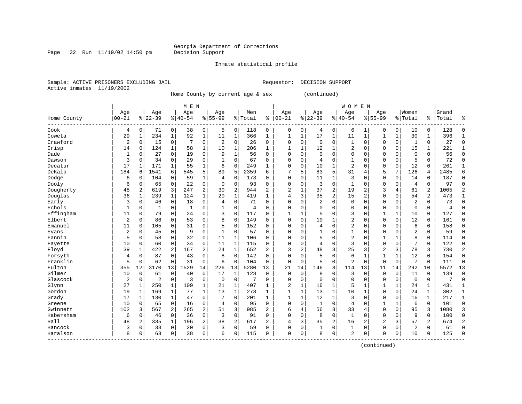Page 32 Run  $11/19/02$  14:50 pm

### Inmate statistical profile

Sample: ACTIVE PRISONERS EXCLUDING JAIL Requestor: DECISION SUPPORT Active inmates 11/19/2002

Home County by current age & sex (continued)

|                        |                |              |                |              | M E N     |                |           |                |         |                |                |              |              |                | <b>WOMEN</b>   |              |                |             |                |                |       |              |
|------------------------|----------------|--------------|----------------|--------------|-----------|----------------|-----------|----------------|---------|----------------|----------------|--------------|--------------|----------------|----------------|--------------|----------------|-------------|----------------|----------------|-------|--------------|
|                        | Age            |              | Age            |              | Age       |                | Age       |                | Men     |                | Age            |              | Age          |                | Age            |              | Age            |             | Women          |                | Grand |              |
| Home County<br>------- | $00 - 21$      |              | $8 22-39$      |              | $8 40-54$ |                | $8 55-99$ |                | % Total | ి              | $ 00-21$       |              | $8 22-39$    |                | $ 40-54$       |              | $8155 - 99$    |             | % Total        | ి              | Total |              |
| Cook                   | 4              | 0            | 71             | 0            | 38        | 0              | 5         | 0              | 118     | 0              | 0              | 0            | 4            | 0              | 6              | 1            | 0              | 0           | 10             | 0              | 128   | $\cap$       |
| Coweta                 | 29             | $\mathbf{1}$ | 234            | $\mathbf{1}$ | 92        | $\mathbf 1$    | 11        | $\mathbf 1$    | 366     | $\mathbf{1}$   | 1              | $\mathbf 1$  | 17           | $\mathbf{1}$   | 11             | $\mathbf{1}$ | 1              | $\mathbf 1$ | 30             | 1              | 396   |              |
| Crawford               | 2              | 0            | 15             | $\mathbf 0$  | 7         | 0              | 2         | $\mathbf 0$    | 26      | 0              | 0              | 0            | 0            | $\mathbf 0$    | 1              | 0            | $\Omega$       | $\mathbf 0$ | 1              | 0              | 27    | <sup>0</sup> |
| Crisp                  | 14             | $\mathbf 0$  | 124            | 1            | 58        | 1              | 10        | 1              | 206     | $\mathbf{1}$   | $\mathbf{1}$   | 1            | 12           | 1              | 2              | $\Omega$     | $\Omega$       | $\mathbf 0$ | 15             | 1              | 221   |              |
| Dade                   | $\mathbf{1}$   | 0            | 27             | $\mathbf 0$  | 19        | $\mathbf 0$    | 9         | $\mathbf 1$    | 56      | $\Omega$       | $\Omega$       | 0            | $\Omega$     | $\Omega$       | 0              | $\Omega$     | $\Omega$       | $\Omega$    | $\mathbf{0}$   | 0              | 56    | $\Omega$     |
| Dawson                 | 3              | $\mathbf 0$  | 34             | $\mathbf 0$  | 29        | $\mathbf 0$    | 1         | $\Omega$       | 67      | $\Omega$       | $\Omega$       | 0            | 4            | $\Omega$       | 1              | O            | $\Omega$       | $\mathbf 0$ | 5              | 0              | 72    | $\Omega$     |
| Decatur                | 17             | 1            | 171            | 1            | 55        | 1              | 6         | 0              | 249     | 1              | $\Omega$       | 0            | 10           | 1              | $\overline{2}$ | O            | $\Omega$       | $\mathbf 0$ | 12             | 0              | 261   | $\mathbf{1}$ |
| DeKalb                 | 184            | 6            | 1541           | 6            | 545       | 5              | 89        | 5              | 2359    | 6              |                | 5            | 83           | 5              | 31             | 4            | 5              | 7           | 126            | 4              | 2485  | б            |
| Dodge                  | 6              | $\Omega$     | 104            | 0            | 59        | 1              | 4         | $\Omega$       | 173     | O              | $\Omega$       | 0            | 11           | 1              | 3              | C            | $\Omega$       | 0           | 14             | 0              | 187   | $\Omega$     |
| Dooly                  | 6              | $\mathbf 0$  | 65             | $\mathbf 0$  | 22        | 0              | $\Omega$  | $\Omega$       | 93      | $\Omega$       | $\Omega$       | 0            | 3            | $\Omega$       | $\mathbf{1}$   | O            | $\Omega$       | $\Omega$    | 4              | 0              | 97    | ∩            |
| Dougherty              | 48             | 2            | 619            | 3            | 247       | $\overline{a}$ | 30        | $\overline{2}$ | 944     | 2              | 2              | 1            | 37           | $\overline{2}$ | 19             | 2            | 3              | 4           | 61             | $\overline{2}$ | 1005  |              |
| Douglas                | 36             | $\mathbf{1}$ | 239            | 1            | 124       | $\mathbf 1$    | 20        | $\mathbf{1}$   | 419     | $\mathbf{1}$   | 4              | 3            | 35           | $\overline{2}$ | 15             | 2            | $\Omega$       | $\Omega$    | 54             | 2              | 473   |              |
| Early                  | 3              | $\mathbf 0$  | 46             | 0            | 18        | 0              | 4         | $\mathbf 0$    | 71      | 0              | 0              | 0            | 2            | $\Omega$       | 0              | $\Omega$     | $\Omega$       | $\Omega$    | $\overline{2}$ | 0              | 73    | <sup>0</sup> |
| Echols                 | $\mathbf{1}$   | 0            | 1              | $\mathbf 0$  | 1         | 0              |           | $\Omega$       | 4       | O              | $\Omega$       | 0            | $\Omega$     | $\Omega$       | $\Omega$       | O            | $\Omega$       | $\Omega$    | $\mathbf 0$    | 0              | 4     | $\Omega$     |
| Effingham              | 11             | $\mathbf 0$  | 79             | $\Omega$     | 24        | 0              | 3         | $\Omega$       | 117     | $\Omega$       | $\mathbf{1}$   | 1            | 5            | $\Omega$       | 3              | $\Omega$     | $\mathbf{1}$   | 1           | 10             | 0              | 127   | $\Omega$     |
| Elbert                 | $\overline{2}$ | $\mathbf 0$  | 86             | $\mathbf 0$  | 53        | 0              | 8         | 0              | 149     | $\Omega$       | $\Omega$       | 0            | 10           | 1              | $\overline{2}$ | $\Omega$     | $\Omega$       | $\mathbf 0$ | 12             | 0              | 161   | $\Omega$     |
| Emanuel                | 11             | 0            | 105            | $\Omega$     | 31        | 0              | 5         | $\Omega$       | 152     | 0              | $\Omega$       | 0            | 4            | $\Omega$       | $\overline{2}$ | 0            | $\Omega$       | $\Omega$    | 6              | 0              | 158   | $\Omega$     |
| Evans                  | 2              | $\Omega$     | 45             | $\Omega$     | 9         | 0              | 1         | $\mathbf 0$    | 57      | 0              | 0              | 0            |              | $\Omega$       | 1              | $\Omega$     | $\Omega$       | $\Omega$    | $\overline{2}$ | 0              | 59    | <sup>0</sup> |
| Fannin                 | 5              | $\Omega$     | 58             | $\Omega$     | 32        | 0              | 11        | 1              | 106     | U              | <sup>0</sup>   | O            | 5            | $\Omega$       | $\overline{2}$ | O            | -1             | 1           | 8              | 0              | 114   | <sup>0</sup> |
| Fayette                | 10             | $\mathbf 0$  | 60             | 0            | 34        | 0              | 11        | 1              | 115     | $\Omega$       | $\Omega$       | 0            | 4            | $\Omega$       | 3              | $\Omega$     | $\Omega$       | $\Omega$    | 7              | 0              | 122   | $\Omega$     |
| Floyd                  | 39             | 1            | 422            | 2            | 167       | 2              | 24        | $\mathbf 1$    | 652     | 2              | 3              | 2            | 48           | 3              | 25             | 3            | $\overline{2}$ | 3           | 78             | 3              | 730   |              |
| Forsyth                | 4              | $\mathbf 0$  | 87             | $\Omega$     | 43        | $\mathbf 0$    | 8         | $\Omega$       | 142     | $\Omega$       | 0              | 0            | 5            | $\Omega$       | 6              | $\mathbf{1}$ | 1              | $\mathbf 1$ | 12             | 0              | 154   | <sup>0</sup> |
| Franklin               | 5              | $\mathbf 0$  | 62             | $\mathbf 0$  | 31        | $\mathbf 0$    | 6         | $\mathbf 0$    | 104     | $\Omega$       | $\Omega$       | $\mathbf 0$  | 5            | $\Omega$       | $\overline{2}$ | $\Omega$     | $\Omega$       | $\mathbf 0$ | 7              | 0              | 111   | $\Omega$     |
| Fulton                 | 355            | 12           | 3170           | 13           | 1529      | 14             | 226       | 13             | 5280    | 13             | 21             | 14           | 146          | 8              | 114            | 13           | 11             | 14          | 292            | 10             | 5572  | 13           |
| Gilmer                 | 10             | $\mathbf 0$  | 61             | 0            | 40        | 0              | 17        | 1              | 128     | 0              | $\Omega$       | $\mathbf 0$  | 8            | 0              | 3              | 0            | $\Omega$       | $\mathbf 0$ | 11             | 0              | 139   | $\Omega$     |
| Glascock               | 2              | 0            | $\overline{c}$ | $\mathsf 0$  | 3         | 0              | $\Omega$  | $\mathbf 0$    | 7       | 0              | $\Omega$       | 0            | $\mathbf 0$  | $\mathbf 0$    | 0              | $\Omega$     | $\Omega$       | $\mathbf 0$ | $\mathbf 0$    | 0              | 7     | $\Omega$     |
| Glynn                  | 27             | 1            | 250            | 1            | 109       | $\mathbf 1$    | 21        | 1              | 407     | 1              | $\overline{2}$ | 1            | 16           | 1              | 5              |              |                | 1           | 24             | $\mathbf{1}$   | 431   | $\mathbf{1}$ |
| Gordon                 | 19             | 1            | 169            | 1            | 77        | 1              | 13        | $\mathbf{1}$   | 278     | 1              | $\mathbf{1}$   | 1            | 13           | 1              | 10             | 1            | $\Omega$       | $\Omega$    | 24             | 1              | 302   | 1            |
| Grady                  | 17             | -1           | 130            | $\mathbf{1}$ | 47        | 0              |           | $\Omega$       | 201     | $\mathbf{1}$   | $\mathbf{1}$   | $\mathbf{1}$ | 12           | $\mathbf{1}$   | 3              | $\Omega$     | $\Omega$       | $\Omega$    | 16             | 1              | 217   | $\mathbf{1}$ |
| Greene                 | 10             | $\Omega$     | 65             | $\Omega$     | 16        | 0              | 4         | $\Omega$       | 95      | $\Omega$       | $\Omega$       | 0            | $\mathbf{1}$ | $\Omega$       | 4              | O            | $\mathbf{1}$   | 1           | 6              | $\Omega$       | 101   | $\Omega$     |
| Gwinnett               | 102            | 3            | 567            | 2            | 265       | 2              | 51        | 3              | 985     | 2              | б              | 4            | 56           | 3              | 33             | 4            | $\mathbf 0$    | $\mathbf 0$ | 95             | 3              | 1080  | 3            |
| Habersham              | 6              | $\mathbf 0$  | 46             | $\mathbf 0$  | 36        | 0              | 3         | $\mathbf 0$    | 91      | 0              | 0              | 0            | 8            | $\mathbf 0$    | $\mathbf{1}$   | $\Omega$     | $\mathbf 0$    | $\mathbf 0$ | 9              | 0              | 100   | $\Omega$     |
| Hall                   | 48             | 2            | 335            | $\mathbf 1$  | 196       | 2              | 38        | 2              | 617     | $\overline{2}$ | 4              | 3            | 35           | $\overline{2}$ | 16             | 2            | $\overline{c}$ | 3           | 57             | 2              | 674   | 2            |
| Hancock                | 3              | 0            | 33             | 0            | 20        | 0              | 3         | $\Omega$       | 59      | $\Omega$       | $\Omega$       | 0            | $\mathbf{1}$ | 0              | 1              | $\Omega$     | $\mathbf 0$    | $\Omega$    | $\overline{2}$ | 0              | 61    | $\cap$       |
| Haralson               | 8              | $\Omega$     | 63             | 0            | 38        | 0              | 6         | $\Omega$       | 115     | $\Omega$       | $\Omega$       | 0            | $\mathsf{R}$ | $\mathbf 0$    | 2              | 0            | $\Omega$       | 0           | 10             | 0              | 125   | $\cap$       |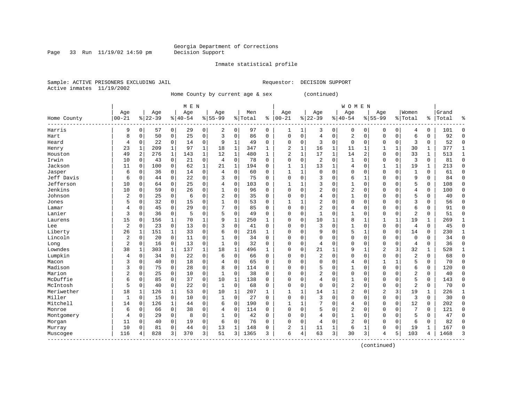Page 33 Run  $11/19/02$  14:50 pm

### Inmate statistical profile

Sample: ACTIVE PRISONERS EXCLUDING JAIL Requestor: DECISION SUPPORT Active inmates 11/19/2002

Home County by current age & sex (continued)

|             |                |             |           |              | M E N     |              |                |              |         |              |                |              |                |              | <b>WOMEN</b>   |              |                |             |                |              |       |              |
|-------------|----------------|-------------|-----------|--------------|-----------|--------------|----------------|--------------|---------|--------------|----------------|--------------|----------------|--------------|----------------|--------------|----------------|-------------|----------------|--------------|-------|--------------|
|             | Age            |             | Age       |              | Age       |              | Age            |              | Men     |              | Age            |              | Age            |              | Age            |              | Age            |             | Women          |              | Grand |              |
| Home County | $00 - 21$      |             | $8 22-39$ |              | $8 40-54$ |              | $8155 - 99$    |              | % Total | ႜ            | $ 00 - 21$     |              | $8 22-39$      |              | $ 40-54$       |              | $8155 - 99$    |             | % Total        | ႜ            | Total |              |
| Harris      | 9              | $\mathbf 0$ | 57        | $\mathbf 0$  | 29        | 0            | 2              | 0            | 97      | 0            | 1              | 1            | 3              | 0            | 0              | 0            | 0              | 0           | 4              | 0            | 101   | <sup>0</sup> |
| Hart        | 8              | $\mathbf 0$ | 50        | $\mathbf 0$  | 25        | 0            | 3              | $\mathbf 0$  | 86      | 0            | $\mathbf 0$    | 0            | 4              | $\mathbf 0$  | $\overline{2}$ | $\Omega$     | $\Omega$       | $\mathbf 0$ | 6              | 0            | 92    | $\Omega$     |
| Heard       | 4              | 0           | 22        | $\mathbf 0$  | 14        | 0            | 9              | $\mathbf{1}$ | 49      | 0            | $\Omega$       | 0            | 3              | 0            | 0              | 0            | $\Omega$       | $\Omega$    | 3              | 0            | 52    | $\Omega$     |
| Henry       | 23             | $\mathbf 1$ | 209       | $\mathbf 1$  | 97        | $\mathbf{1}$ | 18             | 1            | 347     | 1            | 2              | 1            | 16             | 1            | 11             | $\mathbf{1}$ |                | 1           | 30             | 1            | 377   | $\mathbf{1}$ |
| Houston     | 49             | 2           | 276       | $\mathbf 1$  | 143       | $\mathbf{1}$ | 12             | $\mathbf{1}$ | 480     | $\mathbf{1}$ | $\overline{2}$ | $\mathbf{1}$ | 17             | $\mathbf{1}$ | 14             | 2            | $\Omega$       | $\Omega$    | 33             | $\mathbf{1}$ | 513   | $\mathbf{1}$ |
| Irwin       | 10             | 0           | 43        | $\mathbf 0$  | 21        | 0            | $\overline{4}$ | $\mathbf 0$  | 78      | $\Omega$     | $\Omega$       | 0            | $\overline{2}$ | $\Omega$     | 1              | C            | $\Omega$       | $\mathbf 0$ | 3              | 0            | 81    | $\Omega$     |
| Jackson     | 11             | 0           | 100       | $\mathbf 0$  | 62        | 1            | 21             | 1            | 194     | 0            | $\mathbf{1}$   | 1            | 13             | 1            | 4              | C            |                | 1           | 19             | 1            | 213   | $\mathbf 0$  |
| Jasper      | 6              | 0           | 36        | 0            | 14        | 0            | 4              | 0            | 60      | 0            |                | 1            | $\mathbf 0$    | $\Omega$     | 0              | $\Omega$     | $\Omega$       | $\Omega$    | $\mathbf{1}$   | 0            | 61    | $\Omega$     |
| Jeff Davis  | 6              | 0           | 44        | 0            | 22        | 0            | 3              | $\mathbf 0$  | 75      | $\Omega$     | $\Omega$       | 0            | 3              | $\Omega$     | 6              | 1            | $\Omega$       | $\Omega$    | 9              | 0            | 84    | $\Omega$     |
| Jefferson   | 10             | $\mathbf 0$ | 64        | $\Omega$     | 25        | 0            | 4              | $\Omega$     | 103     | $\Omega$     |                |              | 3              | $\Omega$     | 1              | $\sqrt{ }$   | $\Omega$       | $\Omega$    | 5              | 0            | 108   | $\Omega$     |
| Jenkins     | 10             | $\mathbf 0$ | 59        | $\Omega$     | 26        | 0            |                | $\Omega$     | 96      | $\Omega$     | $\Omega$       | $\Omega$     | $\overline{2}$ | $\Omega$     | 2              | $\sqrt{ }$   | $\Omega$       | $\Omega$    | 4              | 0            | 100   | $\cap$       |
| Johnson     | 2              | 0           | 25        | $\mathbf 0$  | 6         | 0            | 2              | $\mathbf 0$  | 35      | 0            | $\Omega$       | 0            | 4              | $\Omega$     | 1              | $\Omega$     | $\Omega$       | $\Omega$    | 5              | 0            | 40    | $\Omega$     |
| Jones       | 5              | 0           | 32        | $\mathbf 0$  | 15        | 0            |                | $\mathbf 0$  | 53      | 0            | 1              | 1            | $\overline{2}$ | 0            | 0              | 0            | $\Omega$       | $\Omega$    | 3              | 0            | 56    | $\Omega$     |
| Lamar       | 4              | $\mathbf 0$ | 45        | 0            | 29        | 0            |                | $\mathbf 0$  | 85      | $\Omega$     | $\Omega$       | 0            | $\overline{2}$ | $\Omega$     | 4              | C            | $\Omega$       | 0           | 6              | 0            | 91    | $\sqrt{ }$   |
| Lanier      | 3              | $\mathbf 0$ | 36        | $\mathbf 0$  | 5         | 0            | 5              | $\Omega$     | 49      | $\Omega$     | $\Omega$       | 0            | 1              | $\Omega$     | 1              | C            | $\Omega$       | $\Omega$    | $\overline{2}$ | $\Omega$     | 51    | $\Omega$     |
| Laurens     | 15             | 0           | 156       | 1            | 70        | $\mathbf 1$  | 9              | 1            | 250     | $\mathbf{1}$ | $\Omega$       | 0            | 10             | 1            | 8              | $\mathbf{1}$ | $\mathbf{1}$   | 1           | 19             | 1            | 269   | $\mathbf{1}$ |
| Lee         | $\overline{a}$ | $\mathbf 0$ | 23        | 0            | 13        | 0            | 3              | $\mathbf 0$  | 41      | 0            | $\Omega$       | 0            | 3              | $\mathbf 0$  | 1              | $\Omega$     | $\Omega$       | $\mathbf 0$ | 4              | 0            | 45    | $\Omega$     |
| Liberty     | 26             | 1           | 151       | 1            | 33        | 0            | 6              | $\Omega$     | 216     | 1            | $\Omega$       | 0            | 9              | $\Omega$     | 5              | 1            | $\Omega$       | $\mathbf 0$ | 14             | 0            | 230   | $\mathbf{1}$ |
| Lincoln     | $\overline{a}$ | $\mathbf 0$ | 20        | 0            | 11        | 0            |                | $\mathbf 0$  | 34      | $\Omega$     | $\Omega$       | O            | $\Omega$       | $\Omega$     | $\Omega$       | $\mathsf{C}$ | $\Omega$       | $\Omega$    | $\Omega$       | 0            | 34    | $\Omega$     |
| Long        | $\overline{2}$ | $\mathbf 0$ | 16        | $\mathbf 0$  | 13        | 0            | 1              | 0            | 32      | $\Omega$     | $\Omega$       | 0            | 4              | $\Omega$     | $\Omega$       | C            | $\Omega$       | $\Omega$    | 4              | 0            | 36    | ∩            |
| Lowndes     | 38             | 1           | 303       | 1            | 137       | 1            | 18             | 1            | 496     | 1            | $\Omega$       | 0            | 21             | 1            | 9              |              | $\overline{c}$ | 3           | 32             | 1            | 528   |              |
| Lumpkin     | 4              | 0           | 34        | $\mathbf 0$  | 22        | 0            | 6              | $\mathbf 0$  | 66      | 0            | $\Omega$       | O            | $\overline{2}$ | $\Omega$     | $\Omega$       | $\Omega$     | $\Omega$       | $\Omega$    | $\overline{2}$ | 0            | 68    | $\Omega$     |
| Macon       | 3              | $\mathbf 0$ | 40        | 0            | 18        | 0            | 4              | $\mathbf 0$  | 65      | 0            | $\Omega$       | 0            | $\Omega$       | $\Omega$     | 4              | $\Omega$     |                | 1           | 5              | 0            | 70    | $\Omega$     |
| Madison     | 3              | $\mathbf 0$ | 75        | 0            | 28        | 0            | 8              | $\mathbf 0$  | 114     | $\Omega$     | $\Omega$       | 0            | 5              | $\Omega$     |                | $\mathsf{C}$ | $\Omega$       | $\Omega$    | 6              | 0            | 120   | $\Omega$     |
| Marion      | 2              | $\mathbf 0$ | 25        | $\mathbf 0$  | 10        | 0            | 1              | $\mathbf 0$  | 38      | $\Omega$     | $\Omega$       | 0            | $\overline{2}$ | $\Omega$     | $\Omega$       | $\mathsf{C}$ | $\Omega$       | $\Omega$    | 2              | 0            | 40    | $\Omega$     |
| McDuffie    | б              | $\mathbf 0$ | 85        | 0            | 37        | 0            | 10             | 1            | 138     | 0            | $\Omega$       | 0            | 4              | $\Omega$     | 1              | C            | $\Omega$       | 0           | 5              | 0            | 143   | $\Omega$     |
| McIntosh    | 5              | 0           | 40        | 0            | 22        | 0            | 1              | $\mathbf 0$  | 68      | 0            | $\Omega$       | 0            | $\Omega$       | $\Omega$     | $\overline{2}$ | 0            | $\Omega$       | $\Omega$    | $\overline{2}$ | 0            | 70    | $\Omega$     |
| Meriwether  | 18             | 1           | 126       | 1            | 53        | 0            | 10             | $\mathbf{1}$ | 207     | 1            | $\mathbf{1}$   | 1            | 14             |              | $\overline{2}$ | C            | $\overline{c}$ | 3           | 19             | 1            | 226   | $\mathbf{1}$ |
| Miller      | $\mathbf 1$    | $\mathbf 0$ | 15        | 0            | 10        | 0            | 1              | $\Omega$     | 27      | $\Omega$     | $\Omega$       | $\Omega$     | 3              | $\Omega$     | $\Omega$       | C            | $\Omega$       | $\Omega$    | 3              | 0            | 30    | $\Omega$     |
| Mitchell    | 14             | $\mathbf 0$ | 126       | $\mathbf{1}$ | 44        | 0            | 6              | $\mathbf 0$  | 190     | $\Omega$     | $\mathbf{1}$   | 1            | 7              | $\Omega$     | 4              | $\sqrt{ }$   | $\Omega$       | $\Omega$    | 12             | 0            | 202   | $\Omega$     |
| Monroe      | 6              | 0           | 66        | $\mathbf 0$  | 38        | 0            | 4              | $\mathbf 0$  | 114     | 0            | $\Omega$       | 0            | 5              | $\Omega$     | $\overline{2}$ | $\Omega$     | $\Omega$       | $\Omega$    | 7              | 0            | 121   | $\Omega$     |
| Montgomery  | 4              | 0           | 29        | $\Omega$     | 8         | 0            |                | $\mathbf 0$  | 42      | $\Omega$     | $\Omega$       | 0            | 4              | $\Omega$     | 1              | $\Omega$     | $\Omega$       | $\Omega$    | 5              | 0            | 47    | $\Omega$     |
| Morgan      | 11             | $\mathbf 0$ | 40        | 0            | 19        | 0            | 6              | $\mathbf 0$  | 76      | $\Omega$     | $\Omega$       | 0            | 4              | 0            | 2              | 0            | $\Omega$       | $\Omega$    | 6              | 0            | 82    | O            |
| Murray      | 10             | $\mathbf 0$ | 81        | 0            | 44        | 0            | 13             | 1            | 148     | 0            |                | 1            | 11             | 1            | 6              | $\mathbf{1}$ | $\Omega$       | 0           | 19             | 1            | 167   | $\sqrt{ }$   |
| Muscogee    | 116            | 4           | 828       | 3            | 370       | 3            | 51             | 3            | 1365    | 3            | 6              | 4            | 63             | 3            | 30             | 3            | 4              | 5           | 103            | 4            | 1468  | κ            |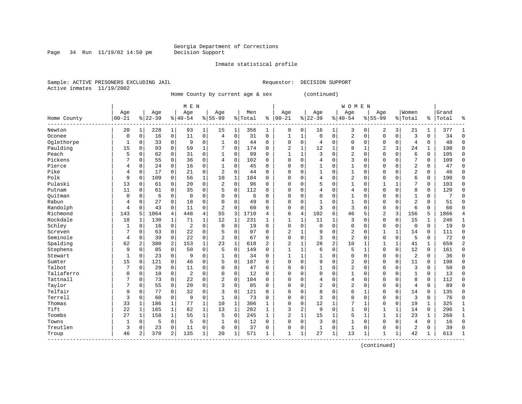Page 34 Run  $11/19/02$  14:50 pm

### Inmate statistical profile

Sample: ACTIVE PRISONERS EXCLUDING JAIL Requestor: DECISION SUPPORT Active inmates 11/19/2002

Home County by current age & sex (continued)

|             |           |                |           |              | M E N          |              |                |              |         |                |                |              |              |                | <b>WOMEN</b>   |              |                |              |                |              |       |              |
|-------------|-----------|----------------|-----------|--------------|----------------|--------------|----------------|--------------|---------|----------------|----------------|--------------|--------------|----------------|----------------|--------------|----------------|--------------|----------------|--------------|-------|--------------|
|             | Age       |                | Age       |              | Age            |              | Age            |              | Men     |                | Age            |              | Age          |                | Age            |              | Age            |              | Women          |              | Grand |              |
| Home County | $00 - 21$ |                | $8 22-39$ |              | $ 40-54$       |              | $8155 - 99$    |              | % Total | နွ             | $ 00-21$       |              | $8 22-39$    |                | $ 40-54$       |              | $8155 - 99$    |              | % Total        | ႜ            | Total |              |
| Newton      | 20        | 1              | 228       | 1            | 93             | $\mathbf 1$  | 15             | 1            | 356     | 1              | 0              | 0            | 16           | 1              | 3              | 0            | 2              | 3            | 21             | 1            | 377   |              |
| Oconee      | 0         | $\mathbf 0$    | 16        | $\mathbf 0$  | 11             | 0            | 4              | $\mathbf 0$  | 31      | 0              | 1              | $\mathbf{1}$ | $\mathbf 0$  | $\mathbf 0$    | 2              | 0            | $\mathbf 0$    | $\mathbf 0$  | 3              | 0            | 34    | $\Omega$     |
| Oglethorpe  | 1         | 0              | 33        | $\Omega$     | 9              | 0            | 1              | $\Omega$     | 44      | $\Omega$       | $\Omega$       | 0            | 4            | $\Omega$       | 0              | $\Omega$     | $\mathbf 0$    | $\Omega$     | 4              | 0            | 48    | $\Omega$     |
| Paulding    | 15        | 0              | 93        | $\mathbf 0$  | 59             | 1            | 7              | $\mathbf 0$  | 174     | $\Omega$       | 2              | $\mathbf 1$  | 12           | 1              | 8              | 1            | $\overline{c}$ | 3            | 24             | 1            | 198   | $\Omega$     |
| Peach       | 5         | $\mathbf 0$    | 62        | $\mathbf 0$  | 31             | $\mathbf 0$  | $\mathbf 1$    | $\Omega$     | 99      | $\Omega$       | $\mathbf{1}$   | $\mathbf{1}$ | 3            | $\Omega$       | $\overline{2}$ | $\Omega$     | $\Omega$       | $\Omega$     | 6              | 0            | 105   | $\Omega$     |
| Pickens     | 7         | $\mathbf 0$    | 55        | $\Omega$     | 36             | 0            | 4              | $\Omega$     | 102     | $\Omega$       | $\Omega$       | 0            | 4            | $\Omega$       | 3              | $\Omega$     | $\Omega$       | $\Omega$     | 7              | 0            | 109   | $\Omega$     |
| Pierce      | 4         | $\Omega$       | 24        | $\mathbf 0$  | 16             | 0            | 1              | 0            | 45      | $\Omega$       | $\Omega$       | 0            |              | 0              | 1              | O            | $\Omega$       | $\Omega$     | $\overline{2}$ | 0            | 47    | $\Omega$     |
| Pike        | 4         | $\mathbf 0$    | 17        | $\Omega$     | 21             | 0            | 2              | $\Omega$     | 44      | 0              | $\Omega$       | 0            |              | $\Omega$       | 1              | 0            | $\Omega$       | 0            | $\overline{2}$ | 0            | 46    | $\Omega$     |
| Polk        | 9         | $\mathbf 0$    | 109       | 0            | 56             | 1            | 10             | 1            | 184     | O              | $\Omega$       | 0            | 4            | $\Omega$       | 2              | $\Omega$     | $\Omega$       | $\Omega$     | 6              | 0            | 190   | $\Omega$     |
| Pulaski     | 13        | $\Omega$       | 61        | $\Omega$     | 20             | 0            | 2              | $\Omega$     | 96      | $\Omega$       | $\Omega$       | 0            | 5            | $\Omega$       | 1              | $\Omega$     | $\mathbf{1}$   | 1            | 7              | 0            | 103   | $\Omega$     |
| Putnam      | 11        | $\Omega$       | 61        | $\Omega$     | 35             | 0            | 5              | $\Omega$     | 112     | $\Omega$       | $\Omega$       | 0            | 4            | $\Omega$       | $\overline{4}$ | $\Omega$     | $\Omega$       | $\Omega$     | 8              | 0            | 120   | $\cap$       |
| Ouitman     | $\Omega$  | $\Omega$       | 6         | $\mathbf 0$  | $\overline{0}$ | 0            | O              | $\Omega$     | 6       | $\Omega$       | $\Omega$       | 0            | $\Omega$     | $\Omega$       | 1              | $\Omega$     | $\Omega$       | $\Omega$     | 1              | 0            | 7     | ∩            |
| Rabun       | 4         | $\mathbf 0$    | 27        | $\mathbf 0$  | 18             | 0            | O              | $\mathbf 0$  | 49      | O              | $\Omega$       | 0            |              | $\mathbf 0$    | 1              | O            | $\Omega$       | $\Omega$     | $\overline{2}$ | 0            | 51    | ∩            |
| Randolph    | 4         | $\mathbf 0$    | 43        | $\mathbf 0$  | 11             | 0            | $\overline{2}$ | $\mathbf 0$  | 60      | $\Omega$       | $\Omega$       | 0            | 3            | $\mathbf 0$    | 3              | $\Omega$     | $\Omega$       | $\mathbf 0$  | 6              | 0            | 66    | ſ            |
| Richmond    | 143       | 5              | 1064      | 4            | 448            | 4            | 55             | 3            | 1710    | 4              | 6              | 4            | 102          | 6              | 46             | 5            | $\overline{2}$ | 3            | 156            | 5            | 1866  |              |
| Rockdale    | 18        | 1              | 130       | 1            | 71             | 1            | 12             | 1            | 231     | $\mathbf{1}$   | $\mathbf{1}$   | 1            | 11           | 1              | 3              | $\Omega$     | $\Omega$       | 0            | 15             | 1            | 246   | $\mathbf{1}$ |
| Schley      | 1         | $\mathbf 0$    | 16        | $\mathbf 0$  | $\overline{2}$ | 0            | $\Omega$       | $\mathbf 0$  | 19      | $\Omega$       | $\Omega$       | 0            | $\mathbf 0$  | $\Omega$       | 0              | $\Omega$     | $\mathbf 0$    | $\mathbf 0$  | $\mathbf 0$    | 0            | 19    | $\mathbf 0$  |
| Screven     |           | $\mathbf 0$    | 63        | 0            | 22             | 0            |                | $\mathbf 0$  | 97      | $\Omega$       | $\overline{2}$ | 1            | 9            | $\Omega$       | 2              | $\Omega$     |                | 1            | 14             | 0            | 111   | $\Omega$     |
| Seminole    | 4         | $\Omega$       | 39        | 0            | 22             | 0            | $\overline{2}$ | $\Omega$     | 67      | $\Omega$       | $\Omega$       | 0            | 3            | $\Omega$       | $\overline{2}$ | $\Omega$     | $\Omega$       | $\mathbf 0$  | 5              | 0            | 72    | $\Omega$     |
| Spalding    | 62        | $\overline{2}$ | 380       | 2            | 153            | $\mathbf 1$  | 23             | $\mathbf 1$  | 618     | $\overline{a}$ | $\overline{2}$ | 1            | 28           | $\overline{2}$ | 10             | -1           | $\mathbf{1}$   | 1            | 41             | $\mathbf 1$  | 659   | 2            |
| Stephens    | 9         | $\Omega$       | 85        | $\Omega$     | 50             | $\Omega$     | 5              | $\Omega$     | 149     | $\Omega$       | 1              | 1            | 6            | $\Omega$       | 5              | -1           | $\Omega$       | $\Omega$     | 12             | 0            | 161   | <sup>0</sup> |
| Stewart     | 1         | 0              | 23        | $\Omega$     | 9              | 0            | 1              | 0            | 34      | $\Omega$       | $\mathbf{1}$   | 1            |              | $\Omega$       | $\Omega$       | $\Omega$     | $\Omega$       | $\Omega$     | 2              | 0            | 36    | $\Omega$     |
| Sumter      | 15        | $\mathbf 0$    | 121       | $\mathbf 0$  | 46             | 0            | 5              | $\mathbf 0$  | 187     | $\Omega$       | $\Omega$       | 0            | 9            | $\mathbf 0$    | 2              | $\Omega$     | $\Omega$       | $\mathbf 0$  | 11             | 0            | 198   | $\cap$       |
| Talbot      |           | $\mathbf 0$    | 29        | $\mathbf 0$  | 11             | 0            | $\Omega$       | $\mathbf 0$  | 47      | $\Omega$       | $\Omega$       | 0            |              | $\Omega$       | $\overline{2}$ | $\Omega$     | $\Omega$       | $\Omega$     | 3              | 0            | 50    | $\Omega$     |
| Taliaferro  | 0         | $\mathbf 0$    | 10        | $\mathbf 0$  | $\overline{c}$ | 0            | $\Omega$       | $\mathbf 0$  | 12      | $\Omega$       | $\Omega$       | 0            | $\Omega$     | $\Omega$       | 1              | O            | $\Omega$       | $\Omega$     | $\mathbf{1}$   | 0            | 13    | $\Omega$     |
| Tattnall    | 7         | $\mathbf 0$    | 73        | 0            | 22             | 0            | $\overline{2}$ | 0            | 104     | $\Omega$       | $\Omega$       | 0            | 4            | 0              | 4              | 0            | $\Omega$       | 0            | 8              | 0            | 112   | $\mathbf 0$  |
| Taylor      | 7         | $\mathbf 0$    | 55        | 0            | 20             | 0            | 3              | $\Omega$     | 85      | 0              | $\Omega$       | 0            | 2            | $\Omega$       | $\overline{2}$ | 0            | $\Omega$       | $\Omega$     | 4              | 0            | 89    | $\Omega$     |
| Telfair     | 9         | $\mathbf 0$    | 77        | $\Omega$     | 32             | 0            | 3              | $\Omega$     | 121     | O              | $\Omega$       | 0            | 8            | $\Omega$       | 6              | $\mathbf{1}$ | $\Omega$       | $\Omega$     | 14             | 0            | 135   | $\Omega$     |
| Terrell     | 3         | $\mathbf 0$    | 60        | $\Omega$     | 9              | $\Omega$     | $\mathbf{1}$   | $\Omega$     | 73      | $\Omega$       | $\Omega$       | 0            | ζ            | $\Omega$       | $\Omega$       | $\Omega$     | $\Omega$       | $\Omega$     | 3              | 0            | 76    | $\Omega$     |
| Thomas      | 33        | $\mathbf{1}$   | 186       | 1            | 77             | $\mathbf{1}$ | 10             | $\mathbf 1$  | 306     | $\mathbf{1}$   | $\Omega$       | 0            | 12           | 1              | 7              | -1           | $\Omega$       | $\Omega$     | 19             | $\mathbf{1}$ | 325   |              |
| Tift        | 22        | $\mathbf{1}$   | 165       | $\mathbf{1}$ | 82             | $\mathbf{1}$ | 13             | $\mathbf{1}$ | 282     | $\mathbf{1}$   | 3              | 2            | 9            | $\mathbf 0$    | 1              | $\Omega$     | 1              | 1            | 14             | 0            | 296   |              |
| Toombs      | 27        | 1              | 158       | $\mathbf{1}$ | 55             | $\mathbf 1$  | 5              | $\Omega$     | 245     | $\mathbf{1}$   | 2              | $\mathbf 1$  | 15           |                | 5              | $\mathbf{1}$ | $\mathbf{1}$   | $\mathbf{1}$ | 23             | 1            | 268   | $\mathbf{1}$ |
| Towns       | 1         | 0              | 5         | $\mathbf 0$  | 5              | 0            |                | 0            | 12      | $\Omega$       | $\Omega$       | 0            | 3            | $\mathbf 0$    | 1              | $\Omega$     | $\Omega$       | $\Omega$     | 4              | 0            | 16    | $\Omega$     |
| Treutlen    | 3         | $\mathbf 0$    | 23        | 0            | 11             | 0            | $\Omega$       | $\Omega$     | 37      | 0              | $\Omega$       | 0            | $\mathbf{1}$ | 0              | 1              | $\Omega$     | $\Omega$       | 0            | 2              | 0            | 39    | $\sqrt{ }$   |
| Troup       | 46        | 2              | 370       | 2            | 135            | 1            | 20             | 1            | 571     | 1              | $\mathbf{1}$   | 1            | 27           | 1              | 13             | -1           | $\mathbf{1}$   | 1            | 42             | 1            | 613   | $\mathbf{1}$ |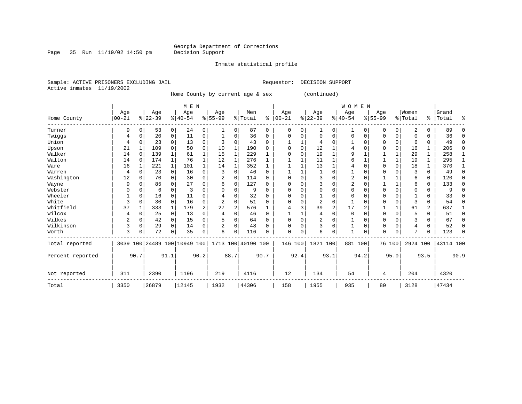Inmate statistical profile

Page 35 Run  $11/19/02$  14:50 pm

Sample: ACTIVE PRISONERS EXCLUDING JAIL Requestor: DECISION SUPPORT Active inmates 11/19/2002

Home County by current age & sex (continued)

|                  |                |             |                              |             | M E N    |             |                |                |                    |          |              |          |                |              | W O M E N    |          |             |             |          |                |           |          |
|------------------|----------------|-------------|------------------------------|-------------|----------|-------------|----------------|----------------|--------------------|----------|--------------|----------|----------------|--------------|--------------|----------|-------------|-------------|----------|----------------|-----------|----------|
|                  | Age            |             | Age                          |             | Age      |             | Age            |                | Men                |          | Age          |          | Age            |              | Age          |          | Age         |             | Women    |                | Grand     |          |
| Home County      | $00 - 21$      |             | $ 22-39$                     |             | $ 40-54$ |             | $8 55-99$      |                | % Total            | ႜ        | $00 - 21$    |          | $ 22-39 $      |              | $8 40-54$    |          | $8155 - 99$ |             | % Total  |                | %   Total | ႜ        |
| Turner           | 9              | $\Omega$    | 53                           | 0           | 24       | 0           |                | $\Omega$       | 87                 | $\Omega$ | 0            | 0        | 1              | 0            | 1            | $\Omega$ | $\Omega$    | $\Omega$    | 2        | 0              | 89        | U        |
| Twiggs           | 4              | $\Omega$    | 20                           | $\mathbf 0$ | 11       | 0           |                | 0              | 36                 | $\Omega$ | 0            | 0        | $\Omega$       | $\Omega$     | 0            | $\Omega$ | 0           | $\Omega$    | $\Omega$ | 0              | 36        | ∩        |
| Union            | 4              | $\Omega$    | 23                           | $\Omega$    | 13       | 0           | 3              | $\Omega$       | 43                 | 0        |              |          | 4              | 0            |              | 0        | 0           | 0           | 6        | 0              | 49        | $\Omega$ |
| Upson            | 21             |             | 109                          | $\Omega$    | 50       | $\mathbf 0$ | 10             |                | 190                | 0        | 0            | $\Omega$ | 12             |              | 4            | $\Omega$ | 0           | $\Omega$    | 16       | 1              | 206       | $\Omega$ |
| Walker           | 14             | $\Omega$    | 139                          |             | 61       | 1           | 15             |                | 229                |          | $\Omega$     | $\Omega$ | 19             | $\mathbf{1}$ | 9            |          |             | 1           | 29       | 1              | 258       |          |
| Walton           | 14             | $\Omega$    | 174                          |             | 76       |             | 12             | 1              | 276                |          |              |          | 11             | 1            | 6            |          |             | 1           | 19       | 1              | 295       |          |
| Ware             | 16             |             | 221                          |             | 101      |             | 14             |                | 352                |          |              |          | 13             | $\mathbf{1}$ | 4            | $\Omega$ | $\Omega$    | $\Omega$    | 18       | 1              | 370       |          |
| Warren           | 4              | $\Omega$    | 23                           | $\Omega$    | 16       | 0           | 3              | $\Omega$       | 46                 | $\Omega$ |              |          |                | $\Omega$     |              | 0        | $\Omega$    | $\Omega$    | 3        | 0              | 49        | $\Omega$ |
| Washington       | 12             | $\Omega$    | 70                           | $\Omega$    | 30       | 0           | 2              | $\Omega$       | 114                | $\Omega$ | 0            | $\Omega$ | 3              | $\Omega$     | 2            | 0        |             |             | 6        | 0              | 120       | ∩        |
| Wayne            | 9              | $\Omega$    | 85                           |             | 27       | 0           | 6              | 0              | 127                | O        | <sup>0</sup> | O        |                | $\Omega$     | 2            | $\Omega$ |             |             | 6        | 0              | 133       | ∩        |
| Webster          | 0              | n           | 6                            | $\Omega$    | 3        | 0           |                | $\Omega$       | 9                  | $\Omega$ | 0            | O        | 0              | $\Omega$     | $\Omega$     | $\Omega$ | $\Omega$    | $\Omega$    | $\Omega$ | 0              | 9         |          |
| Wheeler          |                | $\Omega$    | 16                           | $\Omega$    | 11       | 0           |                | $\Omega$       | 32                 | 0        | 0            | N        |                | $\Omega$     | $\Omega$     | n        | $\Omega$    | U           |          | 0              | 33        |          |
| White            | 3              | $\Omega$    | 30                           | $\Omega$    | 16       | 0           | $\overline{a}$ | $\Omega$       | 51                 | 0        | <sup>0</sup> | 0        | $\overline{2}$ | $\Omega$     |              | n        | $\Omega$    | $\Omega$    | 3        | 0              | 54        | ∩        |
| Whitfield        | 37             |             | 333                          |             | 179      | 2           | 27             | $\overline{2}$ | 576                |          |              | 3        | 39             | 2            | 17           | 2        |             | 1           | 61       | $\overline{a}$ | 637       |          |
| Wilcox           | 4              | 0           | 25                           | $\mathbf 0$ | 13       | 0           | 4              | $\Omega$       | 46                 | $\Omega$ |              |          | 4              | 0            | $\mathbf 0$  | $\Omega$ | $\mathbf 0$ | $\mathbf 0$ | 5        | 0              | 51        | $\Omega$ |
| Wilkes           | $\overline{2}$ | $\Omega$    | 42                           | 0           | 15       | 0           |                | 0              | 64                 | $\Omega$ | $\Omega$     | $\Omega$ | 2              | 0            |              | $\Omega$ | 0           | $\Omega$    | 3        | 0              | 67        | $\Omega$ |
| Wilkinson        | 3              | $\mathbf 0$ | 29                           | $\Omega$    | 14       | 0           | 2              | $\Omega$       | 48                 | $\Omega$ | 0            | $\Omega$ | 3              | $\Omega$     | 1            | $\Omega$ | $\Omega$    | $\Omega$    | 4        | 0              | 52        | $\Omega$ |
| Worth            | 3              | $\Omega$    | 72                           | $\Omega$    | 35       | 0           | 6              | $\Omega$       | 116                | U        | $\Omega$     | 0        | 6              | $\Omega$     | $\mathbf{1}$ | 0        | $\Omega$    | 0           | 7        | 0              | 123       | ∩        |
| Total reported   |                |             | 3039 100 24489 100 10949 100 |             |          |             |                |                | 1713 100 40190 100 |          | 146 100      |          | 1821 100       |              | 881 100      |          |             | 76 100      | 2924 100 |                | 43114 100 |          |
| Percent reported |                | 90.7        |                              | 91.1        |          | 90.2        |                | 88.7           |                    | 90.7     |              | 92.4     |                | 93.1         |              | 94.2     |             | 95.0        |          | 93.5           |           | 90.9     |
| Not reported     | 311            |             | 2390                         |             | 1196     |             | 219            |                | 4116               |          | 12           |          | 134            |              | 54           |          | 4           |             | 204      |                | 4320      |          |
| Total            | 3350           |             | 26879                        |             | 12145    |             | 1932           |                | 44306              |          | 158          |          | 1955           |              | 935          |          | 80          |             | 3128     |                | 47434     |          |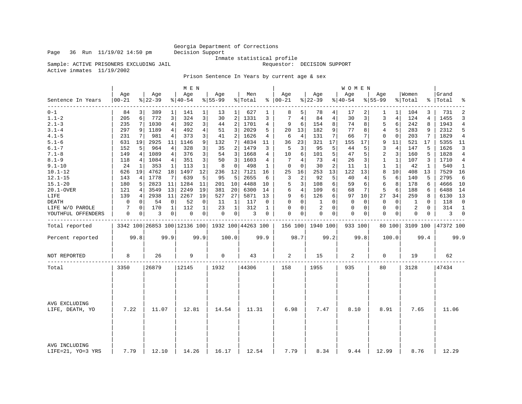# Georgia Department of Corrections<br>Decision Support

Inmate statistical profile<br>Requestor: DECISION SUPPORT

Sample: ACTIVE PRISONERS EXCLUDING JAIL

Active inmates 11/19/2002

Prison Sentence In Years by current age & sex

|                                    |                  |      |                  |              | M E N            |              |                                                   |                |                |              |                   |                |                  |                | WOMEN            |          |                  |             |                  |              |                    |                |
|------------------------------------|------------------|------|------------------|--------------|------------------|--------------|---------------------------------------------------|----------------|----------------|--------------|-------------------|----------------|------------------|----------------|------------------|----------|------------------|-------------|------------------|--------------|--------------------|----------------|
| Sentence In Years                  | Age<br>$00 - 21$ |      | Age<br>$ 22-39 $ |              | Age<br>$8 40-54$ |              | Age<br>$8 55-99$                                  |                | Men<br>% Total |              | Age<br>$% 100-21$ |                | Age<br>$8 22-39$ |                | Age<br>$8 40-54$ |          | Aqe<br>$8 55-99$ |             | Women<br>% Total |              | Grand<br>%   Total | ٩,             |
| $0 - 1$                            | 84               | 3    | 389              | 1            | 141              | $\mathbf{1}$ | 13                                                | 1              | 627            | 1            | 8                 | 5              | 78               | 4              | 17               | 2        | 1                | 1           | 104              | 3            | 731                | $\overline{2}$ |
| $1.1 - 2$                          | 205              | 6    | 772              | 3            | 324              | 3            | 30                                                | 2 <sup>1</sup> | 1331           | 3            | 7                 | $\overline{4}$ | 84               | $\overline{4}$ | 30               | 3        | 3                | 4           | 124              | 4            | 1455               | 3              |
| $2.1 - 3$                          | 235              | 7    | 1030             | 4            | 392              | 3            | 44                                                | 2              | 1701           | 4            | 9                 | 6              | 154              | 8              | 74               | 8        | 5                | 6           | 242              | 8            | 1943               | 4              |
| $3.1 - 4$                          | 297              | 9    | 1189             | 4            | 492              | 4            | 51                                                | 3              | 2029           | 5            | 20                | 13             | 182              | 9              | 77               | 8        | 4                | 5           | 283              | 9            | 2312               | 5              |
| $4.1 - 5$                          | 231              | 7    | 981              | 4            | 373              | 3            | 41                                                | $\overline{a}$ | 1626           | 4            | 6                 | $\overline{4}$ | 131              | 7              | 66               | 7        | $\mathbf 0$      | $\mathbf 0$ | 203              | 7            | 1829               | 4              |
| $5.1 - 6$                          | 631              | 19   | 2925             | 11           | 1146             | 9            | 132                                               | 7              | 4834           | 11           | 36                | 23             | 321              | 17             | 155              | 17       | 9                | 11          | 521              | 17           | 5355               | 11             |
| $6.1 - 7$                          | 152              | 5    | 964              | 4            | 328              | 3            | 35                                                | 2              | 1479           | 3            | 5                 | 3              | 95               | 5              | 44               | 5        | 3                | 4           | 147              | 5            | 1626               | 3              |
| $7.1 - 8$                          | 149              | 4    | 1089             | 4            | 376              | 3            | 54                                                | 3              | 1668           | 4            | 10                | 6              | 101              | 5              | 47               | 5        | 2                | 3           | 160              | 5            | 1828               | 4              |
| $8.1 - 9$                          | 118              | 4    | 1084             | 4            | 351              | 3            | 50                                                | 3              | 1603           | 4            | 7                 | $\overline{4}$ | 73               | $\overline{4}$ | 26               | 3        | $\mathbf{1}$     | 1           | 107              | 3            | 1710               | 4              |
| $9.1 - 10$                         | 24               | 1    | 353              | 1            | 113              | 1            | 8                                                 | $\Omega$       | 498            | 1            | $\Omega$          | $\Omega$       | 30               | $\overline{2}$ | 11               | 1        | $\mathbf{1}$     | 1           | 42               | $\mathbf{1}$ | 540                | -1             |
| $10.1 - 12$                        | 626              | 19   | 4762             | 18           | 1497             | 12           | 236                                               | 12             | 7121           | 16           | 25                | 16             | 253              | 13             | 122              | 13       | 8                | 10          | 408              | 13           | 7529               | 16             |
| $12.1 - 15$                        | 143              | 4    | 1778             | 7            | 639              | 5            | 95                                                | 5              | 2655           | 6            | 3                 | 2              | 92               | 5              | 40               | 4        | 5                | 6           | 140              | 5            | 2795               | 6              |
| $15.1 - 20$                        | 180              | 5    | 2823             | 11           | 1284             | 11           | 201                                               | 10             | 4488           | 10           | 5                 | 3              | 108              | 6              | 59               | 6        | 6                | 8           | 178              | 6            | 4666               | 10             |
| 20.1-OVER                          | 121              | 4    | 3549             | 13           | 2249             | 19           | 381                                               | 20             | 6300           | 14           | 6                 | 4              | 109              | 6              | 68               | 7        | 5                | 6           | 188              | 6            | 6488               | 14             |
| LIFE                               | 139              | 4    | 2938             | 11           | 2267             | 19           | 527                                               | 27             | 5871           | 13           | 9                 | 6              | 126              | 6              | 97               | 10       | 27               | 34          | 259              | 8            | 6130               | 13             |
| <b>DEATH</b>                       | 0                | 0    | 54               | 0            | 52               | 0            | 11                                                | 1              | 117            | 0            | 0                 | 0              | 1                | $\mathbf 0$    | $\mathbf 0$      | 0        | $\mathbf 0$      | $\mathbf 0$ | 1                | 0            | 118                | $\mathbf 0$    |
| LIFE W/O PAROLE                    | 7                | 0    | 170              | $\mathbf{1}$ | 112              | $\mathbf 1$  | 23                                                | 1              | 312            | $\mathbf{1}$ | $\Omega$          | $\mathbf 0$    | 2                | $\Omega$       | $\mathbf 0$      | $\Omega$ | $\mathbf 0$      | $\Omega$    | $\overline{2}$   | $\Omega$     | 314                | $\mathbf{1}$   |
| YOUTHFUL OFFENDERS                 | 0                | 0    | 3                | 0            | 0                | 0            | 0                                                 | 0              | 3              | 0            | 0                 | 0              | 0                | 0              | 0                | 0        | $\mathbf 0$      | 0           | 0                | 0            | 3                  | $\mathbf 0$    |
| Total reported                     |                  |      |                  |              |                  |              | 3342 100 26853 100 12136 100   1932 100 44263 100 |                |                |              |                   |                | 156 100 1940 100 |                | 933 100          |          |                  | 80 100      | 3109 100         |              | 47372 100          |                |
| Percent reported                   |                  | 99.8 |                  | 99.9         |                  | 99.9         |                                                   | 100.0          |                | 99.9         |                   | 98.7           |                  | 99.2           |                  | 99.8     |                  | 100.0       |                  | 99.4         |                    | 99.9           |
| NOT REPORTED                       | 8                |      | 26               |              | 9                |              | $\mathbf 0$                                       |                | 43             |              | 2                 |                | 15               |                | 2                |          | 0                |             | 19               |              | 62                 |                |
| Total                              | 3350             |      | 26879            |              | 12145            |              | 1932                                              |                | 44306          |              | 158               |                | 1955             |                | 935              |          | 80               |             | 3128             |              | 47434              |                |
|                                    |                  |      |                  |              |                  |              |                                                   |                |                |              |                   |                |                  |                |                  |          |                  |             |                  |              |                    |                |
| AVG EXCLUDING<br>LIFE, DEATH, YO   | 7.22             |      | 11.07            |              | 12.81            |              | 14.54                                             |                | 11.31          |              | 6.98              |                | 7.47             |                | 8.10             |          | 8.91             |             | 7.65             |              | 11.06              |                |
| AVG INCLUDING<br>LIFE=21, YO=3 YRS | 7.79             |      | 12.10            |              | 14.26            |              | 16.17                                             |                | 12.54          |              | 7.79              |                | 8.34             |                | 9.44             |          | 12.99            |             | 8.76             |              | 12.29              |                |

Page 36 Run  $11/19/02$  14:50 pm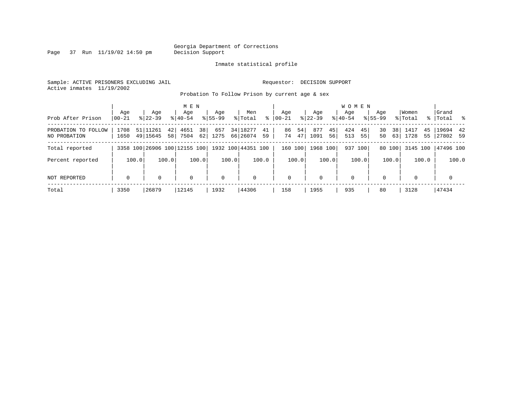Page 37 Run  $11/19/02$  14:50 pm

### Inmate statistical profile

Sample: ACTIVE PRISONERS EXCLUDING JAIL Requestor: DECISION SUPPORT Active inmates 11/19/2002

Probation To Follow Prison by current age & sex

|                                     | Aqe          | Age                              | M E N<br>Age                                        | Aqe         | Men                                | Aqe                  | Aqe                     | <b>WOMEN</b><br>Aqe    | Aqe                  | Women                    | Grand                |
|-------------------------------------|--------------|----------------------------------|-----------------------------------------------------|-------------|------------------------------------|----------------------|-------------------------|------------------------|----------------------|--------------------------|----------------------|
| Prob After Prison                   | $ 00-21$     | $8122 - 39$                      | $8140 - 54$                                         | $8155 - 99$ | ႜ<br>% Total                       | $00 - 21$            | $8122 - 39$             | $8140 - 54$            | $8155 - 99$          | % Total                  | % Total %            |
| PROBATION TO FOLLOW<br>NO PROBATION | 1708<br>1650 | 51 11261<br>42<br>49 15645<br>58 | 38<br>4651<br>62<br>7504                            | 657<br>1275 | 34   18277<br>41<br>66 26074<br>59 | 54<br>86<br>47<br>74 | 877<br>45<br>1091<br>56 | 424<br>45<br>513<br>55 | 38<br>30<br>63<br>50 | 1417<br>45<br>1728<br>55 | 19694 42<br>27802 59 |
| Total reported                      |              |                                  | 3358 100 26906 100 12155 100   1932 100   44351 100 |             |                                    | 160 100              | 1968 100                | 937 100                | 80 100               | 3145 100                 | 47496 100            |
| Percent reported                    | 100.0        | 100.0                            | 100.0                                               | 100.0       | 100.0                              | 100.0                | 100.0                   | 100.0                  | 100.0                | 100.0                    | 100.0                |
| NOT REPORTED                        | $\mathbf 0$  | $\Omega$                         | $\mathbf 0$                                         | $\mathbf 0$ | 0                                  | $\mathbf 0$          | $\Omega$                | $\mathbf 0$            | $\Omega$             | $\Omega$                 | $\mathbf 0$          |
| Total                               | 3350         | 26879                            | 12145                                               | 1932        | 44306                              | 158                  | 1955                    | 935                    | 80                   | 3128                     | 47434                |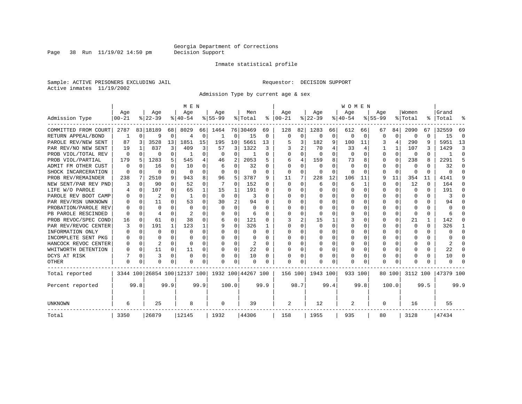Page 38 Run  $11/19/02$  14:50 pm

### Inmate statistical profile

Sample: ACTIVE PRISONERS EXCLUDING JAIL Requestor: DECISION SUPPORT Active inmates 11/19/2002

Admission Type by current age & sex

|                      |           |          |                              |              | M E N          |              |           |                |                    |          |              |             |              |          | <b>WOMEN</b>   |          |             |          |              |              |           |              |
|----------------------|-----------|----------|------------------------------|--------------|----------------|--------------|-----------|----------------|--------------------|----------|--------------|-------------|--------------|----------|----------------|----------|-------------|----------|--------------|--------------|-----------|--------------|
|                      | Age       |          | Age                          |              | Age            |              | Aqe       |                | Men                |          | Age          |             | Age          |          | Age            |          | Aqe         |          | Women        |              | Grand     |              |
| Admission Type       | $00 - 21$ |          | $8 22-39$                    |              | $8 40-54$      |              | $8 55-99$ |                | % Total            | ႜ        | $ 00-21$     |             | $ 22-39$     |          | $ 40-54$       |          | $8155 - 99$ |          | % Total      | ႜ            | Total     |              |
| COMMITTED FROM COURT | 2787      |          | 83 18189                     | 68           | 8029           | 66           | 1464      |                | 76 30469           | 69       | 128          | 82          | 1283         | 66       | 612            | 66       | 67          | 84       | 2090         | 67           | 32559     | 69           |
| RETURN APPEAL/BOND   |           | $\Omega$ | 9                            | $\Omega$     | $\overline{4}$ | 0            | -1        | 0              | 15                 | 0        | $\Omega$     | $\mathbf 0$ | $\Omega$     | $\Omega$ | $\mathbf 0$    | $\Omega$ | $\Omega$    | $\Omega$ | $\Omega$     | $\Omega$     | 15        | $\Omega$     |
| PAROLE REV/NEW SENT  | 87        | 3        | 3528                         | 13           | 1851           | 15           | 195       | 10             | 5661               | 13       |              | 3           | 182          | 9        | 100            | 11       | 3           | 4        | 290          | 9            | 5951      | 13           |
| PAR REV/NO NEW SENT  | 19        |          | 837                          | 3            | 409            | 3            | 57        | 3              | 1322               | 3        |              | 2           | 70           | 4        | 33             |          |             |          | 107          | 3            | 1429      | κ            |
| PROB VIOL/TOTAL REV  | O         | $\Omega$ | U                            | 0            | 1              | 0            | $\Omega$  | 0              |                    | O        | $\Omega$     | 0           | $\Omega$     | $\cap$   | $\overline{0}$ | 0        | $\Omega$    | 0        | $\Omega$     | O            |           | <sup>0</sup> |
| PROB VIOL/PARTIAL    | 179       | 5        | 1283                         | 5.           | 545            | 4            | 46        | 2              | 2053               | 5        | 6            | 4           | 159          | 8        | 73             | 8        | $\Omega$    | $\Omega$ | 238          | 8            | 2291      | 5            |
| ADMIT FM OTHER CUST  | 0         | 0        | 16                           | 0            | 10             | 0            | 6         | $\Omega$       | 32                 | U        | <sup>0</sup> | $\Omega$    | $\Omega$     | U        | $\Omega$       | O        | $\Omega$    | $\Omega$ | $\Omega$     | U            | 32        | ∩            |
| SHOCK INCARCERATION  | ∩         | $\Omega$ | O                            | 0            | $\Omega$       | 0            | $\Omega$  | 0              | 0                  | $\Omega$ | $\Omega$     | $\Omega$    | $\Omega$     | O        | $\Omega$       | $\cap$   | $\Omega$    | $\Omega$ | <sup>0</sup> | 0            | $\Omega$  | ∩            |
| PROB REV/REMAINDER   | 238       | 7        | 2510                         | 9            | 943            | 8            | 96        | 5              | 3787               | 9        | 11           | 7           | 228          | 12       | 106            | 11       | 9           | 11       | 354          | 11           | 4141      | q            |
| NEW SENT/PAR REV PND |           | $\Omega$ | 90                           | 0            | 52             | 0            |           | 0              | 152                | 0        | $\Omega$     | $\Omega$    | 6            | $\Omega$ | 6              |          | $\Omega$    | $\Omega$ | 12           | $\Omega$     | 164       | O            |
| LIFE W/O PAROLE      |           | $\Omega$ | 107                          | 0            | 65             | 1            | 15        | 1              | 191                | 0        | O            | $\Omega$    | 0            | $\Omega$ | 0              | $\Omega$ | $\Omega$    | $\Omega$ | $\Omega$     | $\Omega$     | 191       | n            |
| PAROLE REV BOOT CAMP |           | $\Omega$ | 2                            | 0            | -1             | $\Omega$     | $\Omega$  | $\Omega$       | 3                  | O        |              | 0           | 0            | $\Omega$ | 0              | 0        | O           | $\Omega$ | 0            | 0            | 3         | n            |
| PAR REV/RSN UNKNOWN  |           | $\Omega$ | 11                           | 0            | 53             | $\Omega$     | 30        | $\overline{c}$ | 94                 | U        | O            | 0           | 0            | O        | Ω              | O        | O           | $\Omega$ | O            | U            | 94        |              |
| PROBATION/PAROLE REV |           | $\Omega$ | U                            | <sup>n</sup> | $\Omega$       | <sup>0</sup> | $\Omega$  | $\Omega$       | $\Omega$           | U        | <sup>0</sup> | 0           | <sup>0</sup> | O        | Ω              | O        | $\Omega$    | $\Omega$ | <sup>0</sup> | U            | U         |              |
| PB PAROLE RESCINDED  |           | ∩        |                              | U            | $\mathfrak{D}$ | <sup>0</sup> | U         | $\Omega$       | 6                  | U        | ∩            | U           | <sup>n</sup> | U        | U              | n        | ∩           | $\Omega$ | $\Omega$     | U            | 6         |              |
| PROB REVOC/SPEC COND | 16        | $\Omega$ | 61                           | $\Omega$     | 38             | 0            | 6         | $\Omega$       | 121                | O        |              | 2           | 15           |          |                | 0        | $\Omega$    | $\Omega$ | 21           | $\mathbf{1}$ | 142       |              |
| PAR REV/REVOC CENTER | 3         | $\Omega$ | 191                          | $\mathbf{1}$ | 123            |              | 9         | $\Omega$       | 326                |          | <sup>0</sup> | U           |              | O        | Ω              | O        | $\Omega$    |          | O            | U            | 326       |              |
| INFORMATION ONLY     |           | $\Omega$ | U                            | 0            | $\Omega$       | U            |           | $\Omega$       | O                  | O        | <sup>0</sup> | 0           |              | O        | O              | O        | $\Omega$    |          |              | U            | U         | $\Omega$     |
| INCOMPLETE SENT PKG  |           | $\Omega$ | U                            | 0            | $\Omega$       | 0            | O         | $\Omega$       | 0                  | O        | <sup>0</sup> | 0           | 0            | O        | U              | $\Omega$ | $\Omega$    | $\Omega$ | O            | 0            | U         | ∩            |
| HANCOCK REVOC CENTER |           | $\Omega$ | 2                            | 0            | $\Omega$       | 0            | U         | 0              | 2                  | $\Omega$ | ∩            | 0           | 0            | O        | U              | $\Omega$ | O           | $\Omega$ |              | 0            | 2         | ∩            |
| WHITWORTH DETENTION  |           | $\Omega$ | 11                           | 0            | 11             | 0            | U         | $\Omega$       | 22                 | $\Omega$ | $\cap$       | $\Omega$    | <sup>0</sup> | $\Omega$ | 0              | $\Omega$ | $\Omega$    | $\Omega$ |              | U            | 22        | $\Omega$     |
| DCYS AT RISK         |           | $\Omega$ | 3                            | $\Omega$     | $\Omega$       | 0            | O         | $\mathbf 0$    | 10                 | O        | <sup>0</sup> | 0           | O            | $\Omega$ | Ω              | 0        | $\Omega$    | $\Omega$ |              | U            | 10        | $\Omega$     |
| <b>OTHER</b>         | $\Omega$  | $\Omega$ | O                            | 0            | O              | 0            | O         | $\Omega$       | O                  | 0        | <sup>0</sup> | 0           | O            | 0        | Ω              | 0        | $\Omega$    | $\Omega$ |              | U            | U         |              |
| Total reported       |           |          | 3344 100 26854 100 12137 100 |              |                |              |           |                | 1932 100 44267 100 |          | 156 100      |             | 1943 100     |          | 933 100        |          |             | 80 100   | 3112 100     |              | 47379 100 |              |
| Percent reported     |           | 99.8     |                              | 99.9         |                | 99.9         |           | 100.0          |                    | 99.9     |              | 98.7        |              | 99.4     |                | 99.8     |             | 100.0    |              | 99.5         |           | 99.9         |
| UNKNOWN              | 6         |          | 25                           |              | 8              |              | 0         |                | 39                 |          | 2            |             | 12           |          | 2              |          | 0           |          | 16           |              | 55        |              |
| Total                | 3350      |          | 26879                        |              | 12145          |              | 1932      |                | 44306              |          | 158          |             | 1955         |          | 935            |          | 80          |          | 3128         |              | 47434     |              |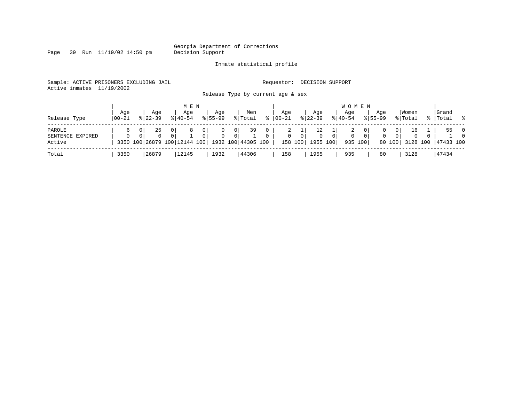Page 39 Run 11/19/02 14:50 pm

### Inmate statistical profile

Sample: ACTIVE PRISONERS EXCLUDING JAIL **Requestor: DECISION SUPPORT** Active inmates 11/19/2002

Release Type by current age & sex

| Release Type                         | Aqe<br>  00-21 | Age<br>$8122 - 39$ | M E N<br>Age<br>$8140 - 54$                                              | Aqe<br>$8155 - 99$          | Men<br>% Total                         | $\approx$                      | Age<br>$ 00 - 21$ | Aqe<br>$8 22-39$                |                                            | W O M E N<br>Age<br>$ 40-54 $ |                                             | Aqe<br>$8155 - 99$ |                                | Women<br>% Total               |                | Grand<br>%   Total | $\sim$ 8                         |
|--------------------------------------|----------------|--------------------|--------------------------------------------------------------------------|-----------------------------|----------------------------------------|--------------------------------|-------------------|---------------------------------|--------------------------------------------|-------------------------------|---------------------------------------------|--------------------|--------------------------------|--------------------------------|----------------|--------------------|----------------------------------|
| PAROLE<br>SENTENCE EXPIRED<br>Active | 6<br>$\Omega$  | 25<br>0            | 0 I<br>$\overline{0}$<br>3350 100 26879 100 12144 100 1932 100 44305 100 | 0<br>0<br>$\mathbf{0}$<br>0 | 39<br>0 <sup>1</sup><br>0 <sup>1</sup> | $\overline{0}$<br>$\mathbf{0}$ | 2<br>$\mathbf{0}$ | Τ.<br>$\overline{0}$<br>158 100 | 0 <sup>1</sup><br>$\mathbf{0}$<br>1955 100 | 2<br>$\mathbf{0}$             | 0 <sup>1</sup><br>0 <sup>1</sup><br>935 100 | 0<br>$\mathbf{0}$  | 01<br>0 <sup>1</sup><br>80 100 | 16<br>$\mathbf{0}$<br>3128 100 | $\overline{0}$ | 55<br>47433 100    | $\overline{0}$<br>$\overline{0}$ |
| Total                                | 3350           | 26879              | 12145                                                                    | 1932                        | 44306                                  |                                | 158               | 1955                            |                                            | 935                           |                                             | 80                 |                                | 3128                           |                | 47434              |                                  |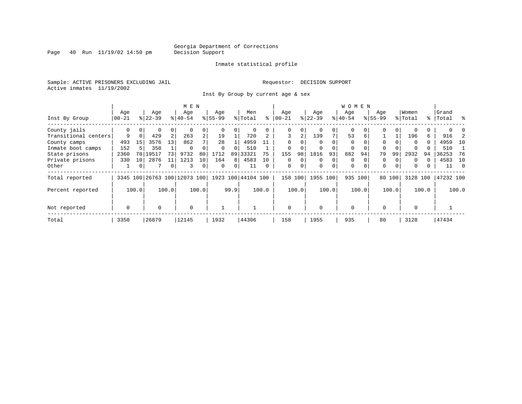Page 40 Run 11/19/02 14:50 pm

### Inmate statistical profile

Sample: ACTIVE PRISONERS EXCLUDING JAIL **Requestor: DECISION SUPPORT** Active inmates 11/19/2002

Inst By Group by current age & sex

|                      |                         |          |           |                | M E N                        |                |           |          |               |             |             |          |          |             | W O M E N   |          |             |          |          |          |           |     |
|----------------------|-------------------------|----------|-----------|----------------|------------------------------|----------------|-----------|----------|---------------|-------------|-------------|----------|----------|-------------|-------------|----------|-------------|----------|----------|----------|-----------|-----|
|                      | Age                     |          | Age       |                | Age                          |                | Age       |          | Men           |             | Age         |          | Age      |             | Age         |          | Age         |          | Women    |          | Grand     |     |
| Inst By Group        | $00 - 21$               |          | $8 22-39$ |                | $ 40-54 $                    |                | $8 55-99$ |          | % Total       | ႜ           | $ 00 - 21$  |          | $ 22-39$ |             | $ 40-54$    |          | $8155 - 99$ |          | % Total  |          | %   Total | ွေ  |
| County jails         | 0                       | 0        | 0         | 0              |                              | 0              |           |          | 0             |             | 0           | 0        |          |             | $\mathbf 0$ |          |             | 0        |          |          |           |     |
| Transitional centers | 9                       | $\Omega$ | 429       | 2              | 263                          | $\overline{a}$ | 19        |          | 720           |             | 3           | 2        | 139      | 7           | 53          | 6        |             |          | 196      | 6        | 916       |     |
| County camps         | 493                     | 15       | 3576      | 13             | 862                          |                | 28        |          | 4959          |             | $\Omega$    |          |          |             | $\Omega$    |          | $\Omega$    |          | $\Omega$ | $\Omega$ | 4959      | 10  |
| Inmate boot camps    | 152                     |          | 358       |                | $\Omega$                     |                | $\Omega$  |          | 510           |             | 0           |          |          |             | 0           |          | 0           |          |          |          | 510       |     |
| State prisons        | 2360                    | 70       | 19517     | 73             | 9732                         | 80             | 1712      | 89       | 33321         | 75          | 155         | 98       | 1816     | 93          | 882         | 94       | 79          | 99       | 2932     | 94       | 36253     | 76  |
| Private prisons      | 330                     | 10       | 2876      | 11             | 1213                         | 10             | 164       | 8        | 4583          | 10          | $\Omega$    | $\Omega$ | $\Omega$ | 0           | $\Omega$    |          | 0           |          | $\Omega$ |          | 4583      | 10  |
| Other                |                         | 0        |           | $\overline{0}$ | 3                            | 0              | $\Omega$  | $\Omega$ | 11            | $\Omega$    | $\mathbf 0$ | 0        | $\Omega$ | 0           | $\mathbf 0$ | $\Omega$ | $\Omega$    | $\Omega$ | 0        |          | 11        | - 0 |
| Total reported       |                         |          |           |                | 3345 100 26763 100 12073 100 |                | 1923      |          | 100 44104 100 |             | 158 100     |          | 1955     | 100         | 935 100     |          |             | 80 100   | 3128     | 100      | 47232 100 |     |
| Percent reported     | 100.0<br>100.0          |          |           |                | 100.0                        |                | 99.9      |          | 100.0         |             | 100.0       |          | 100.0    |             | 100.0       |          | 100.0       |          | 100.0    |          | 100.0     |     |
| Not reported         | $\mathbf 0$<br>$\Omega$ |          |           | $\Omega$       |                              |                |           |          |               | $\mathbf 0$ |             | $\Omega$ |          | $\mathbf 0$ |             | $\Omega$ |             | $\Omega$ |          |          |           |     |
|                      |                         |          |           |                |                              |                |           |          |               |             |             |          |          |             |             |          |             |          |          |          |           |     |
| Total                | 3350                    |          | 26879     |                | 12145                        |                | 1932      |          | 44306         |             | 158         |          | 1955     |             | 935         |          | 80          |          | 3128     |          | 47434     |     |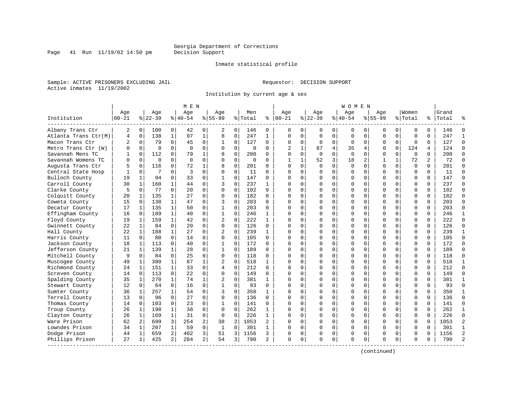### Inmate statistical profile

Sample: ACTIVE PRISONERS EXCLUDING JAIL **Requestor: DECISION SUPPORT** Active inmates 11/19/2002

Page 41 Run  $11/19/02$  14:50 pm

Institution by current age & sex

|                      |                |                |             |                | MEN       |                |                |                |          |              |                |          |             |          | WOMEN     |              |           |             |             |          |       |                |
|----------------------|----------------|----------------|-------------|----------------|-----------|----------------|----------------|----------------|----------|--------------|----------------|----------|-------------|----------|-----------|--------------|-----------|-------------|-------------|----------|-------|----------------|
|                      | Age            |                | Age         |                | Aqe       |                | Aqe            |                | Men      |              | Age            |          | Aqe         |          | Aqe       |              | Aqe       |             | Women       |          | Grand |                |
| Institution          | $00 - 21$      |                | $8 22-39$   |                | $8 40-54$ |                | $8155 - 99$    |                | % Total  | ႜ            | $ 00 - 21$     |          | $ 22-39 $   |          | $8 40-54$ |              | $8 55-99$ |             | % Total     | ႜ        | Total |                |
| Albany Trans Ctr     | 2              | 0              | 100         | 0              | 42        | $\Omega$       | 2              | 0              | 146      | 0            | 0              | $\Omega$ | 0           | 0        | 0         | 0            | 0         | 0           | 0           | $\Omega$ | 146   | $\Omega$       |
| Atlanta Trans Ctr(M) | $\overline{4}$ | $\mathbf 0$    | 138         | $\mathbf{1}$   | 97        | $\mathbf{1}$   | 8              | 0              | 247      | $\mathbf{1}$ | $\Omega$       | $\Omega$ | $\mathbf 0$ | $\Omega$ | $\Omega$  | $\mathbf 0$  | U         | $\Omega$    | $\Omega$    | $\Omega$ | 247   | $\mathbf{1}$   |
| Macon Trans Ctr      | 2              | 0              | 79          | $\Omega$       | 45        | 0              | 1              | 0              | 127      | $\Omega$     | $\Omega$       | $\Omega$ | $\Omega$    | $\Omega$ | $\Omega$  | 0            | 0         | $\mathbf 0$ | $\mathbf 0$ | $\Omega$ | 127   | $\Omega$       |
| Metro Trans Ctr (W)  | ∩              | $\Omega$       | $\Omega$    | $\Omega$       | $\Omega$  | $\Omega$       | U              | 0              | $\Omega$ | $\Omega$     | $\mathfrak{D}$ |          | 87          | 4        | 35        | 4            | O         | $\Omega$    | 124         | 4        | 124   | $\Omega$       |
| Savannah Mens TC     |                | $\Omega$       | 112         | $\Omega$       | 79        | $\mathbf{1}$   | 8              | $\Omega$       | 200      | $\cap$       | $\Omega$       | $\Omega$ | $\Omega$    | $\Omega$ | $\Omega$  | $\Omega$     | U         | $\Omega$    | $\Omega$    | $\Omega$ | 200   | $\Omega$       |
| Savannah Womens TC   | U              | $\Omega$       | $\mathbf 0$ | $\Omega$       | $\Omega$  | $\Omega$       | $\Omega$       | 0              | $\Omega$ | $\Omega$     |                |          | 52          | 3        | 18        | 2            | 1         | 1           | 72          | 2        | 72    | $\Omega$       |
| Augusta Trans Ctr    |                | $\Omega$       | 116         | $\Omega$       | 72        |                | 8              | $\Omega$       | 201      | $\Omega$     | $\Omega$       | $\Omega$ | $\Omega$    | $\Omega$ | $\Omega$  | $\Omega$     | $\Omega$  | $\Omega$    | $\Omega$    | $\Omega$ | 201   | $\Omega$       |
| Central State Hosp   |                | 0              | 7           | $\Omega$       | 3         | $\Omega$       | $\Omega$       | $\Omega$       | 11       | $\Omega$     | $\Omega$       | $\Omega$ | O           | U        |           | <sup>0</sup> | U         | $\Omega$    | $\mathbf 0$ | $\Omega$ | 11    | $\Omega$       |
| Bulloch County       | 19             | $\mathbf{1}$   | 94          | $\Omega$       | 33        | $\Omega$       | $\mathbf{1}$   | $\Omega$       | 147      | $\Omega$     | ∩              | U        | U           | U        | n         | $\Omega$     | U         | $\Omega$    | $\mathbf 0$ | $\Omega$ | 147   | $\Omega$       |
| Carroll County       | 30             | 1              | 160         | 1              | 44        | O              | 3              | 0              | 237      | 1            |                |          | U           | U        |           | $\Omega$     | U         | 0           | $\Omega$    | $\Omega$ | 237   | $\Omega$       |
| Clarke County        | 5              | 0              | 77          | $\Omega$       | 20        | $\Omega$       | $\Omega$       | $\Omega$       | 102      | $\Omega$     | ∩              | ∩        | U           | U        |           | $\Omega$     | U         | 0           | $\Omega$    | $\Omega$ | 102   | $\cap$         |
| Colquitt County      | 20             | 1              | 135         | $\mathbf{1}$   | 27        | $\Omega$       | $\Omega$       | 0              | 182      | $\Omega$     | $\Omega$       | $\Omega$ | $\Omega$    | O        |           | $\Omega$     | O         | $\Omega$    | $\mathbf 0$ | $\Omega$ | 182   | $\Omega$       |
| Coweta County        | 15             | 0              | 138         | $\mathbf{1}$   | 47        | $\Omega$       | 3              | 0              | 203      | $\Omega$     | $\Omega$       | $\Omega$ | O           | O        |           | 0            | O         | 0           | $\mathbf 0$ | $\Omega$ | 203   | $\Omega$       |
| Decatur County       | 17             | $\mathbf{1}$   | 135         | $\mathbf{1}$   | 50        | $\Omega$       | $\mathbf{1}$   | $\Omega$       | 203      | $\Omega$     | $\Omega$       | $\Omega$ |             | O        |           | $\Omega$     | O         | 0           | $\Omega$    | $\Omega$ | 203   | $\Omega$       |
| Effingham County     | 16             | $\Omega$       | 189         | $\mathbf{1}$   | 40        | $\Omega$       | $\mathbf{1}$   | $\Omega$       | 246      | 1            | $\Omega$       | $\Omega$ | O           | O        | O         | $\Omega$     | O         | 0           | $\Omega$    | $\Omega$ | 246   | $\mathbf{1}$   |
| Floyd County         | 19             | 1              | 159         | $\mathbf{1}$   | 42        | $\Omega$       | $\overline{2}$ | $\Omega$       | 222      | 1            |                |          | n           | U        |           | $\Omega$     | U         | 0           | $\mathbf 0$ | $\Omega$ | 222   | $\Omega$       |
| Gwinnett County      | 22             | 1              | 84          | $\Omega$       | 20        | $\Omega$       | $\Omega$       | $\Omega$       | 126      | $\Omega$     | ∩              | U        | U           | U        |           | $\Omega$     | U         | 0           | $\Omega$    | $\Omega$ | 126   | $\Omega$       |
| Hall County          | 22             | 1              | 188         | 1              | 27        | $\Omega$       | 2              | 0              | 239      | $\mathbf{1}$ |                | $\Omega$ | $\Omega$    | O        |           | $\Omega$     | O         | $\Omega$    | $\mathbf 0$ | $\Omega$ | 239   | $\mathbf{1}$   |
| Harris County        | 11             | 0              | 80          | $\mathbf 0$    | 14        | 0              | 0              | 0              | 105      | $\Omega$     |                | $\Omega$ | $\Omega$    | 0        |           | 0            | O         | 0           | $\mathbf 0$ | $\Omega$ | 105   | $\Omega$       |
| Jackson County       | 18             | $\mathbf{1}$   | 113         | $\Omega$       | 40        | $\Omega$       | $\mathbf{1}$   | $\Omega$       | 172      | $\Omega$     | $\Omega$       | $\Omega$ | O           | O        |           | $\Omega$     | O         | 0           | $\Omega$    | $\Omega$ | 172   | $\Omega$       |
| Jefferson County     | 21             | 1              | 139         | $\mathbf{1}$   | 28        | $\Omega$       | $\mathbf{1}$   | $\Omega$       | 189      | 0            | $\Omega$       | $\Omega$ | O           | O        | U         | $\Omega$     | U         | 0           | $\Omega$    | $\Omega$ | 189   | $\Omega$       |
| Mitchell County      | 9              | $\Omega$       | 84          | $\Omega$       | 25        | $\Omega$       | $\Omega$       | $\Omega$       | 118      | U            |                |          | U           | U        |           | $\Omega$     | U         | 0           | $\Omega$    | $\Omega$ | 118   | $\Omega$       |
| Muscogee County      | 49             | 1              | 380         | $\mathbf{1}$   | 87        | $\mathbf{1}$   | 2              | $\Omega$       | 518      | 1            | ∩              | U        | U           | U        |           | $\Omega$     | U         | 0           | $\Omega$    | $\Omega$ | 518   | $\mathbf{1}$   |
| Richmond County      | 24             | 1              | 151         | $\mathbf{1}$   | 33        | $\Omega$       | 4              | 0              | 212      | $\Omega$     | $\Omega$       | $\Omega$ | O           | O        |           | $\Omega$     | U         | $\Omega$    | $\mathbf 0$ | $\Omega$ | 212   | $\Omega$       |
| Screven County       | 14             | 0              | 113         | $\mathbf 0$    | 22        | 0              | 0              | 0              | 149      | $\Omega$     | $\Omega$       | $\Omega$ | 0           | 0        |           | 0            | 0         | 0           | $\mathbf 0$ | $\Omega$ | 149   | $\Omega$       |
| Spalding County      | 35             | 1              | 270         | 1              | 74        | 1              | $\overline{2}$ | 0              | 381      | 1            | $\Omega$       | $\Omega$ |             | O        |           | $\Omega$     | O         | 0           | $\mathbf 0$ | $\Omega$ | 381   | $\mathbf{1}$   |
| Stewart County       | 12             | $\Omega$       | 64          | $\Omega$       | 16        | $\Omega$       | -1             | $\Omega$       | 93       | $\Omega$     | $\Omega$       | $\Omega$ | O           | O        | U         | $\Omega$     | O         | 0           | $\Omega$    | $\Omega$ | 93    | $\Omega$       |
| Sumter County        | 36             | 1              | 257         | $\mathbf{1}$   | 54        | $\Omega$       | 3              | $\Omega$       | 350      | 1            |                |          |             | O        |           | $\Omega$     | U         | 0           | $\Omega$    | $\Omega$ | 350   | -1             |
| Terrell County       | 13             | $\Omega$       | 96          | $\Omega$       | 27        | $\Omega$       | $\Omega$       | $\Omega$       | 136      | $\cap$       | ∩              | U        | U           | U        | U         | $\Omega$     | U         | 0           | $\Omega$    | $\Omega$ | 136   | $\Omega$       |
| Thomas County        | 14             | $\Omega$       | 103         | $\Omega$       | 23        | $\Omega$       | 1              | 0              | 141      | $\Omega$     |                | $\Omega$ | O           | O        |           | $\Omega$     | U         | $\Omega$    | $\mathbf 0$ | $\Omega$ | 141   | $\Omega$       |
| Troup County         | 26             | 1              | 198         | $\mathbf{1}$   | 38        | $\Omega$       | $\Omega$       | 0              | 262      | 1            |                | $\Omega$ | $\Omega$    | 0        |           | 0            | O         | 0           | 0           | $\Omega$ | 262   | $\mathbf{1}$   |
| Clayton County       | 26             | $\mathbf 1$    | 169         | $\mathbf{1}$   | 31        | 0              | $\Omega$       | 0              | 226      | 1            | $\Omega$       | $\Omega$ | O           | O        |           | 0            | O         | $\Omega$    | $\mathbf 0$ | $\Omega$ | 226   | $\Omega$       |
| Ware Prison          | 62             | $\overline{a}$ | 699         | 3              | 254       | 2              | 38             | $\overline{a}$ | 1053     | 2            | $\Omega$       | $\Omega$ | O           | U        | O         | $\Omega$     | U         | $\Omega$    | $\Omega$    | $\Omega$ | 1053  | $\overline{2}$ |
| Lowndes Prison       | 34             | 1              | 207         | $\mathbf{1}$   | 59        | $\Omega$       | $\mathbf{1}$   | 0              | 301      | 1            |                |          | O           | O        |           | $\Omega$     | O         | 0           | $\Omega$    | $\Omega$ | 301   | $\mathbf{1}$   |
| Dodge Prison         | 44             | 1              | 659         | $\overline{a}$ | 402       | 3              | 51             | 3              | 1156     | 3            | $\Omega$       | 0        | O           | 0        | O         | $\Omega$     | O         | 0           | $\Omega$    | $\Omega$ | 1156  | $\overline{a}$ |
| Phillips Prison      | 27             | 1              | 425         | 2              | 284       | $\overline{a}$ | 54             | 3              | 790      | 2            | $\Omega$       | 0        | O           | 0        | $\Omega$  | 0            | U         | 0           | $\Omega$    | 0        | 790   | $\mathcal{L}$  |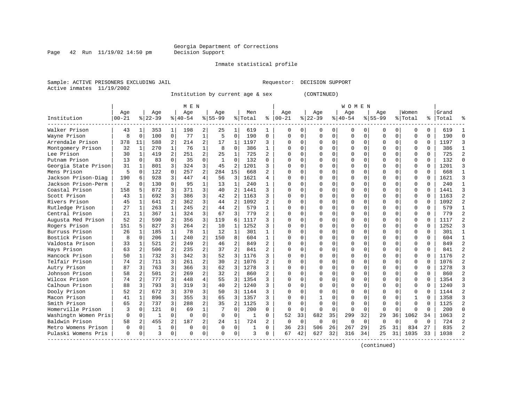### Inmate statistical profile

Sample: ACTIVE PRISONERS EXCLUDING JAIL Requestor: DECISION SUPPORT Active inmates 11/19/2002

Page  $42$  Run  $11/19/02$  14:50 pm

Institution by current age & sex (CONTINUED)

|                      |           |              |              |                | M E N       |                |              |                |         |                |             |             |          |             | WOMEN    |          |              |          |              |          |       |                |
|----------------------|-----------|--------------|--------------|----------------|-------------|----------------|--------------|----------------|---------|----------------|-------------|-------------|----------|-------------|----------|----------|--------------|----------|--------------|----------|-------|----------------|
|                      | Age       |              | Age          |                | Age         |                | Age          |                | Men     |                | Age         |             | Age      |             | Age      |          | Age          |          | Women        |          | Grand |                |
| Institution          | $00 - 21$ |              | $8 22-39$    |                | $8 40-54$   |                | $8 55-99$    |                | % Total | ႜ              | $ 00-21$    |             | $ 22-39$ |             | $ 40-54$ |          | $8155 - 99$  |          | % Total      | ႜၟ       | Total |                |
| Walker Prison        | 43        | 1            | 353          | 1              | 198         | 2              | 25           | 1              | 619     | 1              | 0           | 0           | O        | 0           | 0        | 0        | O            | 0        | 0            | 0        | 619   |                |
| Wayne Prison         | 8         | $\mathbf 0$  | 100          | $\mathbf 0$    | 77          | $\mathbf 1$    | 5            | $\mathbf 0$    | 190     | $\mathbf 0$    | $\mathbf 0$ | $\Omega$    | $\Omega$ | $\mathbf 0$ | $\Omega$ | 0        | 0            | $\Omega$ | $\Omega$     | 0        | 190   | $\Omega$       |
| Arrendale Prison     | 378       | 11           | 588          | 2              | 214         | 2              | 17           | 1              | 1197    | 3              | O           | 0           | $\Omega$ | 0           | 0        | $\Omega$ |              | $\Omega$ | O            | $\Omega$ | 1197  | κ              |
| Montgomery Prison    | 32        | 1            | 270          | 1              | 76          | $\mathbf{1}$   | 8            | 0              | 386     | $\mathbf{1}$   |             | 0           |          | 0           | Λ        | $\Omega$ |              | $\Omega$ | $\Omega$     | 0        | 386   |                |
| Lee Prison           | 30        | 1            | 419          | $\overline{a}$ | 251         | 2              | 25           | $\mathbf{1}$   | 725     | $\overline{a}$ | $\cap$      | 0           |          | $\Omega$    | ი        | $\Omega$ |              | 0        | $\Omega$     | $\Omega$ | 725   |                |
| Putnam Prison        | 13        | $\Omega$     | 83           | $\Omega$       | 35          | 0              | $\mathbf{1}$ | $\Omega$       | 132     | $\Omega$       | $\cap$      | 0           | ∩        | $\Omega$    | U        | O        | ∩            | 0        | O            | 0        | 132   | ∩              |
| Georgia State Prison | 31        | 1            | 801          | 3              | 324         | 3              | 45           | 2              | 1201    | 3              | U           | 0           | $\Omega$ | $\Omega$    | 0        | $\Omega$ | <sup>0</sup> | 0        | O            | $\Omega$ | 1201  |                |
| Mens Prison          | 5         | $\Omega$     | 122          | $\Omega$       | 257         | $\overline{a}$ | 284          | 15             | 668     | 2              | $\cap$      | O           | $\Omega$ | $\Omega$    | U        | $\Omega$ |              | $\Omega$ | $\Omega$     | O        | 668   |                |
| Jackson Prison-Diag  | 190       | 6            | 928          | 3              | 447         | 4              | 56           | 3              | 1621    | 4              | U           | O           | $\Omega$ | $\Omega$    | U        | C        |              | $\Omega$ | $\Omega$     | O        | 1621  |                |
| Jackson Prison-Perm  | 2         | $\Omega$     | 130          | $\Omega$       | 95          | 1              | 13           | 1              | 240     | 1              | U           | U           | $\Omega$ | $\Omega$    | U        | C        | ∩            | 0        | $\cap$       | $\Omega$ | 240   |                |
| Coastal Prison       | 158       | 5            | 872          | 3              | 371         | 3              | 40           | $\overline{2}$ | 1441    | 3              | n           | 0           | ∩        | $\Omega$    | 0        | ∩        | <sup>0</sup> | 0        | O            | $\Omega$ | 1441  |                |
| Scott Prison         | 43        | 1            | 692          | 3              | 386         | 3              | 42           | $\overline{c}$ | 1163    | 3              | O           | 0           | $\Omega$ | 0           | 0        | $\Omega$ | <sup>0</sup> | $\Omega$ | 0            | $\Omega$ | 1163  |                |
| Rivers Prison        | 45        | 1            | 641          | 2              | 362         | 3              | 44           | $\overline{2}$ | 1092    | 2              |             | O           |          | $\Omega$    | 0        | $\Omega$ |              | $\Omega$ | $\Omega$     | $\Omega$ | 1092  |                |
| Rutledge Prison      | 27        | 1            | 263          | 1              | 245         | 2              | 44           | $\overline{2}$ | 579     | $\mathbf{1}$   | C           | 0           |          | $\Omega$    | U        | $\Omega$ | <sup>0</sup> | 0        | O            | $\Omega$ | 579   | $\mathbf{1}$   |
| Central Prison       | 21        | 1            | 367          | $\mathbf{1}$   | 324         | 3              | 67           | 3              | 779     | $\mathfrak{D}$ | $\cap$      | 0           | $\Omega$ | $\Omega$    | O        | $\Omega$ | $\cap$       | $\Omega$ | $\Omega$     | $\Omega$ | 779   | $\mathfrak{D}$ |
| Augusta Med Prison   | 52        | 2            | 590          | $\overline{a}$ | 356         | 3              | 119          | 6              | 1117    | ς              | ∩           | 0           | $\Omega$ | $\Omega$    | O        | $\Omega$ | ∩            | $\Omega$ | $\Omega$     | $\Omega$ | 1117  |                |
| Rogers Prison        | 151       | 5            | 827          | 3              | 264         | $\overline{2}$ | 10           | 1              | 1252    | 3              | U           | 0           | $\Omega$ | $\Omega$    | 0        | $\Omega$ | <sup>0</sup> | $\Omega$ | O            | $\Omega$ | 1252  |                |
| Burruss Prison       | 26        | 1            | 185          | $\mathbf{1}$   | 78          | $\mathbf 1$    | 12           | $\mathbf{1}$   | 301     | 1              | ∩           | O           | $\Omega$ | $\Omega$    | 0        | $\Omega$ | $\Omega$     | $\Omega$ | $\Omega$     | O        | 301   |                |
| Bostick Prison       | 8         | $\Omega$     | 206          | 1              | 240         | 2              | 150          | 8              | 604     | 1              | U           | O           | $\Omega$ | $\Omega$    | U        | C        | ∩            | 0        | O            | O        | 604   |                |
| Valdosta Prison      | 33        | $\mathbf{1}$ | 521          | $\mathfrak{D}$ | 249         | $\overline{a}$ | 46           | 2              | 849     | $\mathbf{2}$   | $\Omega$    | 0           | $\Omega$ | $\Omega$    | $\Omega$ | $\Omega$ | $\Omega$     | $\Omega$ | $\Omega$     | $\Omega$ | 849   |                |
| Hays Prison          | 63        | 2            | 506          | 2              | 235         | 2              | 37           | $\overline{2}$ | 841     | 2              | U           | $\Omega$    | ∩        | $\Omega$    | 0        | ∩        | <sup>0</sup> | $\Omega$ | $\Omega$     | $\Omega$ | 841   |                |
| Hancock Prison       | 50        | $\mathbf{1}$ | 732          | 3              | 342         | 3              | 52           | 3              | 1176    | 3              | O           | 0           | O        | $\Omega$    | 0        | $\Omega$ | O            | $\Omega$ | 0            | $\Omega$ | 1176  |                |
| Telfair Prison       | 74        | 2            | 711          | 3              | 261         | $\overline{2}$ | 30           | $\overline{2}$ | 1076    | 2              |             | 0           |          | $\Omega$    | Ω        | $\Omega$ |              | $\Omega$ | $\Omega$     | $\Omega$ | 1076  |                |
| Autry Prison         | 87        | 3            | 763          | 3              | 366         | 3              | 62           | 3              | 1278    | 3              | $\cap$      | 0           |          | $\Omega$    | O        | $\Omega$ | $\Omega$     | $\Omega$ | $\Omega$     | $\Omega$ | 1278  |                |
| Johnson Prison       | 58        | 2            | 501          | $\mathfrak{D}$ | 269         | $\overline{a}$ | 32           | 2              | 860     | $\mathfrak{D}$ | $\Omega$    | 0           | ∩        | $\Omega$    | U        | $\Omega$ | $\cap$       | $\Omega$ | $\Omega$     | $\Omega$ | 860   | $\mathcal{D}$  |
| Wilcox Prison        | 74        | 2            | 777          | 3              | 448         | 4              | 55           | 3              | 1354    | 3              | $\cap$      | 0           | ∩        | $\Omega$    | 0        | $\Omega$ | <sup>0</sup> | $\Omega$ | $\Omega$     | $\Omega$ | 1354  |                |
| Calhoun Prison       | 88        | 3            | 793          | 3              | 319         | 3              | 40           | $\overline{2}$ | 1240    | 3              | U           | 0           | $\Omega$ | $\Omega$    | 0        | U        |              | 0        | 0            | O        | 1240  |                |
| Dooly Prison         | 52        | 2            | 672          | 3              | 370         | 3              | 50           | 3              | 1144    | 3              |             | O           | $\Omega$ | $\Omega$    | 0        | U        |              | 0        | 0            | U        | 1144  |                |
| Macon Prison         | 41        | $\mathbf{1}$ | 896          | 3              | 355         | 3              | 65           | 3              | 1357    | 3              |             | U           |          | $\Omega$    | U        | C        | $\cap$       | $\Omega$ | $\mathbf{1}$ | U        | 1358  |                |
| Smith Prison         | 65        | 2            | 737          | 3              | 288         | $\overline{a}$ | 35           | $\mathfrak{D}$ | 1125    | 3              | U           | U           | $\Omega$ | $\Omega$    | U        | C        | $\cap$       | $\cap$   | $\cap$       | $\Omega$ | 1125  | っ              |
| Homerville Prison    | 3         | $\Omega$     | 121          | $\Omega$       | 69          | $\mathbf 1$    | 7            | $\Omega$       | 200     | $\Omega$       | $\Omega$    | $\Omega$    | $\Omega$ | $\Omega$    | $\Omega$ | $\Omega$ | $\Omega$     | $\Omega$ | O            | $\Omega$ | 200   | U              |
| Washingtn Women Pris | 0         | $\mathbf 0$  | $\mathbf{1}$ | $\mathbf 0$    | $\Omega$    | 0              | $\Omega$     | $\mathbf 0$    | 1       | $\Omega$       | 52          | 33          | 682      | 35          | 299      | 32       | 29           | 36       | 1062         | 34       | 1063  |                |
| Baldwin Prison       | 58        | 2            | 455          | 2              | 187         | 2              | 24           | 1              | 724     | 2              | 0           | $\mathbf 0$ | 0        | 0           | 0        | $\Omega$ | $\Omega$     | $\Omega$ | O            | $\Omega$ | 724   |                |
| Metro Womens Prison  | 0         | 0            | 1            | $\Omega$       | $\mathbf 0$ | 0              | $\Omega$     | 0              | 1       | $\Omega$       | 36          | 23          | 506      | 26          | 267      | 29       | 25           | 31       | 834          | 27       | 835   |                |
| Pulaski Womens Pris  | $\Omega$  | 0            | ζ            | 0              | $\Omega$    | 0              | ∩            | $\Omega$       | 3       | 0              | 67          | 42          | 627      | 32          | 316      | 34       | 25           | 31       | 1035         | 33       | 1038  |                |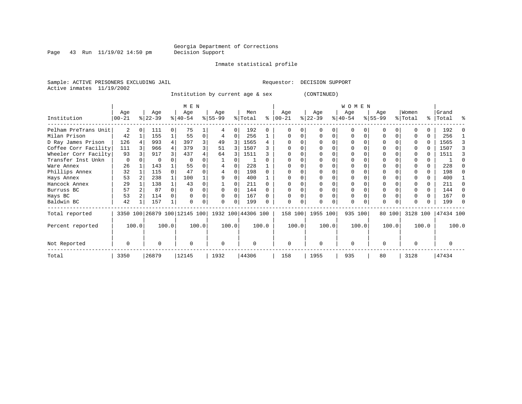Page 43 Run  $11/19/02$  14:50 pm

Inmate statistical profile

Sample: ACTIVE PRISONERS EXCLUDING JAIL **Requestor: DECISION SUPPORT** Active inmates 11/19/2002

Institution by current age & sex (CONTINUED)

|                      |                  |                                                         |                  |          | M E N            |       |                    |          |                |       |                    |   |                  |          | WOMEN            |       |                    |        |                  |       |                |   |
|----------------------|------------------|---------------------------------------------------------|------------------|----------|------------------|-------|--------------------|----------|----------------|-------|--------------------|---|------------------|----------|------------------|-------|--------------------|--------|------------------|-------|----------------|---|
| Institution          | Age<br>$00 - 21$ |                                                         | Age<br>$ 22-39 $ |          | Age<br>$ 40-54 $ |       | Age<br>$ 55-99 $   |          | Men<br>% Total | ႜ     | Age<br>$ 00 - 21 $ |   | Age<br>$ 22-39 $ |          | Age<br>$ 40-54 $ |       | Age<br>$8155 - 99$ |        | Women<br>% Total | ႜၟ    | Grand<br>Total | ႜ |
| Pelham PreTrans Unit | 2                | $\Omega$                                                | 111              | $\Omega$ | 75               |       |                    | $\Omega$ | 192            | 0     |                    | U |                  | $\Omega$ | 0                |       |                    |        |                  |       | 192            |   |
| Milan Prison         | 42               |                                                         | 155              |          | 55               | 0     | 4                  | $\Omega$ | 256            |       | $\Omega$           | 0 |                  | $\Omega$ | 0                |       |                    |        |                  | 0     | 256            |   |
| D Ray James Prison   | 126              |                                                         | 993              |          | 397              | 3     | 49                 | 3        | 1565           |       |                    |   |                  |          |                  |       |                    |        |                  | 0     | 1565           |   |
| Coffee Corr Facility | 111              |                                                         | 966              |          | 379              | 3     | 51                 | 3        | 1507           |       |                    |   |                  |          | 0                |       |                    |        |                  |       | 1507           |   |
| Wheeler Corr Facilty | 93               |                                                         | 917              |          | 437              |       | 64                 |          | 1511           |       |                    |   |                  |          |                  |       |                    |        |                  |       | 1511           |   |
| Transfer Inst Unkn   | 0                |                                                         | $\Omega$         |          | -0               |       |                    |          |                |       |                    |   |                  |          |                  |       |                    |        |                  |       |                |   |
| Ware Annex           | 26               |                                                         | 143              |          | 55               | 0     |                    |          | 228            |       |                    |   |                  |          |                  |       |                    |        |                  |       | 228            |   |
| Phillips Annex       | 32               |                                                         | 115              |          | 47               |       |                    |          | 198            |       |                    |   |                  |          |                  |       |                    |        |                  |       | 198            |   |
| Hays Annex           | 53               |                                                         | 238              |          | 100              |       |                    |          | 400            |       |                    |   |                  |          |                  |       |                    |        |                  | 0     | 400            |   |
| Hancock Annex        | 29               |                                                         | 138              |          | 43               |       |                    |          | 211            |       |                    |   |                  |          |                  |       |                    |        |                  | 0     | 211            |   |
| Burruss BC           | 57               |                                                         | 87               |          |                  | 0     |                    | $\Omega$ | 144            |       |                    |   |                  |          | 0                |       | 0                  |        |                  | 0     | 144            |   |
| Hays BC              | 53               |                                                         | 114              |          |                  |       |                    |          | 167            |       |                    |   |                  |          | 0                |       |                    |        |                  | 0     | 167            |   |
| Baldwin BC           | 42               |                                                         | 157              |          |                  | 0     | $\Omega$           | $\Omega$ | 199            |       |                    | 0 |                  |          | 0                |       | <sup>0</sup>       |        |                  |       | 199            |   |
| Total reported       |                  |                                                         |                  |          |                  |       | 1932 100 44306 100 |          |                |       | 158 100            |   | 1955 100         |          | 935 100          |       |                    | 80 100 | 3128 100         |       | 47434 100      |   |
| Percent reported     |                  | 3350 100 26879 100 12145 100<br>100.0<br>100.0<br>100.0 |                  |          |                  | 100.0 |                    | 100.0    |                | 100.0 | 100.0              |   |                  | 100.0    |                  | 100.0 |                    | 100.0  |                  | 100.0 |                |   |
| Not Reported         | $\Omega$         |                                                         | O                |          | $\Omega$         |       | $\Omega$           |          | $\Omega$       |       | $\Omega$           |   | $\Omega$         |          | $\Omega$         |       | <sup>0</sup>       |        |                  |       | U              |   |
| Total                | 3350             |                                                         | 26879            |          | 12145            |       | 1932               |          | 44306          |       | 158                |   | 1955             |          | 935              |       | 80                 |        | 3128             |       | 47434          |   |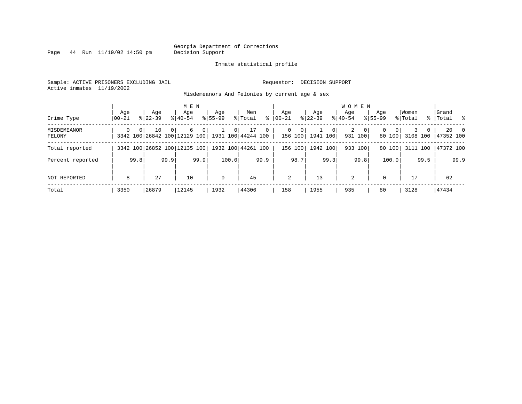Page  $44$  Run  $11/19/02$  14:50 pm

### Inmate statistical profile

Sample: ACTIVE PRISONERS EXCLUDING JAIL Requestor: DECISION SUPPORT Active inmates 11/19/2002

Misdemeanors And Felonies by current age & sex

| Crime Type            | Age<br>  00-21 |                | Age<br>$8122 - 39$                                    |          | M E N<br>Age<br>$8 40-54$ |                | Age<br>$8155 - 99$ |                | Men<br>% Total     | ွေ           | Aqe<br>$00 - 21$ |                        | Age<br>$ 22-39 $         |                | <b>WOMEN</b><br>Aqe<br>$8 40-54$ |                         | Age<br>$8155 - 99$ |                    | Women<br>% Total |              | Grand<br>%   Total % |               |
|-----------------------|----------------|----------------|-------------------------------------------------------|----------|---------------------------|----------------|--------------------|----------------|--------------------|--------------|------------------|------------------------|--------------------------|----------------|----------------------------------|-------------------------|--------------------|--------------------|------------------|--------------|----------------------|---------------|
| MISDEMEANOR<br>FELONY | $\Omega$       | 0 <sup>1</sup> | 10<br>3342 100 26842 100 12129 100 1931 100 44244 100 | $\Omega$ | 6                         | 0 <sup>1</sup> |                    | 0 <sup>1</sup> | 17                 | $\mathbf{0}$ | $\mathbf{0}$     | $\mathbf 0$<br>156 100 | $\mathbf{1}$<br>1941 100 | 0 <sup>1</sup> | $\overline{a}$                   | $\mathbf{0}$<br>931 100 | 0                  | $\Omega$<br>80 100 |                  | $\mathbf{0}$ | 3108 100 47352 100   | $20 \qquad 0$ |
| Total reported        |                |                | 3342 100 26852 100 12135 100                          |          |                           |                |                    |                | 1932 100 44261 100 |              |                  | 156 100                | 1942 100                 |                |                                  | 933 100                 | 80                 | 100                | 3111             | 100          | 47372 100            |               |
| Percent reported      |                | 99.8           |                                                       | 99.9     |                           | 99.9           |                    | 100.0          |                    | 99.9         |                  | 98.7                   |                          | 99.3           |                                  | 99.8                    |                    | 100.0              |                  | 99.5         |                      | 99.9          |
| NOT REPORTED          | 8              |                | 27                                                    |          | 10                        |                | $\mathbf 0$        |                | 45                 |              | 2                |                        | 13                       |                | 2                                |                         | $\Omega$           |                    | 17               |              | 62                   |               |
| Total                 | 3350           |                | 26879                                                 |          | 12145                     |                | 1932               |                | 44306              |              | 158              |                        | 1955                     |                | 935                              |                         | 80                 |                    | 3128             |              | 47434                |               |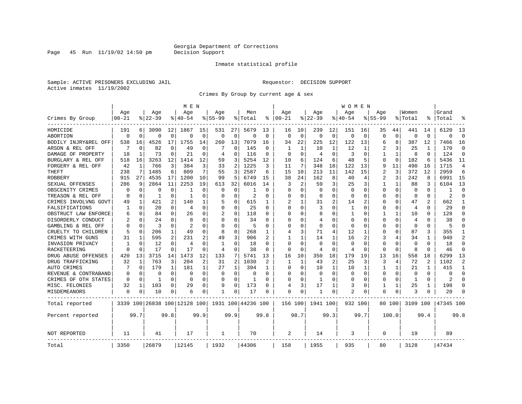Page 45 Run  $11/19/02$  14:50 pm

### Inmate statistical profile

Sample: ACTIVE PRISONERS EXCLUDING JAIL Requestor: DECISION SUPPORT Active inmates 11/19/2002

Crimes By Group by current age & sex

|                      |           |          |           |              | M E N                        |             |              |                |                    |               |                |                |             |                | W O M E N    |             |                |              |                |                |           |                |
|----------------------|-----------|----------|-----------|--------------|------------------------------|-------------|--------------|----------------|--------------------|---------------|----------------|----------------|-------------|----------------|--------------|-------------|----------------|--------------|----------------|----------------|-----------|----------------|
|                      | Age       |          | Age       |              | Age                          |             | Age          |                | Men                |               | Age            |                | Age         |                | Age          |             | Age            |              | Women          |                | Grand     |                |
| Crimes By Group      | $00 - 21$ |          | $8 22-39$ |              | % 40-54                      |             | $8155 - 99$  |                | % Total            | ႜ             | $ 00 - 21$     |                | $8$   22-39 |                | $8140 - 54$  |             | $8155 - 99$    |              | % Total        | ႜ              | Total     |                |
| HOMICIDE             | 191       | 6        | 3090      | 12           | 1867                         | 15          | 531          | 27             | 5679               | 13            | 16             | 10             | 239         | 12             | 151          | 16          | 35             | 44           | 441            | 14             | 6120      | 13             |
| ABORTION             | $\Omega$  | $\Omega$ | $\Omega$  | 0            | $\Omega$                     | $\mathbf 0$ | $\Omega$     | $\mathbf 0$    | 0                  | $\mathbf 0$   | $\Omega$       | $\mathbf 0$    | $\Omega$    | 0              | $\Omega$     | $\mathbf 0$ | $\Omega$       | $\Omega$     | $\mathbf 0$    | $\Omega$       | $\Omega$  | $\Omega$       |
| BODILY INJRY&REL OFF | 538       | 16       | 4526      | 17           | 1755                         | 14          | 260          | 13             | 7079               | 16            | 34             | 22             | 225         | 12             | 122          | 13          | 6              | 8            | 387            | 12             | 7466      | 16             |
| ARSON & REL OFF      |           | $\Omega$ | 82        | 0            | 49                           | 0           |              | 0              | 145                | 0             |                | 1              | 10          | 1              | 12           | 1           | 2              | 3            | 25             | 1              | 170       | $\Omega$       |
| DAMAGE OF PROPERTY   | 18        | 1        | 73        | 0            | 21                           | 0           | 4            | 0              | 116                | $\Omega$      | ∩              | $\Omega$       | 4           | 0              | 3            | $\Omega$    | 1              | 1            | 8              | $\Omega$       | 124       | $\Omega$       |
| BURGLARY & REL OFF   | 518       | 16       | 3263      | 12           | 1414                         | 12          | 59           | 3              | 5254               | 12            | 10             | 6              | 124         | 6              | 48           | 5           | O              | $\mathbf 0$  | 182            | 6              | 5436      | 11             |
| FORGERY & REL OFF    | 42        | 1        | 766       | 3            | 384                          | 3           | 33           | 2              | 1225               | 3             | 11             | 7              | 348         | 18             | 122          | 13          | 9              | 11           | 490            | 16             | 1715      | $\overline{4}$ |
| THEFT                | 238       | 7        | 1485      | 6            | 809                          | 7           | 55           | 3              | 2587               | 6             | 15             | 10             | 213         | 11             | 142          | 15          | $\overline{a}$ | 3            | 372            | 12             | 2959      | 6              |
| <b>ROBBERY</b>       | 915       | 27       | 4535      | 17           | 1200                         | 10          | 99           | 5              | 6749               | 15            | 38             | 24             | 162         | 8              | 40           | 4           | $\overline{2}$ | 3            | 242            | 8              | 6991      | 15             |
| SEXUAL OFFENSES      | 286       | 9        | 2864      | 11           | 2253                         | 19          | 613          | 32             | 6016               | 14            | 3              | $\overline{2}$ | 59          | 3              | 25           | 3           | 1              | $\mathbf{1}$ | 88             | 3              | 6104      | 13             |
| OBSCENITY CRIMES     | n         | $\Omega$ | U         | 0            | -1                           | 0           | O            | 0              |                    | $\Omega$      | ∩              | O              | $\Omega$    | U              | $\Omega$     | $\Omega$    | O              | $\Omega$     | $\Omega$       | $\Omega$       |           | ∩              |
| TREASON & REL OFF    | $\Omega$  | $\Omega$ | 1         | 0            | -1                           | 0           | U            | 0              | 2                  | $\Omega$      | $\Omega$       | 0              | 0           | 0              | $\Omega$     | $\Omega$    | 0              | 0            | 0              | 0              | 2         | ∩              |
| CRIMES INVOLVNG GOVT | 49        | 1        | 421       | 2            | 140                          | 1           | 5            | 0              | 615                | 1             |                | 1              | 31          | 2              | 14           | 2           | 0              | 0            | 47             |                | 662       | -1             |
| FALSIFICATIONS       | 1         | 0        | 20        | 0            | 4                            | 0           | $\Omega$     | 0              | 25                 | $\Omega$      | $\Omega$       | 0              | 3           | U              | $\mathbf{1}$ | $\mathbf 0$ | $\Omega$       | 0            | 4              | 0              | 29        | $\Omega$       |
| OBSTRUCT LAW ENFORCE | 6         | $\Omega$ | 84        | 0            | 26                           | $\Omega$    | 2            | $\Omega$       | 118                | 0             |                | U              | 8           | U              | -1           | $\Omega$    | 1              | $\mathbf{1}$ | 10             | 0              | 128       | $\Omega$       |
| DISORDERLY CONDUCT   |           | $\Omega$ | 24        | U            | 8                            | 0           | U            | 0              | 34                 |               |                |                | 4           | U              | <sup>0</sup> | $\Omega$    | $\Omega$       | $\Omega$     | $\overline{4}$ |                | 38        |                |
| GAMBLING & REL OFF   | O         | $\Omega$ | ζ         | 0            | 2                            | 0           | $\Omega$     | $\Omega$       | 5                  | $\Omega$      | ∩              | U              | $\Omega$    | U              | $\Omega$     | $\Omega$    | U              | 0            | $\Omega$       | 0              |           |                |
| CRUELTY TO CHILDREN  | 5         | $\Omega$ | 206       | $\mathbf 1$  | 49                           | 0           | 8            | 0              | 268                | 1             | $\overline{4}$ | 3              | 71          | 4              | 12           | 1           | O              | $\Omega$     | 87             | 3              | 355       |                |
| CRIMES WITH GUNS     | 31        | 1        | 595       | 2            | 231                          | 2           | 49           | 3              | 906                |               |                | 1              | 14          | 1              | 16           | 2           | 3              | 4            | 34             | 1              | 940       | $\overline{2}$ |
| INVASION PRIVACY     |           | 0        | 12        | 0            | $\overline{4}$               | 0           | $\mathbf{1}$ | 0              | 18                 | $\Omega$      | $\Omega$       | $\Omega$       | $\Omega$    | $\Omega$       | $\Omega$     | 0           | 0              | $\Omega$     | $\mathbf 0$    | $\Omega$       | 18        | $\Omega$       |
| RACKETEERING         |           | $\Omega$ | 17        | 0            | 17                           | 0           | 4            | 0              | 38                 | 0             | $\Omega$       | 0              | 4           | 0              | 4            | 0           | $\Omega$       | 0            | 8              | $\Omega$       | 46        | $\Omega$       |
| DRUG ABUSE OFFENSES  | 420       | 13       | 3715      | 14           | 1473                         | 12          | 133          | 7              | 5741               | 13            | 16             | 10             | 350         | 18             | 179          | 19          | 13             | 16           | 558            | 18             | 6299      | 13             |
| DRUG TRAFFICKING     | 32        | 1        | 763       | 3            | 204                          | 2           | 31           | $\overline{2}$ | 1030               | $\mathcal{D}$ | -1             | 1              | 43          | $\overline{2}$ | 25           | 3           | 3              | 4            | 72             | $\mathfrak{D}$ | 1102      | $\mathcal{D}$  |
| AUTO CRIMES          |           | $\Omega$ | 179       | $\mathbf{1}$ | 181                          | 1           | 27           | 1              | 394                | 1             | $\Omega$       | $\Omega$       | 10          | $\mathbf 1$    | 10           | 1           | 1              | $\mathbf{1}$ | 21             |                | 415       | $\mathbf{1}$   |
| REVENUE & CONTRABAND | 0         | $\Omega$ | 0         | $\Omega$     | $\Omega$                     | 0           | $\Omega$     | 0              | $\Omega$           | $\Omega$      | $\Omega$       | O              | 0           | $\Omega$       | <sup>0</sup> | $\mathbf 0$ | $\Omega$       | 0            | $\mathbf 0$    | $\Omega$       | $\Omega$  | $\Omega$       |
| CRIMES OF OTH STATES | $\Omega$  | 0        | -1        | 0            | $\Omega$                     | 0           | $\Omega$     | 0              | 1                  | $\Omega$      | ∩              | O              | -1          | U              | $\Omega$     | 0           | 0              | $\Omega$     | 1              | $\Omega$       | 2         | ∩              |
| MISC. FELONIES       | 32        | 1        | 103       | 0            | 29                           | 0           | 9            | 0              | 173                | $\Omega$      | 4              | 3              | 17          | 1              | 3            | 0           | 1              | 1            | 25             |                | 198       | $\Omega$       |
| MISDEMEANORS         | 0         | 0        | 10        | 0            | 6                            | 0           | $\mathbf{1}$ | 0              | 17                 | $\Omega$      | $\Omega$       | 0              | 1           | 0              | 2            | 0           | $\Omega$       | 0            | 3              | 0              | 20        |                |
| Total reported       |           |          |           |              | 3339 100 26838 100 12128 100 |             |              |                | 1931 100 44236 100 |               | 156 100        |                | 1941 100    |                | 932 100      |             |                | 80 100       | 3109 100       |                | 47345 100 |                |
| Percent reported     |           | 99.7     |           | 99.8         |                              | 99.9        |              | 99.9           |                    | 99.8          |                | 98.7           |             | 99.3           |              | 99.7        |                | 100.0        |                | 99.4           |           | 99.8           |
| <b>NOT REPORTED</b>  | 11        |          | 41        |              | 17                           |             | 1            |                | 70                 |               | 2              |                | 14          |                | 3            |             | $\Omega$       |              | 19             |                | 89        |                |
| Total                | 3350      |          | 26879     |              | 12145                        |             | 1932         |                | 44306              |               | 158            |                | 1955        |                | 935          |             | 80             |              | 3128           |                | 47434     |                |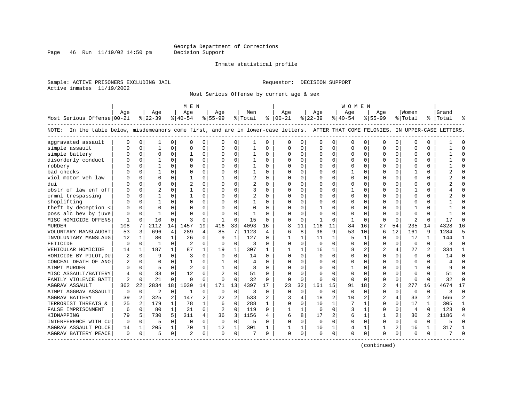Page 46 Run  $11/19/02$  14:50 pm

### Inmate statistical profile

Sample: ACTIVE PRISONERS EXCLUDING JAIL Requestor: DECISION SUPPORT Active inmates 11/19/2002

Most Serious Offense by current age & sex

|                                                                                                                                    |                |             |                |              | M E N          |          |          |                |              |          |               |              |              |              | W O M E N   |             |                |                |                         |                |           |                |
|------------------------------------------------------------------------------------------------------------------------------------|----------------|-------------|----------------|--------------|----------------|----------|----------|----------------|--------------|----------|---------------|--------------|--------------|--------------|-------------|-------------|----------------|----------------|-------------------------|----------------|-----------|----------------|
|                                                                                                                                    | Age            |             | Age            |              | Aqe            |          | Age      |                | Men          |          | Age           |              | Aqe          |              | Aqe         |             | Age            |                | Women                   |                | Grand     |                |
| Most Serious Offense 00-21                                                                                                         |                |             | $8 22-39$      |              | $ 40-54 $      |          | $ 55-99$ |                | % Total      |          | $8   00 - 21$ |              | $ 22-39$     |              | $ 40-54$    |             | $8155 - 99$    |                | %   Total               |                | %   Total |                |
| NOTE: In the table below, misdemeanors come first, and are in lower-case letters. AFTER THAT COME FELONIES, IN UPPER-CASE LETTERS. |                |             |                |              |                |          |          |                |              |          |               |              |              |              |             |             |                |                |                         |                |           |                |
| aggravated assault                                                                                                                 | $\Omega$       | $\mathbf 0$ | 1              | $\Omega$     | $\Omega$       | $\Omega$ | O        | 0              | -1           | $\Omega$ | $\Omega$      | 0            | $\Omega$     | 0            | $\mathbf 0$ | $\mathbf 0$ | $\Omega$       | $\Omega$       | $\mathbf 0$             | $\Omega$       |           |                |
| simple assault                                                                                                                     |                | 0           | 1              | $\Omega$     | $\Omega$       | $\Omega$ | $\Omega$ | 0              | 1            | $\Omega$ | $\Omega$      | $\Omega$     | 0            | 0            | $\Omega$    | 0           | $\Omega$       | $\Omega$       | $\Omega$                | $\Omega$       |           | $\Omega$       |
| simple battery                                                                                                                     |                | $\mathbf 0$ | $\Omega$       | 0            |                | $\Omega$ | 0        | $\Omega$       |              | 0        | $\Omega$      | $\Omega$     | $\Omega$     | $\Omega$     | O           | 0           | 0              | $\Omega$       | $\cap$                  | $\Omega$       |           |                |
| disorderly conduct                                                                                                                 |                | $\Omega$    | $\mathbf{1}$   | U            | $\Omega$       | $\Omega$ | O        | $\Omega$       |              | $\Omega$ | $\Omega$      | $\Omega$     | $\Omega$     | O            | $\Omega$    | $\mathbf 0$ | $\Omega$       | $\Omega$       | $\Omega$                | $\Omega$       |           |                |
| robbery                                                                                                                            |                | $\Omega$    | 1              | U            | $\Omega$       | 0        | O        | $\Omega$       | $\mathbf{1}$ | 0        | <sup>0</sup>  | $\Omega$     | $\Omega$     | $\Omega$     | $\Omega$    | 0           | U              | $\Omega$       | $\Omega$                | 0              |           | ∩              |
| bad checks                                                                                                                         |                | $\Omega$    | 1              | 0            | $\Omega$       | $\Omega$ | O        | $\Omega$       | 1            | 0        | <sup>0</sup>  | $\Omega$     | $\Omega$     | 0            |             | 0           | 0              | $\Omega$       |                         | 0              |           |                |
| viol motor veh law                                                                                                                 |                | $\mathbf 0$ | $\Omega$       | 0            | $\mathbf{1}$   | 0        |          | 0              | 2            | 0        | $\Omega$      | $\Omega$     | 0            | 0            | C           | 0           | $\Omega$       | $\Omega$       | $\Omega$                | $\Omega$       |           |                |
| dui                                                                                                                                |                | $\Omega$    | $\Omega$       | O            | $\overline{c}$ | $\Omega$ | $\Omega$ | $\Omega$       | 2            | $\Omega$ | $\Omega$      | $\Omega$     | 0            | 0            | $\Omega$    | $\mathbf 0$ | $\Omega$       | $\Omega$       | $\Omega$                | $\Omega$       |           | $\cap$         |
| obstr of law enf off                                                                                                               |                | 0           | $\overline{c}$ | U            | -1             | 0        | O        | 0              | 3            | $\Omega$ | $\cap$        | 0            | $\Omega$     | 0            |             | 0           | 0              | 0              | -1                      | 0              |           | $\cap$         |
| crmnl trespassing                                                                                                                  |                | 0           | $\mathbf{1}$   | U            |                | $\Omega$ | U        | $\Omega$       | 2            | $\Omega$ | $\Omega$      | 0            | $\Omega$     | O            | $\Omega$    | 0           | 0              | $\Omega$       | <sup>0</sup>            | O              |           |                |
| shoplifting                                                                                                                        |                | $\mathbf 0$ |                | U            | $\Omega$       | $\Omega$ | U        | $\Omega$       |              | O        | $\Omega$      | O            | $\Omega$     | $\Omega$     |             | $\mathbf 0$ | $\Omega$       | $\Omega$       | $\bigcap$               | $\Omega$       |           |                |
| theft by deception <                                                                                                               |                | $\Omega$    | $\Omega$       | U            | $\Omega$       | $\Omega$ | $\Omega$ | $\Omega$       | $\Omega$     | O        | $\Omega$      | $\Omega$     | $\mathbf{1}$ | O            | U           | $\Omega$    | $\Omega$       | $\Omega$       |                         | $\Omega$       |           |                |
| poss alc bev by juve                                                                                                               | 0              | $\Omega$    | 1              | U            | $\Omega$       | 0        | O        | $\Omega$       | 1            | O        | <sup>0</sup>  | $\Omega$     | $\Omega$     | O            | O           | $\Omega$    | 0              | $\Omega$       | $\Omega$                | 0              |           |                |
| MISC HOMICIDE OFFENS                                                                                                               | 1              | $\Omega$    | 10             | $\Omega$     | 3              | $\Omega$ | 1        | $\Omega$       | 15           | $\Omega$ | <sup>0</sup>  | $\Omega$     | -1           | $\Omega$     | 1           | $\Omega$    | $\Omega$       | $\Omega$       | $\overline{\mathbf{c}}$ | $\Omega$       | 17        | ∩              |
| <b>MURDER</b>                                                                                                                      | 108            | 7           | 2112           | 14           | 1457           | 19       | 416      | 33             | 4093         | 16       | 8             | 11           | 116          | 11           | 84          | 16          | 27             | 54             | 235                     | 14             | 4328      | 16             |
| VOLUNTARY MANSLAUGHT                                                                                                               | 53             | 3           | 696            | 4            | 289            | 4        | 85       | 7              | 1123         | 4        | 6             | 8            | 96           | 9            | 53          | 10          | 6              | 12             | 161                     | 9              | 1284      | 5              |
| INVOLUNTARY MANSLAUG                                                                                                               | 12             | 1           | 80             | $\mathbf{1}$ | 26             | 0        | 9        | $\mathbf{1}$   | 127          | $\Omega$ |               | $\mathbf{1}$ | 11           | $\mathbf{1}$ | 5           | 1           | $\Omega$       | $\Omega$       | 17                      | $\mathbf{1}$   | 144       | $\mathbf{1}$   |
| FETICIDE                                                                                                                           | $\Omega$       | $\mathbf 0$ | $\mathbf{1}$   | $\Omega$     | $\overline{2}$ | $\Omega$ | $\Omega$ | $\Omega$       | 3            | $\Omega$ | $\Omega$      | $\Omega$     | $\Omega$     | 0            |             | 0           | $\Omega$       | $\Omega$       | $\Omega$                | $\Omega$       | 3         | $\Omega$       |
| VEHICULAR HOMICIDE                                                                                                                 | 14             | 1           | 187            | $\mathbf{1}$ | 87             | 1        | 19       | $\mathbf{1}$   | 307          | 1        | -1            | $\mathbf{1}$ | 16           | $\mathbf{1}$ | 8           | 2           | $\overline{c}$ | 4              | 27                      |                | 334       |                |
| HOMICIDE BY PILOT, DU                                                                                                              |                | $\Omega$    | 9              | U            | 3              | $\Omega$ | $\Omega$ | $\Omega$       | 14           | $\Omega$ | $\Omega$      | $\Omega$     | $\Omega$     | O            | $\Omega$    | $\Omega$    | $\Omega$       | 0              | $\Omega$                | 0              | 14        | ∩              |
| CONCEAL DEATH OF ANO                                                                                                               | 2              | 0           | $\Omega$       | U            | -1             | 0        | 1        | 0              | 4            | $\Omega$ | $\Omega$      | $\Omega$     | $\Omega$     | $\Omega$     | $\Omega$    | 0           | 0              | 0              | 0                       | $\Omega$       |           | ∩              |
| ATMPT MURDER                                                                                                                       | U              | 0           | 5              | 0            | $\overline{c}$ | 0        |          | $\Omega$       | 8            | $\Omega$ |               | $\Omega$     | $\Omega$     | 0            |             | 0           | $\Omega$       | $\Omega$       | -1                      | 0              |           |                |
| MISC ASSAULT/BATTERY                                                                                                               | 4              | $\mathbf 0$ | 33             | $\Omega$     | 12             | $\Omega$ |          | $\mathbf 0$    | 51           | $\Omega$ | $\Omega$      | $\Omega$     | O            | $\Omega$     | $\Omega$    | $\mathbf 0$ | $\Omega$       | $\Omega$       | $\Omega$                | $\Omega$       | 51        |                |
| FAMILY VIOLENCE BATT                                                                                                               | $\mathfrak{D}$ | $\Omega$    | 21             | $\Omega$     | 9              | $\Omega$ | $\Omega$ | $\Omega$       | 32           | $\Omega$ | $\Omega$      | $\Omega$     | $\Omega$     | $\Omega$     | $\Omega$    | $\Omega$    | $\Omega$       | $\Omega$       | $\Omega$                | $\Omega$       | 32        | $\Omega$       |
| <b>AGGRAV ASSAULT</b>                                                                                                              | 362            | 22          | 2834           | 18           | 1030           | 14       | 171      | 13             | 4397         | 17       | 23            | 32           | 161          | 15           | 91          | 18          | $\overline{2}$ | 4              | 277                     | 16             | 4674      | 17             |
| ATMPT AGGRAV ASSAULT                                                                                                               | 0              | 0           | 2              | 0            | 1              | 0        | 0        | 0              | 3            | 0        | $\Omega$      | $\Omega$     | 0            | 0            | 0           | 0           | 0              | 0              | 0                       | 0              | 3         | $\Omega$       |
| <b>AGGRAV BATTERY</b>                                                                                                              | 39             | 2           | 325            | 2            | 147            | 2        | 22       | $\overline{2}$ | 533          | 2        | 3             | 4            | 18           | 2            | 10          | 2           | 2              | 4              | 33                      | 2              | 566       | $\overline{2}$ |
| TERRORIST THREATS &                                                                                                                | 25             | 2           | 179            | $\mathbf{1}$ | 78             | 1        | 6        | $\Omega$       | 288          | 1        | $\Omega$      | $\Omega$     | 10           | $\mathbf{1}$ |             | 1           | $\Omega$       | $\Omega$       | 17                      | $\mathbf{1}$   | 305       | $\mathbf{1}$   |
| FALSE IMPRISONMENT                                                                                                                 | 6              | $\Omega$    | 80             | $\mathbf{1}$ | 31             | 0        | 2        | $\Omega$       | 119          | $\Omega$ | 1             | $\mathbf{1}$ | $\Omega$     | $\Omega$     | 3           | 1           | $\Omega$       | $\Omega$       | $\overline{4}$          | $\Omega$       | 123       | $\Omega$       |
| KIDNAPPING                                                                                                                         | 79             | 5           | 730            | 5            | 311            | 4        | 36       | 3              | 1156         | 4        | 6             | 8            | 17           | 2            | 6           | 1           | 1              | 2              | 30                      | $\mathfrak{D}$ | 1186      | $\overline{4}$ |
| INTERFERENCE WITH CU                                                                                                               | $\Omega$       | $\mathbf 0$ | 5              | $\Omega$     | $\Omega$       | $\Omega$ | $\Omega$ | $\mathbf 0$    | 5            | $\Omega$ | $\Omega$      | $\Omega$     | $\Omega$     | $\Omega$     | $\Omega$    | $\mathbf 0$ | $\Omega$       | $\Omega$       | $\Omega$                | $\Omega$       |           |                |
| AGGRAV ASSAULT POLCE                                                                                                               | 14             | 1           | 205            | $\mathbf 1$  | 70             | 1        | 12       | 1              | 301          |          |               | 1            | 10           | 1            | 4           | 1           | $\mathbf{1}$   | $\overline{a}$ | 16                      | 1              | 317       | -1             |
| AGGRAV BATTERY PEACE                                                                                                               | 0              | 0           | 5              | 0            | 2              | 0        | $\Omega$ | 0              | 7            | 0        | $\Omega$      | 0            | $\Omega$     | 0            | $\Omega$    | $\mathbf 0$ | $\Omega$       | 0              | $\Omega$                | 0              |           | ∩              |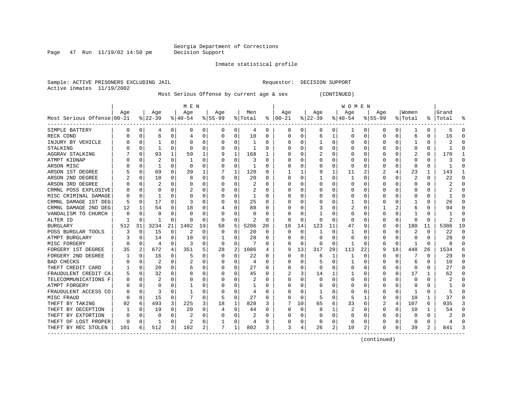Page  $47$  Run  $11/19/02$  14:50 pm

### Inmate statistical profile

Sample: ACTIVE PRISONERS EXCLUDING JAIL Requestor: DECISION SUPPORT Active inmates 11/19/2002

Most Serious Offense by current age & sex (CONTINUED)

|                            |     |             |              |              | MEN        |          |           |                |         |          |               |          |          |    | <b>WOMEN</b> |          |           |          |         |                |           |    |
|----------------------------|-----|-------------|--------------|--------------|------------|----------|-----------|----------------|---------|----------|---------------|----------|----------|----|--------------|----------|-----------|----------|---------|----------------|-----------|----|
|                            | Age |             | Age          |              | Age        |          | Age       |                | Men     |          | Age           |          | Age      |    | Age          |          | Aqe       |          | Women   |                | Grand     |    |
| Most Serious Offense 00-21 |     |             | $8 22-39$    |              | $ 40-54 $  |          | $8 55-99$ |                | % Total |          | $8   00 - 21$ |          | $ 22-39$ |    | $ 40-54$     |          | $8 55-99$ |          | % Total |                | %   Total |    |
| SIMPLE BATTERY             |     | 0           | 4            | 0            | 0          | 0        | 0         | 0              | 4       | 0        | 0             | 0        | 0        | 0  | 1            | 0        | 0         | 0        |         | 0              | 5         | 0  |
| RECK COND                  |     | $\mathbf 0$ | 6            | 0            | 4          | 0        | O         | 0              | 10      | U        | O             | O        | 6        | 1  | U            | 0        | $\Omega$  | 0        | 6       | 0              | 16        | ſ  |
| INJURY BY VEHICLE          |     | 0           |              | U            | C          | O        |           | O              |         | U        |               | O        |          | O  | Ω            | n        |           | O        |         | U              |           |    |
| STALKING                   |     | $\Omega$    | 1            | U            | $\sqrt{ }$ | O        |           | $\Omega$       |         | O        |               | U        | U        | O  | Ω            | $\Omega$ |           |          |         | U              |           |    |
| AGGRAV STALKING            |     | $\Omega$    | 93           | $\mathbf{1}$ | 59         | 1        |           | 1              | 168     |          |               | U        |          | O  | Ω            | $\Omega$ |           |          |         | 0              | 170       |    |
| ATMPT KIDNAP               |     | U           |              | O            |            | O        |           | $\Omega$       | 3       | U        |               | 0        |          | O  | Ω            | O        |           |          | C       | U              |           |    |
| ARSON MISC                 |     | $\Omega$    | 1            | 0            | 0          | 0        |           | 0              | 1       | 0        |               | 0        |          | 0  | 0            | n        |           | O        | n       | 0              |           |    |
| ARSON 1ST DEGREE           |     | 0           | 69           | 0            | 39         | 1        |           | 1              | 120     | 0        |               |          |          | 1  | 11           |          |           |          | 23      | 1              | 143       |    |
| ARSON 2ND DEGREE           |     | 0           | 10           | U            | 8          | O        |           | 0              | 20      | U        | 0             | 0        |          | 0  |              | $\Omega$ |           | O        | 2       | 0              | 22        |    |
| ARSON 3RD DEGREE           |     | $\Omega$    |              | U            | C          | O        |           | $\Omega$       | 2       | U        |               | O        |          | O  | ი            | O        |           |          | O       | U              |           |    |
| CRMNL POSS EXPLOSIVE       |     | $\Omega$    | U            |              |            | O        |           | $\Omega$       |         | U        |               | U        |          | O  | ი            | 0        |           |          |         | 0              |           | ſ  |
| MISC CRIMINAL DAMAGE       |     | $\Omega$    | -1           | U            | C          | O        |           | 0              | 1       | U        |               | 0        |          | O  | Ω            | $\Omega$ |           | O        |         | 0              |           | ∩  |
| CRMNL DAMAGE 1ST DEG       |     | $\Omega$    | 17           | $\Omega$     | Р          | O        |           | 0              | 25      | U        |               | 0        | O        | O  |              | O        |           | O        |         | U              | 26        | n  |
| CRMNL DAMAGE 2ND DEG       | 12  |             | 54           | 0            | 18         | 0        |           | 0              | 88      | 0        | 0             | O        |          | O  | 2            | 0        |           | 2        | 6       | 0              | 94        | n  |
| VANDALISM TO CHURCH        |     | $\Omega$    | U            | U            | 0          | O        |           | $\Omega$       | O       | U        |               | 0        |          | O  | Ω            | 0        | $\Omega$  |          |         | U              |           | C  |
| ALTER ID                   |     | $\Omega$    |              | 0            | -0         | O        | O         | 0              | 2       | $\Omega$ | 0             | 0        | O        | O  | 0            | n        |           | O        | n       | U              | 2         | ∩  |
| <b>BURGLARY</b>            | 512 | 31          | 3234         | 21           | 1402       | 19       | 58        | 5              | 5206    | 20       | 10            | 14       | 123      | 11 | 47           | 9        |           | $\Omega$ | 180     | 11             | 5386      | 19 |
| POSS BURGLAR TOOLS         | 3   | 0           | 15           | 0            | 2          | $\Omega$ | O         | O              | 20      | $\Omega$ | C             | $\Omega$ |          | O  |              | C        | O         | O        |         | U              | 22        | ſ  |
| ATMPT BURGLARY             |     | $\Omega$    | 14           | U            | 10         | O        |           | O              | 28      | U        | n             | $\Omega$ | $\Omega$ | U  | Ω            | n        | ∩         | $\Omega$ | n       | U              | 28        |    |
| MISC FORGERY               |     | $\Omega$    | 4            | U            | 3          | 0        | O         | 0              |         | U        |               | $\Omega$ | $\Omega$ | O  |              | $\Omega$ |           | $\Omega$ |         | 0              | 8         |    |
| FORGERY 1ST DEGREE         | 35  | 2           | 672          | 4            | 351        | 5        | 28        | $\overline{2}$ | 1086    | 4        | 9             | 13       | 317      | 29 | 113          | 22       |           | 18       | 448     | 26             | 1534      |    |
| FORGERY 2ND DEGREE         |     | $\Omega$    | 16           | 0            | 5          | $\Omega$ | O         | $\Omega$       | 22      | 0        | 0             | $\Omega$ | 6        | 1  |              | $\Omega$ |           | $\Omega$ |         | 0              | 29        |    |
| <b>BAD CHECKS</b>          |     | 0           | 2            | 0            | 2          | O        |           | 0              | 4       | U        |               | O        | 5        | O  |              | $\Omega$ |           | $\Omega$ | 6       | 0              | 10        | ∩  |
| THEFT CREDIT CARD          |     | 0           | 20           | 0            | 6          | 0        |           | $\Omega$       | 27      | 0        |               | 0        | $\Omega$ | O  |              | 0        |           | $\Omega$ | 0       | 0              | 27        | C  |
| FRAUDULENT CREDIT CA       |     | 0           | 32           | U            | 8          | 0        |           | O              | 45      | U        |               | 3        | 14       |    |              | 0        |           | $\Omega$ | 17      | 1              | 62        | n  |
| TELECOMMUNICATIONS F       |     | $\Omega$    | 2            | U            | C          | O        |           | O              | 2       | U        |               | 0        | U        | O  | U            | $\Omega$ | ∩         | O        | n       | 0              | 2         | ∩  |
| ATMPT FORGERY              |     | $\Omega$    | O            | O            |            | 0        |           | 0              |         | 0        | O             | 0        | O        | O  | 0            | 0        |           | 0        | O       | 0              |           | n  |
| FRAUDULENT ACCESS CO       |     | $\Omega$    | 3            | U            |            | 0        |           | 0              | 4       | 0        | O             | 0        |          | O  | 0            | n        |           | $\Omega$ |         | 0              |           | n  |
| MISC FRAUD                 |     | 0           | 15           | 0            |            | 0        | 5         | $\Omega$       | 27      | 0        | <sup>0</sup>  | $\Omega$ | 5        | O  | 5            |          | O         | $\Omega$ | 10      | 1              | 37        | n  |
| THEFT BY TAKING            | 92  | 6           | 493          | 3            | 225        | 3        | 18        | 1              | 828     | 3        |               | 10       | 65       | 6  | 33           | 6        |           | 4        | 107     | 6              | 935       |    |
| THEFT BY DECEPTION         |     | $\Omega$    | 19           |              | 20         | 0        | 4         | $\Omega$       | 44      | 0        | 0             | 0        | 8        |    | 2            | C        | $\Omega$  | 0        | 10      |                | 54        |    |
| THEFT BY EXTORTION         |     | $\Omega$    | $\Omega$     |              |            | O        | O         | $\Omega$       |         | U        |               | 0        | n        | O  | 0            | n        | ∩         |          | C       | 0              |           |    |
| THEFT OF LOST PROPER       |     | $\Omega$    | $\mathbf{1}$ |              |            | 0        |           | 0              | 4       | 0        |               | 0        | $\Omega$ | 0  | 0            | 0        |           |          | n       | 0              |           |    |
| THEFT BY REC STOLEN        | 101 | 6           | 512          | 3            | 182        | 2        | 7         | 1              | 802     | 3        | 3             | 4        | 26       | 2  | 10           | 2        | $\Omega$  | 0        | 39      | $\overline{2}$ | 841       |    |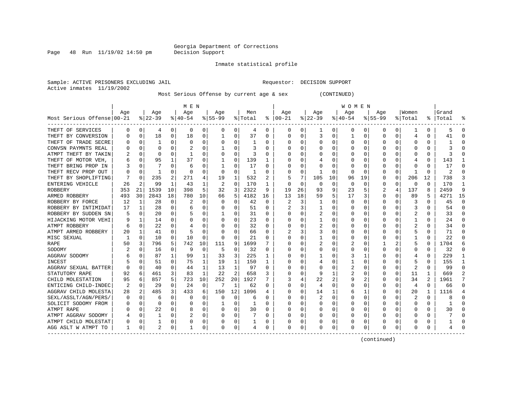Page  $48$  Run  $11/19/02$  14:50 pm

### Inmate statistical profile

Sample: ACTIVE PRISONERS EXCLUDING JAIL Requestor: DECISION SUPPORT Active inmates 11/19/2002

Most Serious Offense by current age & sex (CONTINUED)

|                            |     |          |          |              | M E N     |          |          |              |         |          |              |          |          |          | <b>WOMEN</b> |             |          |   |              |               |       |          |
|----------------------------|-----|----------|----------|--------------|-----------|----------|----------|--------------|---------|----------|--------------|----------|----------|----------|--------------|-------------|----------|---|--------------|---------------|-------|----------|
|                            | Aqe |          | Age      |              | Age       |          | Aqe      |              | Men     |          | Aqe          |          | Age      |          | Age          |             | Aqe      |   | Women        |               | Grand |          |
| Most Serious Offense 00-21 |     |          | $ 22-39$ |              | $8 40-54$ |          | $ 55-99$ |              | % Total | ိ        | $ 00-21$     |          | $ 22-39$ |          | $ 40-54$     |             | $ 55-99$ |   | % Total      | $\frac{1}{6}$ | Total |          |
| THEFT OF SERVICES          | 0   | 0        | 4        | 0            | 0         | 0        | 0        | 0            | 4       | 0        | 0            | 0        | 1        | 0        | 0            | 0           | 0        | 0 |              | 0             |       | 0        |
| THEFT BY CONVERSION        |     | 0        | 18       | 0            | 18        | 0        |          | 0            | 37      | O        | <sup>0</sup> | 0        | 3        | 0        |              | 0           | U        | O | 4            | U             | 41    | $\cap$   |
| THEFT OF TRADE SECRE       |     | $\Omega$ | 1        | U            | $\Omega$  | 0        | O        | O            |         | O        | <sup>0</sup> | U        | U        | 0        | O            | $\Omega$    | U        | O | O            | U             |       |          |
| CONVSN PAYMNTS REAL        |     | $\Omega$ | U        |              |           | $\Omega$ |          | $\Omega$     | 3       | n        |              |          | U        | 0        | U            | $\Omega$    | n        |   | ſ            | U             |       |          |
| ATMPT THEFT BY TAKIN       |     | $\Omega$ | U        | U            |           | $\Omega$ |          | $\Omega$     | ς       | U        |              | U        |          | O        | n            | $\Omega$    |          |   | <sup>0</sup> | U             |       |          |
| THEFT OF MOTOR VEH         |     | $\Omega$ | 95       | 1            | 37        | 0        |          | 0            | 139     |          |              | $\Omega$ |          | O        |              | n           |          |   | 4            | U             | 143   |          |
| THEFT BRING PROP IN        |     | $\Omega$ |          | U            | 6         | $\Omega$ |          | $\Omega$     | 17      | 0        |              | $\Omega$ |          | $\Omega$ |              | $\Omega$    |          | 0 | O            | 0             | 17    | n        |
| THEFT RECV PROP OUT        |     | $\Omega$ | 1        | U            | 0         | 0        | O        | 0            | 1       | O        |              | 0        | 1        | 0        | O            | 0           | $\left($ | 0 |              | 0             | 2     |          |
| THEFT BY SHOPLIFTING       |     | $\Omega$ | 235      | 2            | 271       | 4        | 19       | 1            | 532     | 2        |              | 7        | 105      | 10       | 96           | 19          | 0        | 0 | 206          | 12            | 738   |          |
| ENTERING VEHICLE           | 26  | 2        | 99       | $\mathbf{1}$ | 43        | 1        |          | $\mathbf 0$  | 170     | 1        |              | 0        | $\Omega$ | 0        | $\Omega$     | $\mathbf 0$ | O        | 0 | $\Omega$     | O             | 170   | -1       |
| ROBBERY                    | 353 | 21       | 1539     | 10           | 398       | 5        | 32       | 3            | 2322    | 9        | 19           | 26       | 93       | 9        | 23           | 5           |          | 4 | 137          | 8             | 2459  | q        |
| ARMED ROBBERY              | 493 | 30       | 2843     | 18           | 780       | 10       | 66       | 5            | 4182    | 16       | 13           | 18       | 59       | 5        | 17           | 3           | U        | O | 89           | 5             | 4271  | 15       |
| ROBBERY BY FORCE           | 12  | 1        | 28       | 0            | 2         | $\Omega$ | 0        | 0            | 42      | $\Omega$ | 2            | 3        | -1       | O        | O            | n           | O        | 0 | 3            | U             | 45    | $\Omega$ |
| ROBBERY BY INTIMIDAT       | 17  | 1        | 28       | 0            | 6         | 0        | $\left($ | $\Omega$     | 51      | 0        |              | 3        | 1        | 0        | O            | 0           | 0        | 0 | 3            | 0             | 54    | $\Omega$ |
| ROBBERY BY SUDDEN SN       |     | 0        | 20       | 0            |           | 0        |          | 0            | 31      | 0        |              | 0        | 2        | 0        | 0            | 0           | O        |   | 2            | U             | 33    | $\Omega$ |
| HIJACKING MOTOR VEHI       |     | 1        | 14       | 0            | 0         | 0        |          | 0            | 23      | 0        |              | U        |          | 0        | 0            | 0           |          |   |              | U             | 24    | $\Omega$ |
| ATMPT ROBBERY              |     | $\Omega$ | 22       | U            |           | 0        |          | $\Omega$     | 32      | O        |              |          |          | 0        | 0            | C           | O        |   |              | 0             | 34    | $\cap$   |
| ATMPT ARMED ROBBERY        | 20  | 1        | 41       | U            |           | $\Omega$ |          | O            | 66      | $\Omega$ |              | 3        |          | O        | O            | C           | n        |   | 5            | 0             | 71    | $\cap$   |
| MISC SEXUAL                |     | $\Omega$ | 10       | 0            | 10        | $\Omega$ | $\Omega$ | $\Omega$     | 21      | U        |              | 0        | 1        | O        | n            | $\Omega$    |          |   | -1           | 0             | 22    |          |
| RAPE                       | 50  | 3        | 796      | 5            | 742       | 10       | 111      | 9            | 1699    |          |              | $\Omega$ |          | 0        |              | n           |          |   | 5            | 0             | 1704  |          |
| SODOMY                     |     | $\Omega$ | 16       | 0            | 9         | 0        | 5        | $\mathbf 0$  | 32      | O        |              | $\Omega$ | U        | $\Omega$ |              | $\Omega$    | U        | 0 | 0            | 0             | 32    | n        |
| AGGRAV SODOMY              |     | U        | 87       | $\mathbf{1}$ | 99        | 1        | 33       | 3            | 225     |          |              | $\Omega$ |          | 0        | 3            | 1           | O        | 0 | 4            | 0             | 229   |          |
| INCEST                     |     | $\Omega$ | 51       | 0            | 75        | 1        | 19       | 1            | 150     |          |              | $\Omega$ |          | 0        |              | 0           |          | 0 | 5            | 0             | 155   |          |
| AGGRAV SEXUAL BATTER       |     | $\Omega$ | 40       | 0            | 44        | 1        | 13       | $\mathbf{1}$ | 97      | O        |              | 0        |          | 0        | 2            | 0           | 0        | 0 | 2            | 0             | 99    | $\cap$   |
| STATUTORY RAPE             | 92  | 6        | 461      | 3            | 83        | 1        | 22       | 2            | 658     | 3        |              | 0        | 9        | 1        |              | 0           | U        | 0 | 11           | 1             | 669   |          |
| CHILD MOLESTATION          | 95  | 6        | 857      | 5            | 723       | 10       | 252      | 20           | 1927    | 7        |              | 4        | 22       | 2        | 9            | 2           | U        | 0 | 34           | 2             | 1961  | 7        |
| ENTICING CHILD-INDEC       | 2   | $\Omega$ | 29       | 0            | 24        | 0        | 7        | 1            | 62      | 0        | n            | 0        | 4        | $\Omega$ | 0            | 0           | O        | 0 | 4            | 0             | 66    | $\Omega$ |
| AGGRAV CHILD MOLESTA       | 28  | 2        | 485      | 3            | 433       | 6        | 150      | 12           | 1096    | 4        | O            | $\Omega$ | 14       | 1        | 6            | 1           | 0        | 0 | 20           | 1             | 1116  | 4        |
| SEXL/ASSLT/AGN/PERS/       |     | 0        | 6        | U            | 0         | $\Omega$ | 0        | 0            | 6       | 0        |              | $\Omega$ |          | $\Omega$ | O            | 0           | U        | 0 | 2            | 0             |       | $\cap$   |
| SOLICIT SODOMY FROM        |     | 0        | U        | U            | 0         | $\Omega$ |          | 0            | -1      | O        |              | 0        |          | 0        | O            | 0           |          |   | O            | U             |       |          |
| ATMPT RAPE                 |     | 0        | 22       | 0            | 8         | $\Omega$ | 0        | 0            | 30      | 0        |              | 0        |          | 0        | 0            | -0          | O        |   | 0            | 0             | 30    |          |
| ATMPT AGGRAV SODOMY        |     | $\Omega$ |          | U            |           | 0        | O        | 0            |         | 0        |              | 0        | U        | 0        | O            | 0           | U        |   | <sup>0</sup> | 0             |       |          |
| ATMPT CHILD MOLESTAT       |     | $\Omega$ |          | U            | 0         | 0        | O        | 0            |         | 0        |              | 0        |          | 0        |              | C           |          |   | C            | 0             |       |          |
| AGG ASLT W ATMPT TO        | 1   | $\Omega$ | 2        | 0            | -1        | 0        | O        | 0            |         | 0        | <sup>0</sup> | 0        | U        | 0        | O            | $\Omega$    | U        | 0 | <sup>0</sup> | U             |       |          |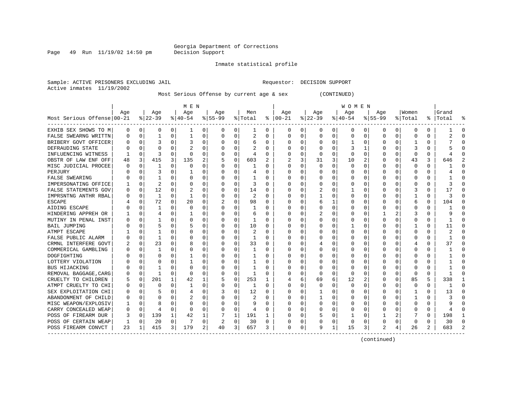Page 49 Run 11/19/02 14:50 pm

### Inmate statistical profile

Sample: ACTIVE PRISONERS EXCLUDING JAIL Requestor: DECISION SUPPORT Active inmates 11/19/2002

Most Serious Offense by current age & sex (CONTINUED)

|                            | M E N    |             |                |             |           |          |          |             |              |              |               | W O M E N    |              |   |           |          |             |          |              |          |           |        |  |
|----------------------------|----------|-------------|----------------|-------------|-----------|----------|----------|-------------|--------------|--------------|---------------|--------------|--------------|---|-----------|----------|-------------|----------|--------------|----------|-----------|--------|--|
|                            | Age      |             | Age            |             | Age       |          | Age      |             | Men          |              | Age           |              | Age          |   | Age       |          | Age         |          | Women        |          | Grand     |        |  |
| Most Serious Offense 00-21 |          |             | $ 22-39 $      |             | $8 40-54$ |          | $ 55-99$ |             | % Total      |              | $8   00 - 21$ |              | $ 22-39$     |   | $ 40-54 $ |          | $8155 - 99$ |          | % Total      |          | %   Total | °      |  |
| EXHIB SEX SHOWS TO M       | 0        | 0           | 0              | $\Omega$    | 1         | 0        | $\Omega$ | 0           | 1            | 0            | $\Omega$      | $\mathbf{0}$ | 0            | 0 | 0         | 0        | 0           | 0        | 0            | 0        |           | n      |  |
| FALSE SWEARNG WRITTN       | U        | 0           | 1              | 0           | 1         | 0        | 0        | 0           | 2            | 0            | <sup>0</sup>  | 0            | $\Omega$     | 0 | $\Omega$  | 0        | $\Omega$    | 0        | 0            | N        |           |        |  |
| BRIBERY GOVT OFFICER       |          | $\mathbf 0$ | 3              | U           | 3         | 0        |          | $\Omega$    | 6            | 0            |               | U            | 0            | 0 |           | 0        | 0           | 0        |              | 0        |           |        |  |
| DEFRAUDING STATE           |          | 0           | O              | U           |           | 0        |          | 0           |              | O            |               | U            | $\Omega$     | 0 |           | 1        | U           | O        |              | O        |           |        |  |
| INFLUENCING WITNESS        |          | $\Omega$    | 3              | U           | $\Omega$  | 0        | O        | $\Omega$    | 4            | O            |               | U            | $\Omega$     | 0 | $\Omega$  | $\Omega$ | O           | U        | $\Omega$     | 0        |           |        |  |
| OBSTR OF LAW ENF OFF       | 48       | 3           | 415            | 3           | 135       | 2        |          | 0           | 603          | 2            |               | 3            | 31           | 3 | 10        | 2        | U           | 0        | 43           | 3        | 646       |        |  |
| MISC JUDICIAL PROCEE       |          | 0           | 1              | U           | $\Omega$  | 0        |          | 0           |              | O            | ∩             | 0            | ∩            | O | O         | $\Omega$ | U           | U        | $\Omega$     | 0        |           |        |  |
| PERJURY                    |          | $\Omega$    |                | U           |           | O        |          | $\Omega$    | 4            | O            |               | 0            | $\Omega$     | 0 |           | $\Omega$ | U           | 0        | $\Omega$     | 0        |           |        |  |
| FALSE SWEARING             |          | $\Omega$    |                | 0           | O         | O        | O        | $\Omega$    | 1            | O            |               | 0            | O            | 0 |           | $\Omega$ | O           | 0        | <sup>0</sup> | 0        |           |        |  |
| IMPERSONATING OFFICE       |          | 0           | $\overline{2}$ | U           | $\Omega$  | 0        |          | $\Omega$    | 3            | 0            |               | $\Omega$     | 0            | 0 |           | 0        | 0           | 0        | 0            | O        |           |        |  |
| FALSE STATEMENTS GOV       |          | 0           | 12             | 0           | 2         | 0        |          | 0           | 14           | 0            |               | 0            | 2            | 0 |           | 0        | 0           | $\Omega$ | 3            | $\Omega$ | 17        |        |  |
| IMPRSNTNG ANTHR RBAL       |          | 0           | $\mathbf{1}$   | U           | -1        | O        |          | 0           | 2            | $\Omega$     |               | 0            |              | U |           | 0        | U           | O        |              | 0        |           | ∩      |  |
| <b>ESCAPE</b>              |          | $\Omega$    | 72             | 0           | 20        | $\Omega$ |          | $\Omega$    | 98           | $\Omega$     |               | 0            | 6            | 1 |           | $\Omega$ | 0           | 0        | 6            | $\Omega$ | 104       | ∩      |  |
| AIDING ESCAPE              |          | $\mathbf 0$ | -1             | U           | 0         | 0        | U        | 0           | 1            | 0            | ∩             | 0            | $\Omega$     | 0 |           | 0        | 0           | 0        | O            | 0        |           | ∩      |  |
| HINDERING APPREH OR        |          | 0           | 4              | 0           | 1         | 0        | O        | 0           | 6            | 0            | <sup>0</sup>  | 0            |              | U | C         | 0        |             |          | 3            | 0        |           |        |  |
| MUTINY IN PENAL INST       |          | 0           |                | U           | $\Omega$  | 0        | O        | 0           | 1            | 0            | <sup>0</sup>  | 0            | $\Omega$     | U | O         | 0        | 0           | 0        | <sup>0</sup> | 0        |           | ∩      |  |
| BAIL JUMPING               |          | 0           | 5              | 0           | 5         | 0        | O        | $\Omega$    | 10           | 0            |               | U            | 0            | 0 |           | 0        | 0           | O        |              | 0        | 11        |        |  |
| ATMPT ESCAPE               |          | $\Omega$    |                | U           | C         | 0        |          | $\Omega$    | 2            | O            |               | U            | 0            | 0 |           | 0        | 0           | O        | O            | 0        |           |        |  |
| FALSE PUBLIC ALARM         |          | 0           | 1              | U           | C         | 0        | O        | O           |              | U            |               | U            | $\Omega$     | 0 |           | 0        | U           |          | C            | U        |           |        |  |
| CRMNL INTERFERE GOVT       |          | 0           | 23             | U           | 8         | O        | O        | O           | 33           | <sup>0</sup> |               | 0            | 4            | U |           | 0        | O           | U        | 4            | 0        | 37        |        |  |
| COMMERICAL GAMBLING        |          | $\Omega$    | -1             | U           | O         | 0        |          | O           | 1            | O            |               | 0            | $\Omega$     | 0 |           | 0        | O           | U        | O            | 0        |           |        |  |
| DOGFIGHTING                |          | $\Omega$    | O              | U           |           | 0        |          | O           | -1           | 0            |               | 0            | O            | 0 |           | 0        | O           | U        | O            | 0        |           |        |  |
| LOTTERY VIOLATION          |          | $\Omega$    | O              | 0           |           | $\Omega$ |          | $\Omega$    | 1            | 0            |               | 0            | $\Omega$     | O |           | $\Omega$ | U           | $\Omega$ | <sup>0</sup> | 0        |           |        |  |
| <b>BUS HIJACKING</b>       |          | $\Omega$    |                | U           | $\Omega$  | O        |          | $\Omega$    | 1            | O            |               | 0            | $\Omega$     | O |           | 0        |             | $\Omega$ | $\Omega$     | O        |           |        |  |
| REMOVAL BAGGAGE, CARG      |          | $\mathbf 0$ | $\mathbf{1}$   | 0           | $\Omega$  | 0        |          | $\mathbf 0$ | $\mathbf{1}$ | 0            |               | $\Omega$     | $\Omega$     | 0 |           | 0        | 0           | $\Omega$ | $\Omega$     | $\Omega$ |           |        |  |
| CRUELTY TO CHILDREN        |          | $\mathbf 0$ | 201            | 1           | 42        |          |          | 0           | 253          |              |               | 6            | 69           | 6 | 12        | 2        | 0           | 0        | 85           | 5        | 338       |        |  |
| ATMPT CRUELTY TO CHI       |          | 0           | $\Omega$       | U           | 1         | 0        |          | 0           | 1            | $\Omega$     | <sup>0</sup>  | 0            | $\Omega$     | 0 | $\Omega$  | 0        | O           | 0        | 0            | $\Omega$ |           | $\cap$ |  |
| SEX EXPLOITATION CHI       |          | 0           |                | U           | 4         | 0        |          | $\Omega$    | 12           | $\Omega$     |               | 0            | 1            | U | $\Omega$  | 0        | U           | 0        | -1           | $\Omega$ | 13        | $\cap$ |  |
| ABANDONMENT OF CHILD       | U        | $\Omega$    | O              | O           |           | 0        |          | $\Omega$    | 2            | 0            | n             | 0            | 1            | 0 | 0         | 0        | 0           | 0        | -1           | 0        |           | n      |  |
| MISC WEAPON/EXPLOSIV       |          | $\mathbf 0$ | 8              | 0           | 0         | 0        | O        | 0           | 9            | 0            | ∩             | 0            | 0            | 0 | 0         | 0        | 0           | 0        | <sup>0</sup> | 0        |           |        |  |
| CARRY CONCEALED WEAP       | $\Omega$ | 0           | $\overline{4}$ | $\Omega$    | 0         | 0        | O        | 0           | 4            | 0            |               | 0            | <sup>0</sup> | 0 | $\Omega$  | 0        | 0           | 0        | O            | O        |           |        |  |
| POSS OF FIREARM DUR        | 3        | 0           | 139            | $\mathbf 1$ | 42        | 1        |          | 1           | 191          | 1            |               | 0            | 5            | 0 |           | 0        |             | 2        |              | 0        | 198       |        |  |
| POSS OF CERTAIN WEAP       |          | 0           | 20             | 0           |           | 0        | 2        | 0           | 30           | 0            |               | 0            |              | 0 | 0         | 0        |             | 0        | 0            | 0        | 30        |        |  |
| POSS FIREARM CONVCT        | 23       | 1           | 415            | 3           | 179       | 2        | 40       | 3           | 657          | 3            | $\Omega$      | 0            | 9            | 1 | 15        | 3        |             | 4        | 26           | 2        | 683       |        |  |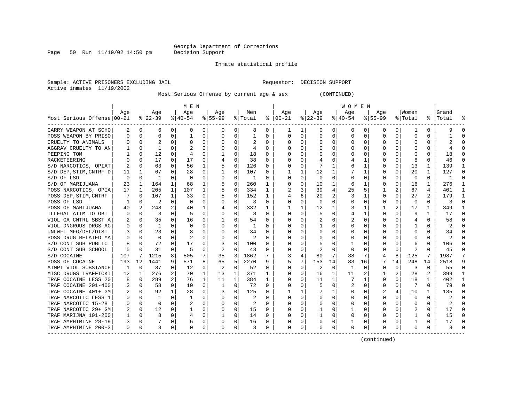Page 50 Run  $11/19/02$  14:50 pm

### Inmate statistical profile

Sample: ACTIVE PRISONERS EXCLUDING JAIL Requestor: DECISION SUPPORT Active inmates 11/19/2002

Most Serious Offense by current age & sex (CONTINUED)

|                            | M E N |             |              |          |             |          |          |             |         |          |              | W O M E N    |          |    |           |          |             |          |          |          |           |        |  |
|----------------------------|-------|-------------|--------------|----------|-------------|----------|----------|-------------|---------|----------|--------------|--------------|----------|----|-----------|----------|-------------|----------|----------|----------|-----------|--------|--|
|                            | Age   |             | Age          |          | Age         |          | Age      |             | Men     |          | Age          |              | Age      |    | Age       |          | Age         |          | Women    |          | Grand     |        |  |
| Most Serious Offense 00-21 |       |             | $ 22-39 $    |          | $8 40-54$   |          | $ 55-99$ |             | % Total | ႜ        | $ 00-21$     |              | $ 22-39$ |    | $ 40-54 $ |          | $8155 - 99$ |          | % Total  |          | %   Total |        |  |
| CARRY WEAPON AT SCHO       | 2     | 0           | 6            | $\Omega$ | 0           | 0        | $\Omega$ | 0           | 8       | 0        | 1            | 1            | 0        | 0  | 0         | 0        | 0           | $\Omega$ | -1       | 0        |           |        |  |
| POSS WEAPON BY PRISO       | U     | 0           | $\Omega$     | 0        | 1           | $\Omega$ | 0        | 0           |         | 0        | $\Omega$     | 0            | $\Omega$ | 0  | O         | 0        | $\Omega$    | 0        | $\Omega$ | N        |           |        |  |
| CRUELTY TO ANIMALS         |       | 0           |              | U        | 0           | 0        |          | 0           | 2       | 0        | <sup>0</sup> | 0            | $\Omega$ | 0  |           | 0        | 0           | O        | O        | 0        |           |        |  |
| AGGRAV CRUELTY TO AN       |       | $\Omega$    | 1            | U        |             | $\Omega$ |          | $\Omega$    | 4       | 0        |              | 0            | $\Omega$ | 0  |           | $\Omega$ | U           |          | n        | U        |           |        |  |
| PEEPING TOM                |       | $\Omega$    | 12           | U        |             | $\Omega$ |          | O           | 18      | $\Omega$ |              | 0            | $\Omega$ | O  |           | 0        | O           | U        | n        | 0        | 18        |        |  |
| RACKETEERING               |       | $\Omega$    | 17           | $\Omega$ | 17          | $\Omega$ |          | $\Omega$    | 38      | $\Omega$ |              | $\Omega$     |          | U  |           | 1        |             | 0        | 8        | 0        | 46        |        |  |
| S/D NARCOTICS, OPIAT       | 2     | 0           | 63           | 0        | 56          | 1        | 5        | $\mathbf 0$ | 126     | 0        |              | $\Omega$     |          | 1  |           | 1        | O           | $\Omega$ | 13       | 1        | 139       |        |  |
| S/D DEP, STIM, CNTRF D     | 11    | 1           | 67           | 0        | 28          | 0        |          | 0           | 107     | 0        |              | $\mathbf{1}$ | 12       | 1  |           | 1        | O           | $\Omega$ | 20       |          | 127       |        |  |
| S/D OF LSD                 | 0     | 0           | -1           | 0        | $\Omega$    | 0        |          | 0           | 1       | 0        |              | $\Omega$     | $\Omega$ | 0  |           | 0        | 0           | 0        | $\Omega$ | $\Omega$ | -1        |        |  |
| S/D OF MARIJUANA           | 23    | 1           | 164          | 1        | 68          | 1        |          | 0           | 260     |          | $\Omega$     | $\Omega$     | 10       | 1  | 6         | 1        | 0           | $\Omega$ | 16       | 1        | 276       |        |  |
| POSS NARCOTICS, OPIA       | 17    | 1           | 205          | 1        | 107         | 1        |          | 0           | 334     | 1        |              | 3            | 39       | 4  | 25        | 5        | 1           | 2        | 67       | 4        | 401       | -1     |  |
| POSS DEP, STIM, CNTRF      | 7     | 0           | 107          | 1        | 33          | 0        |          | 0           | 152     | 1        |              | б.           | 20       | 2  | 3         | 1        | 0           | 0        | 27       | 2        | 179       | -1     |  |
| POSS OF LSD                |       | 0           | 2            | $\Omega$ | $\Omega$    | $\Omega$ | O        | 0           | 3       | $\Omega$ | <sup>0</sup> | 0            | $\Omega$ | U  |           | 0        | 0           | 0        | $\Omega$ | $\Omega$ | 3         | ∩      |  |
| POSS OF MARIJUANA          | 40    | 2           | 248          |          | 40          | 1        |          | 0           | 332     | 1        |              |              | 12       | 1  | 3         | 1        |             |          | 17       | 1        | 349       |        |  |
| ILLEGAL ATTM TO OBT        |       | 0           | 3            | U        | 5           | O        | O        | 0           | 8       | O        | <sup>0</sup> | U            | 5        | 0  | 4         | 1        | U           | O        | q        |          | 17        |        |  |
| VIOL GA CNTRL SBST A       |       | 0           | 35           | 0        | 16          | 0        |          | 0           | 54      | $\Omega$ | 0            |              |          | 0  |           | 0        | 0           |          | 4        | 0        | 58        |        |  |
| VIOL DNGROUS DRGS AC       |       | 0           | $\mathbf{1}$ | U        | $\Omega$    | $\Omega$ | O        | O           |         | $\Omega$ | ∩            | 0            |          | U  |           | 0        | U           |          |          | 0        |           |        |  |
| UNLWFL MFG/DEL/DIST        |       | $\Omega$    | 23           | U        | 8           | O        | O        | O           | 34      | O        |              | 0            | $\Omega$ | U  |           | $\Omega$ | O           | U        | $\Omega$ | 0        | 34        |        |  |
| POSS DRUG RELATED MA       |       | $\Omega$    | 0            | 0        | 2           | 0        |          | $\Omega$    | 2       | U        |              | $\Omega$     | 0        | O  |           | 0        | O           | 0        | O        | 0        | 2         |        |  |
| S/D CONT SUB PUBLIC        | 8     | $\Omega$    | 72           | 0        | 17          | $\Omega$ | 3        | 0           | 100     | O        |              | 0            | 5        | U  |           | 0        | U           | $\Omega$ | 6        | $\Omega$ | 106       |        |  |
| S/D CONT SUB SCHOOL        | 5     | $\mathbf 0$ | 31           | 0        | 5           | 0        | 2        | $\mathbf 0$ | 43      | 0        |              | 0            | 2        | 0  | O         | 0        | 0           | 0        | 2        | O        | 45        |        |  |
| S/D COCAINE                | 107   | 7           | 1215         | 8        | 505         | 7        | 35       | 3           | 1862    |          |              | 4            | 80       | 7  | 38        | 7        | 4           | 8        | 125      |          | 1987      |        |  |
| POSS OF COCAINE            | 193   | 12          | 1441         | 9        | 571         | 8        | 65       | 5           | 2270    | 9        | 5            | 7            | 153      | 14 | 83        | 16       |             | 14       | 248      | 14       | 2518      |        |  |
| ATMPT VIOL SUBSTANCE       | 1     | 0           | 37           | $\Omega$ | 12          | 0        | 2        | $\mathbf 0$ | 52      | $\Omega$ | ∩            | 0            | 2        | 0  | 1         | 0        | 0           | 0        | 3        | $\Omega$ | 55        | $\cap$ |  |
| MISC DRUGS TRAFFICKI       | 12    | 1           | 276          | 2        | 70          | 1        | 13       | 1           | 371     | 1        | <sup>0</sup> | 0            | 16       | 1  | 11        | 2        |             | 2        | 28       | 2        | 399       |        |  |
| TRAF COCAINE LESS 20       | 8     | 0           | 289          | 2        | 76          | 1        | 11       | 1           | 384     | 1        | O            | 0            | 11       | 1  | 7         | 1        | 0           | 0        | 18       | 1        | 402       |        |  |
| TRAF COCAINE 201-400       | 3     | 0           | 58           | 0        | 10          | 0        | 1        | 0           | 72      | O        |              | U            | 5        | 0  | 2         | 0        | U           | 0        |          | $\Omega$ | 79        |        |  |
| TRAF COCAINE 401+ GM       | 2     | 0           | 92           | 1        | 28          | $\Omega$ |          | $\Omega$    | 125     | O        |              |              |          | 1  |           | 0        | 2           |          | 10       |          | 135       |        |  |
| TRAF NARCOTIC LESS 1       |       | $\mathbf 0$ |              | U        |             | 0        | O        | 0           | 2       | O        | <sup>0</sup> | $\Omega$     | $\Omega$ | 0  |           | 0        | $\Omega$    | O        | 0        | $\Omega$ |           |        |  |
| TRAF NARCOTIC 15-28        |       | 0           | $\Omega$     | U        |             | $\Omega$ | O        | $\Omega$    | 2       | $\Omega$ | <sup>0</sup> | 0            | $\Omega$ | U  |           | $\Omega$ | U           | U        | $\Omega$ | $\Omega$ |           |        |  |
| TRAF NARCOTIC 29+ GM       |       | 0           | 12           | 0        |             | 0        | 0        | 0           | 15      | 0        |              | 0            |          | 0  |           | 0        | 0           | 0        |          | 0        | 17        |        |  |
| TRAF MARIJNA 101-200       |       | $\Omega$    | 8            | $\Omega$ | 4           | 0        |          | 0           | 14      | $\Omega$ |              | 0            |          | 0  |           | 0        | U           | $\Omega$ |          | 0        | 15        |        |  |
| TRAF AMPHTMINE 28-19       | 3     | $\Omega$    |              | 0        | 6           | 0        | O        | 0           | 16      | O        |              | 0            | $\Omega$ | 0  |           | 0        | U           | 0        |          | 0        | 17        |        |  |
| TRAF AMPHTMINE 200-3       | 0     | 0           | 3            | 0        | $\mathbf 0$ | 0        | 0        | 0           | 3       | 0        | $\Omega$     | 0            | $\Omega$ | 0  | $\Omega$  | 0        | 0           | 0        | 0        | U        | 3         |        |  |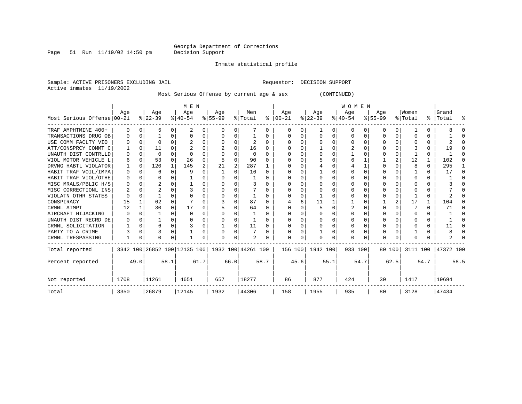Page 51 Run  $11/19/02$  14:50 pm

Inmate statistical profile

Sample: ACTIVE PRISONERS EXCLUDING JAIL Requestor: DECISION SUPPORT Active inmates 11/19/2002

Most Serious Offense by current age & sex (CONTINUED)

|                            |                                                     |          |          | M E N        |             |      |          |          |          | <b>WOMEN</b> |          |          |           |      |           |          |             |          |              |          |           |        |
|----------------------------|-----------------------------------------------------|----------|----------|--------------|-------------|------|----------|----------|----------|--------------|----------|----------|-----------|------|-----------|----------|-------------|----------|--------------|----------|-----------|--------|
|                            | Age                                                 |          | Age      |              | Age         |      | Age      |          | Men      |              | Age      |          | Age       |      | Age       |          | Aqe         |          | Women        |          | Grand     |        |
| Most Serious Offense 00-21 |                                                     |          | $ 22-39$ |              | $8140 - 54$ |      | $ 55-99$ |          | % Total  | ៖            | $ 00-21$ |          | $ 22-39 $ |      | $ 40-54 $ |          | $8155 - 99$ |          | % Total      |          | %   Total | ႜ      |
| TRAF AMPHTMINE 400+        | $\Omega$                                            | $\Omega$ | 5        | $\Omega$     |             | 0    | O        | 0        |          | 0            | O        | 0        |           | 0    | 0         | $\Omega$ | 0           | 0        |              | 0        |           |        |
| TRANSACTIONS DRUG OB       | 0                                                   | $\Omega$ |          | $\Omega$     | $\Omega$    | 0    | 0        | 0        |          | 0            |          | $\Omega$ | $\Omega$  | 0    | $\Omega$  | $\Omega$ | 0           | $\Omega$ | 0            | 0        |           |        |
| USE COMM FACLTY VIO        |                                                     | $\Omega$ | $\Omega$ |              |             |      |          | O        | 2        | $\Omega$     |          | C.       | ∩         | U    | $\Omega$  | $\Omega$ | O           | 0        |              | 0        |           |        |
| ATT/CONSPRCY COMMT C       |                                                     | $\Omega$ | 11       | U            |             | O    |          | O        | 16       | 0            |          |          |           | U    |           | $\Omega$ | U           | $\Omega$ |              | U        | 19        |        |
| UNAUTH DIST CONTRLLD       | 0                                                   | $\Omega$ | 0        | U            | $\Omega$    | O    |          | O        | $\Omega$ | 0            |          | $\Omega$ | $\Omega$  | U    |           | 0        |             | $\Omega$ |              | 0        |           | n      |
| VIOL MOTOR VEHICLE L       | 6                                                   | $\Omega$ | 53       | $\cap$       | 26          | 0    |          | $\Omega$ | 90       | U            |          | U        |           | U    | 6         |          |             |          | 12           | 1        | 102       |        |
| DRVNG HABTL VIOLATOR       |                                                     | $\Omega$ | 120      | $\mathbf{1}$ | 145         | 2    | 21       | 2        | 287      |              |          | U        |           | O    |           |          | $\Omega$    | $\Omega$ | 8            | $\Omega$ | 295       |        |
| HABIT TRAF VOIL/IMPA       | 0                                                   | $\Omega$ | 6        | 0            | 9           | U    |          | 0        | 16       | $\Omega$     |          |          |           | U    |           | $\Omega$ |             |          |              | 0        | 17        |        |
| HABIT TRAF VIOL/OTHE       | $\Omega$                                            | ∩        | O        |              |             |      |          | U        |          | U            |          |          | ∩         | U    |           | $\Omega$ | O           |          | ∩            | 0        |           |        |
| MISC MRALS/PBLIC H/S       |                                                     | $\Omega$ |          |              |             | O    |          | O        | 3        |              |          |          |           | U    |           | $\Omega$ | U           | 0        | C            | U        |           |        |
| MISC CORRECTIONL INS       |                                                     | $\Omega$ |          |              |             | O    |          | O        |          | O            |          | 0        |           | U    |           | $\Omega$ |             | 0        | <sup>0</sup> | 0        |           |        |
| VIOLATN OTHR STATES        |                                                     | $\Omega$ |          | U            | ∩           | N    | 0        | $\Omega$ |          | U            |          | U        |           | U    |           | $\Omega$ | U           | 0        |              | 0        |           |        |
| CONSPIRACY                 | 15                                                  |          | 62       | U            |             |      |          | O        | 87       | O            |          |          | 11        |      |           | $\Omega$ |             |          | 17           | 1        | 104       |        |
| CRMNL ATMPT                | 12                                                  |          | 30       | $\Omega$     | 17          | 0    |          | $\Omega$ | 64       | 0            |          |          |           | O    |           | $\Omega$ | O           |          |              | 0        | 71        |        |
| AIRCRAFT HIJACKING         | O                                                   |          |          | $\Omega$     | $\Omega$    | N    |          | $\Omega$ |          | U            |          |          |           | U    |           | $\Omega$ | O           |          | <sup>0</sup> | 0        |           |        |
| UNAUTH DIST RECRD DE       |                                                     |          |          | U            |             |      |          | $\Omega$ |          | 0            |          | U        |           | U    |           | $\Omega$ | O           | 0        |              | 0        |           |        |
| CRMNL SOLICITATION         |                                                     | 0        | 6        | $\Omega$     |             | 0    |          | 0        | 11       | $\Omega$     |          | 0        | 0         | 0    | $\Omega$  | 0        | 0           | $\Omega$ | <sup>0</sup> | 0        | 11        | $\cap$ |
| PARTY TO A CRIME           |                                                     | $\Omega$ |          | U            |             | O    | O        | $\Omega$ |          | O            |          | 0        |           | U    | U         | $\Omega$ | O           | 0        |              | 0        |           |        |
| CRMNL TRESPASSING          |                                                     | 0        | O        | 0            |             | 0    | O        | 0        | 2        |              | $\Omega$ | 0        | $\Omega$  | 0    | $\Omega$  | 0        | O           | 0        | <sup>0</sup> |          |           |        |
| Total reported             | 3342 100 26852 100 12135 100   1932 100   44261 100 |          |          |              |             |      |          |          |          |              |          | 156 100  | 1942 100  |      | 933 100   |          |             | 80 100   | 3111 100     |          | 47372 100 |        |
| Percent reported           | 49.0                                                |          |          | 58.1         |             | 61.7 |          | 66.0     |          | 58.7         |          | 45.6     |           | 55.1 |           | 54.7     |             | 62.5     |              | 54.7     |           | 58.5   |
| Not reported               | 1708                                                |          | 11261    |              | 4651        |      | 657      |          | 18277    |              | 86       |          | 877       |      | 424       |          | 30          |          | 1417         |          | 19694     |        |
| Total                      | 3350                                                |          | 26879    |              | 12145       |      | 1932     |          | 44306    |              | 158      |          | 1955      |      | 935       |          | 80          |          | 3128         |          | 47434     |        |